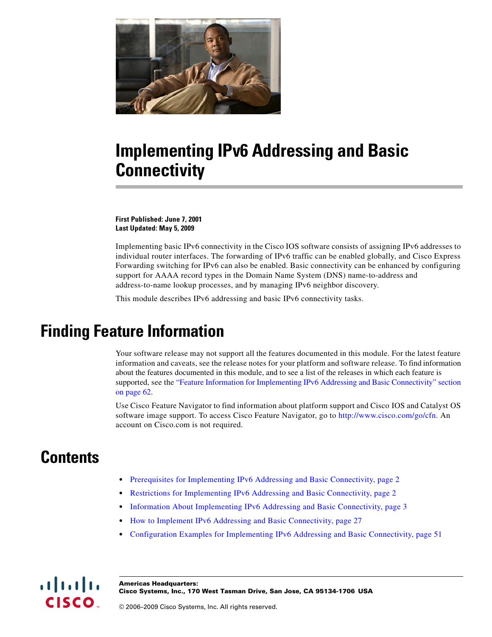

# **Implementing IPv6 Addressing and Basic Connectivity**

**First Published: June 7, 2001 Last Updated: May 5, 2009**

Implementing basic IPv6 connectivity in the Cisco IOS software consists of assigning IPv6 addresses to individual router interfaces. The forwarding of IPv6 traffic can be enabled globally, and Cisco Express Forwarding switching for IPv6 can also be enabled. Basic connectivity can be enhanced by configuring support for AAAA record types in the Domain Name System (DNS) name-to-address and address-to-name lookup processes, and by managing IPv6 neighbor discovery.

This module describes IPv6 addressing and basic IPv6 connectivity tasks.

# **Finding Feature Information**

Your software release may not support all the features documented in this module. For the latest feature information and caveats, see the release notes for your platform and software release. To find information about the features documented in this module, and to see a list of the releases in which each feature is supported, see the "Feature Information for Implementing IPv6 Addressing and Basic Connectivity" section [on page 62.](#page-61-0)

Use Cisco Feature Navigator to find information about platform support and Cisco IOS and Catalyst OS software image support. To access Cisco Feature Navigator, go to [http://www.cisco.com/go/cfn.](http://www.cisco.com/go/cfn) An account on Cisco.com is not required.

# **Contents**

- [Prerequisites for Implementing IPv6 Addressing and Basic Connectivity, page 2](#page-1-0)
- [Restrictions for Implementing IPv6 Addressing and Basic Connectivity, page 2](#page-1-1)
- [Information About Implementing IPv6 Addressing and Basic Connectivity, page 3](#page-2-0)
- [How to Implement IPv6 Addressing and Basic Connectivity, page 27](#page-26-0)
- [Configuration Examples for Implementing IPv6 Addressing and Basic Connectivity, page 51](#page-50-0)



**Americas Headquarters: Cisco Systems, Inc., 170 West Tasman Drive, San Jose, CA 95134-1706 USA**

© 2006–2009 Cisco Systems, Inc. All rights reserved.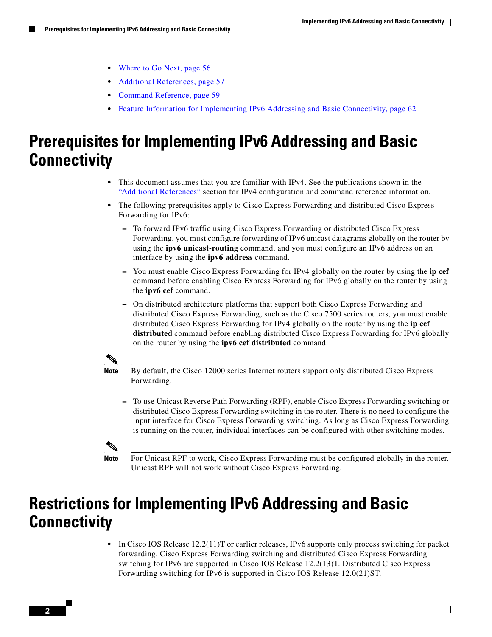- [Where to Go Next, page 56](#page-55-0)
- **•** [Additional References, page 57](#page-56-0)
- **•** [Command Reference, page 59](#page-58-0)
- **•** [Feature Information for Implementing IPv6 Addressing and Basic Connectivity, page 62](#page-61-0)

# <span id="page-1-0"></span>**Prerequisites for Implementing IPv6 Addressing and Basic Connectivity**

- **•** This document assumes that you are familiar with IPv4. See the publications shown in the ["Additional References"](#page-56-0) section for IPv4 configuration and command reference information.
- The following prerequisites apply to Cisco Express Forwarding and distributed Cisco Express Forwarding for IPv6:
	- **–** To forward IPv6 traffic using Cisco Express Forwarding or distributed Cisco Express Forwarding, you must configure forwarding of IPv6 unicast datagrams globally on the router by using the **ipv6 unicast-routing** command, and you must configure an IPv6 address on an interface by using the **ipv6 address** command.
	- **–** You must enable Cisco Express Forwarding for IPv4 globally on the router by using the **ip cef** command before enabling Cisco Express Forwarding for IPv6 globally on the router by using the **ipv6 cef** command.
	- **–** On distributed architecture platforms that support both Cisco Express Forwarding and distributed Cisco Express Forwarding, such as the Cisco 7500 series routers, you must enable distributed Cisco Express Forwarding for IPv4 globally on the router by using the **ip cef distributed** command before enabling distributed Cisco Express Forwarding for IPv6 globally on the router by using the **ipv6 cef distributed** command.

**Note** By default, the Cisco 12000 series Internet routers support only distributed Cisco Express Forwarding.

**–** To use Unicast Reverse Path Forwarding (RPF), enable Cisco Express Forwarding switching or distributed Cisco Express Forwarding switching in the router. There is no need to configure the input interface for Cisco Express Forwarding switching. As long as Cisco Express Forwarding is running on the router, individual interfaces can be configured with other switching modes.



**Note** For Unicast RPF to work, Cisco Express Forwarding must be configured globally in the router. Unicast RPF will not work without Cisco Express Forwarding.

# <span id="page-1-1"></span>**Restrictions for Implementing IPv6 Addressing and Basic Connectivity**

• In Cisco IOS Release 12.2(11)T or earlier releases, IPv6 supports only process switching for packet forwarding. Cisco Express Forwarding switching and distributed Cisco Express Forwarding switching for IPv6 are supported in Cisco IOS Release 12.2(13)T. Distributed Cisco Express Forwarding switching for IPv6 is supported in Cisco IOS Release 12.0(21)ST.

Ι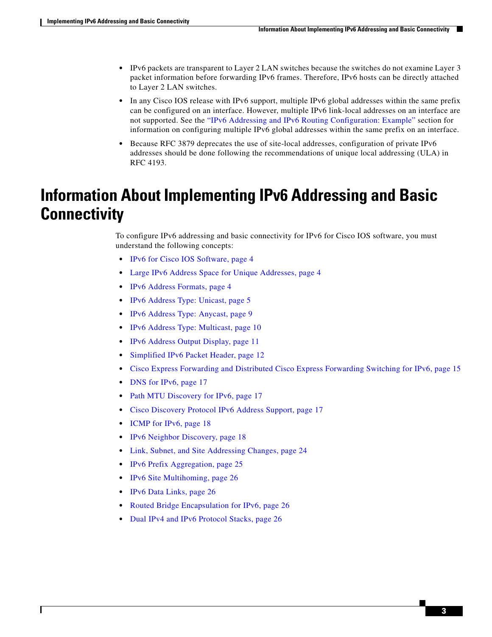- IPv6 packets are transparent to Layer 2 LAN switches because the switches do not examine Layer 3 packet information before forwarding IPv6 frames. Therefore, IPv6 hosts can be directly attached to Layer 2 LAN switches.
- **•** In any Cisco IOS release with IPv6 support, multiple IPv6 global addresses within the same prefix can be configured on an interface. However, multiple IPv6 link-local addresses on an interface are not supported. See the ["IPv6 Addressing and IPv6 Routing Configuration: Example"](#page-51-0) section for information on configuring multiple IPv6 global addresses within the same prefix on an interface.
- **•** Because RFC 3879 deprecates the use of site-local addresses, configuration of private IPv6 addresses should be done following the recommendations of unique local addressing (ULA) in RFC 4193.

# <span id="page-2-0"></span>**Information About Implementing IPv6 Addressing and Basic Connectivity**

To configure IPv6 addressing and basic connectivity for IPv6 for Cisco IOS software, you must understand the following concepts:

- **•** [IPv6 for Cisco IOS Software, page 4](#page-3-0)
- **•** [Large IPv6 Address Space for Unique Addresses, page 4](#page-3-1)
- **•** [IPv6 Address Formats, page 4](#page-3-2)
- **•** [IPv6 Address Type: Unicast, page 5](#page-4-0)
- **•** [IPv6 Address Type: Anycast, page 9](#page-8-0)
- **IPv6** Address Type: Multicast, page 10
- **•** [IPv6 Address Output Display, page 11](#page-10-0)
- [Simplified IPv6 Packet Header, page 12](#page-11-0)
- **•** [Cisco Express Forwarding and Distributed Cisco Express Forwarding Switching for IPv6, page 15](#page-14-0)
- [DNS for IPv6, page 17](#page-16-0)
- [Path MTU Discovery for IPv6, page 17](#page-16-1)
- **•** [Cisco Discovery Protocol IPv6 Address Support, page 17](#page-16-2)
- **•** [ICMP for IPv6, page 18](#page-17-0)
- **•** [IPv6 Neighbor Discovery, page 18](#page-17-1)
- **•** [Link, Subnet, and Site Addressing Changes, page 24](#page-23-0)
- **•** [IPv6 Prefix Aggregation, page 25](#page-24-0)
- **•** [IPv6 Site Multihoming, page 26](#page-25-0)
- **•** [IPv6 Data Links, page 26](#page-25-1)

 $\mathbf I$ 

- [Routed Bridge Encapsulation for IPv6, page 26](#page-25-2)
- **•** [Dual IPv4 and IPv6 Protocol Stacks, page 26](#page-25-3)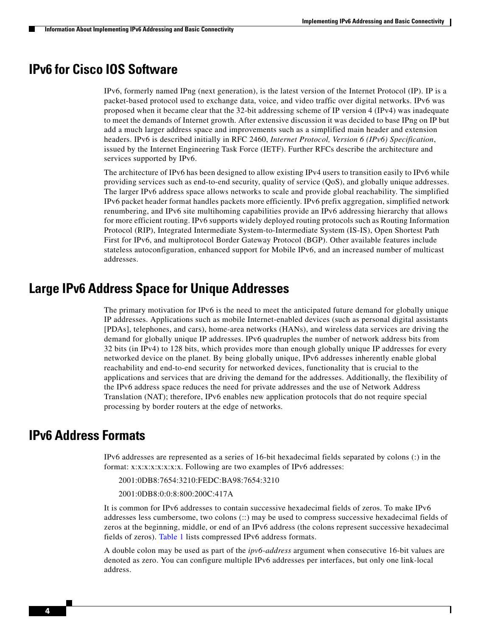## <span id="page-3-0"></span>**IPv6 for Cisco IOS Software**

IPv6, formerly named IPng (next generation), is the latest version of the Internet Protocol (IP). IP is a packet-based protocol used to exchange data, voice, and video traffic over digital networks. IPv6 was proposed when it became clear that the 32-bit addressing scheme of IP version 4 (IPv4) was inadequate to meet the demands of Internet growth. After extensive discussion it was decided to base IPng on IP but add a much larger address space and improvements such as a simplified main header and extension headers. IPv6 is described initially in RFC 2460, *Internet Protocol, Version 6 (IPv6) Specification*, issued by the Internet Engineering Task Force (IETF). Further RFCs describe the architecture and services supported by IPv6.

The architecture of IPv6 has been designed to allow existing IPv4 users to transition easily to IPv6 while providing services such as end-to-end security, quality of service (QoS), and globally unique addresses. The larger IPv6 address space allows networks to scale and provide global reachability. The simplified IPv6 packet header format handles packets more efficiently. IPv6 prefix aggregation, simplified network renumbering, and IPv6 site multihoming capabilities provide an IPv6 addressing hierarchy that allows for more efficient routing. IPv6 supports widely deployed routing protocols such as Routing Information Protocol (RIP), Integrated Intermediate System-to-Intermediate System (IS-IS), Open Shortest Path First for IPv6, and multiprotocol Border Gateway Protocol (BGP). Other available features include stateless autoconfiguration, enhanced support for Mobile IPv6, and an increased number of multicast addresses.

## <span id="page-3-1"></span>**Large IPv6 Address Space for Unique Addresses**

The primary motivation for IPv6 is the need to meet the anticipated future demand for globally unique IP addresses. Applications such as mobile Internet-enabled devices (such as personal digital assistants [PDAs], telephones, and cars), home-area networks (HANs), and wireless data services are driving the demand for globally unique IP addresses. IPv6 quadruples the number of network address bits from 32 bits (in IPv4) to 128 bits, which provides more than enough globally unique IP addresses for every networked device on the planet. By being globally unique, IPv6 addresses inherently enable global reachability and end-to-end security for networked devices, functionality that is crucial to the applications and services that are driving the demand for the addresses. Additionally, the flexibility of the IPv6 address space reduces the need for private addresses and the use of Network Address Translation (NAT); therefore, IPv6 enables new application protocols that do not require special processing by border routers at the edge of networks.

## <span id="page-3-2"></span>**IPv6 Address Formats**

IPv6 addresses are represented as a series of 16-bit hexadecimal fields separated by colons (:) in the format: x:x:x:x:x:x:x:x. Following are two examples of IPv6 addresses:

- 2001:0DB8:7654:3210:FEDC:BA98:7654:3210
- 2001:0DB8:0:0:8:800:200C:417A

It is common for IPv6 addresses to contain successive hexadecimal fields of zeros. To make IPv6 addresses less cumbersome, two colons (::) may be used to compress successive hexadecimal fields of zeros at the beginning, middle, or end of an IPv6 address (the colons represent successive hexadecimal fields of zeros). [Table 1](#page-4-1) lists compressed IPv6 address formats.

A double colon may be used as part of the *ipv6-address* argument when consecutive 16-bit values are denoted as zero. You can configure multiple IPv6 addresses per interfaces, but only one link-local address.

Ι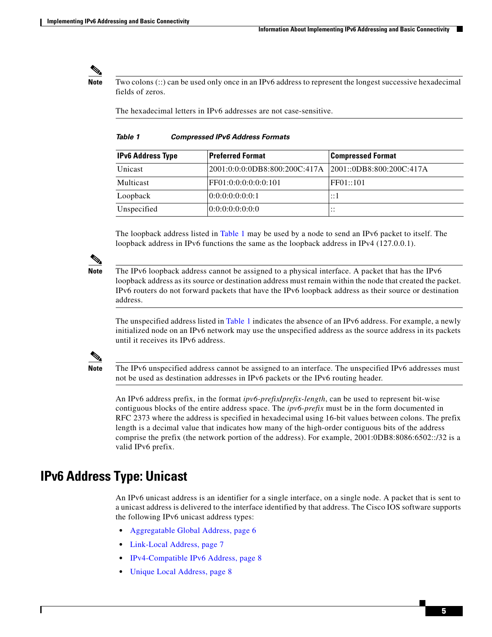<span id="page-4-1"></span>**Note** Two colons (::) can be used only once in an IPv6 address to represent the longest successive hexadecimal fields of zeros.

The hexadecimal letters in IPv6 addresses are not case-sensitive.

#### *Table 1 Compressed IPv6 Address Formats*

| <b>IPv6 Address Type</b> | <b>Preferred Format</b>       | <b>Compressed Format</b>     |
|--------------------------|-------------------------------|------------------------------|
| Unicast                  | 2001:0:0:0:0DB8:800:200C:417A | 2001::0DB8:800:200C:417A     |
| Multicast                | FF01:0:0:0:0:0:0:101          | FF01::101                    |
| Loopback                 | 0:0:0:0:0:0:0:1               | ::1                          |
| Unspecified              | 0.0:0:0:0:0:0:0               | $\cdot$ $\cdot$<br>$\cdot$ . |

The loopback address listed in [Table 1](#page-4-1) may be used by a node to send an IPv6 packet to itself. The loopback address in IPv6 functions the same as the loopback address in IPv4 (127.0.0.1).

**Note** The IPv6 loopback address cannot be assigned to a physical interface. A packet that has the IPv6 loopback address as its source or destination address must remain within the node that created the packet. IPv6 routers do not forward packets that have the IPv6 loopback address as their source or destination address.

The unspecified address listed in [Table 1](#page-4-1) indicates the absence of an IPv6 address. For example, a newly initialized node on an IPv6 network may use the unspecified address as the source address in its packets until it receives its IPv6 address.

**Note** The IPv6 unspecified address cannot be assigned to an interface. The unspecified IPv6 addresses must not be used as destination addresses in IPv6 packets or the IPv6 routing header.

An IPv6 address prefix, in the format *ipv6-prefix***/***prefix-length*, can be used to represent bit-wise contiguous blocks of the entire address space. The *ipv6-prefix* must be in the form documented in RFC 2373 where the address is specified in hexadecimal using 16-bit values between colons. The prefix length is a decimal value that indicates how many of the high-order contiguous bits of the address comprise the prefix (the network portion of the address). For example, 2001:0DB8:8086:6502::/32 is a valid IPv6 prefix.

## <span id="page-4-0"></span>**IPv6 Address Type: Unicast**

An IPv6 unicast address is an identifier for a single interface, on a single node. A packet that is sent to a unicast address is delivered to the interface identified by that address. The Cisco IOS software supports the following IPv6 unicast address types:

- **•** [Aggregatable Global Address, page 6](#page-5-0)
- **•** [Link-Local Address, page 7](#page-6-0)
- **•** [IPv4-Compatible IPv6 Address, page 8](#page-7-0)
- **•** [Unique Local Address, page 8](#page-7-1)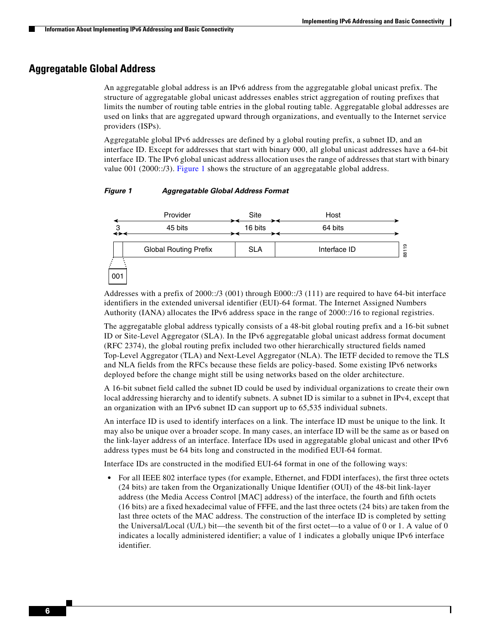### <span id="page-5-0"></span>**Aggregatable Global Address**

An aggregatable global address is an IPv6 address from the aggregatable global unicast prefix. The structure of aggregatable global unicast addresses enables strict aggregation of routing prefixes that limits the number of routing table entries in the global routing table. Aggregatable global addresses are used on links that are aggregated upward through organizations, and eventually to the Internet service providers (ISPs).

Aggregatable global IPv6 addresses are defined by a global routing prefix, a subnet ID, and an interface ID. Except for addresses that start with binary 000, all global unicast addresses have a 64-bit interface ID. The IPv6 global unicast address allocation uses the range of addresses that start with binary value 001 (2000::/3). [Figure 1](#page-5-1) shows the structure of an aggregatable global address.

#### <span id="page-5-1"></span>*Figure 1 Aggregatable Global Address Format*



Addresses with a prefix of 2000::/3 (001) through E000::/3 (111) are required to have 64-bit interface identifiers in the extended universal identifier (EUI)-64 format. The Internet Assigned Numbers Authority (IANA) allocates the IPv6 address space in the range of 2000::/16 to regional registries.

The aggregatable global address typically consists of a 48-bit global routing prefix and a 16-bit subnet ID or Site-Level Aggregator (SLA). In the IPv6 aggregatable global unicast address format document (RFC 2374), the global routing prefix included two other hierarchically structured fields named Top-Level Aggregator (TLA) and Next-Level Aggregator (NLA). The IETF decided to remove the TLS and NLA fields from the RFCs because these fields are policy-based. Some existing IPv6 networks deployed before the change might still be using networks based on the older architecture.

A 16-bit subnet field called the subnet ID could be used by individual organizations to create their own local addressing hierarchy and to identify subnets. A subnet ID is similar to a subnet in IPv4, except that an organization with an IPv6 subnet ID can support up to 65,535 individual subnets.

An interface ID is used to identify interfaces on a link. The interface ID must be unique to the link. It may also be unique over a broader scope. In many cases, an interface ID will be the same as or based on the link-layer address of an interface. Interface IDs used in aggregatable global unicast and other IPv6 address types must be 64 bits long and constructed in the modified EUI-64 format.

Interface IDs are constructed in the modified EUI-64 format in one of the following ways:

**•** For all IEEE 802 interface types (for example, Ethernet, and FDDI interfaces), the first three octets (24 bits) are taken from the Organizationally Unique Identifier (OUI) of the 48-bit link-layer address (the Media Access Control [MAC] address) of the interface, the fourth and fifth octets (16 bits) are a fixed hexadecimal value of FFFE, and the last three octets (24 bits) are taken from the last three octets of the MAC address. The construction of the interface ID is completed by setting the Universal/Local (U/L) bit—the seventh bit of the first octet—to a value of 0 or 1. A value of 0 indicates a locally administered identifier; a value of 1 indicates a globally unique IPv6 interface identifier.

 $\mathsf{l}$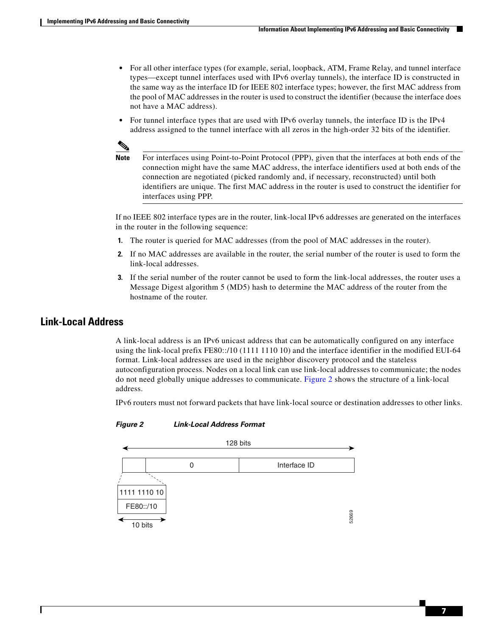- For all other interface types (for example, serial, loopback, ATM, Frame Relay, and tunnel interface types—except tunnel interfaces used with IPv6 overlay tunnels), the interface ID is constructed in the same way as the interface ID for IEEE 802 interface types; however, the first MAC address from the pool of MAC addresses in the router is used to construct the identifier (because the interface does not have a MAC address).
- For tunnel interface types that are used with IPv6 overlay tunnels, the interface ID is the IPv4 address assigned to the tunnel interface with all zeros in the high-order 32 bits of the identifier.



**Note** For interfaces using Point-to-Point Protocol (PPP), given that the interfaces at both ends of the connection might have the same MAC address, the interface identifiers used at both ends of the connection are negotiated (picked randomly and, if necessary, reconstructed) until both identifiers are unique. The first MAC address in the router is used to construct the identifier for interfaces using PPP.

If no IEEE 802 interface types are in the router, link-local IPv6 addresses are generated on the interfaces in the router in the following sequence:

- **1.** The router is queried for MAC addresses (from the pool of MAC addresses in the router).
- **2.** If no MAC addresses are available in the router, the serial number of the router is used to form the link-local addresses.
- **3.** If the serial number of the router cannot be used to form the link-local addresses, the router uses a Message Digest algorithm 5 (MD5) hash to determine the MAC address of the router from the hostname of the router.

### <span id="page-6-0"></span>**Link-Local Address**

A link-local address is an IPv6 unicast address that can be automatically configured on any interface using the link-local prefix FE80::/10 (1111 1110 10) and the interface identifier in the modified EUI-64 format. Link-local addresses are used in the neighbor discovery protocol and the stateless autoconfiguration process. Nodes on a local link can use link-local addresses to communicate; the nodes do not need globally unique addresses to communicate. [Figure 2](#page-6-1) shows the structure of a link-local address.

IPv6 routers must not forward packets that have link-local source or destination addresses to other links.



#### <span id="page-6-1"></span>*Figure 2 Link-Local Address Format*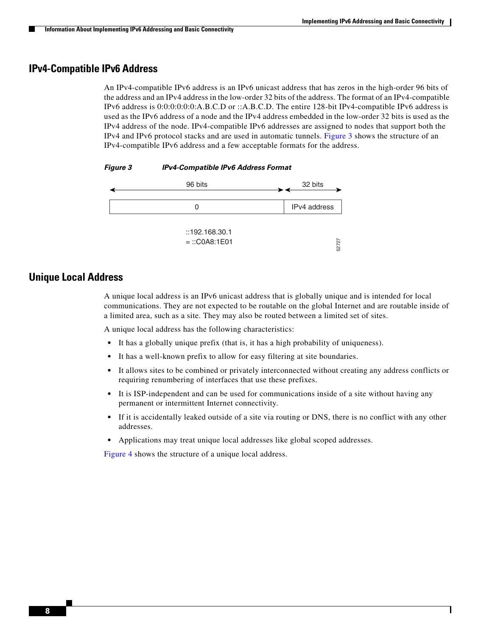Ι

### <span id="page-7-0"></span>**IPv4-Compatible IPv6 Address**

An IPv4-compatible IPv6 address is an IPv6 unicast address that has zeros in the high-order 96 bits of the address and an IPv4 address in the low-order 32 bits of the address. The format of an IPv4-compatible IPv6 address is 0:0:0:0:0:0:A.B.C.D or ::A.B.C.D. The entire 128-bit IPv4-compatible IPv6 address is used as the IPv6 address of a node and the IPv4 address embedded in the low-order 32 bits is used as the IPv4 address of the node. IPv4-compatible IPv6 addresses are assigned to nodes that support both the IPv4 and IPv6 protocol stacks and are used in automatic tunnels. [Figure 3](#page-7-2) shows the structure of an IPv4-compatible IPv6 address and a few acceptable formats for the address.

<span id="page-7-2"></span>

| <b>Figure 3</b> | <b>IPv4-Compatible IPv6 Address Format</b> |
|-----------------|--------------------------------------------|
|-----------------|--------------------------------------------|



### <span id="page-7-1"></span>**Unique Local Address**

A unique local address is an IPv6 unicast address that is globally unique and is intended for local communications. They are not expected to be routable on the global Internet and are routable inside of a limited area, such as a site. They may also be routed between a limited set of sites.

A unique local address has the following characteristics:

- It has a globally unique prefix (that is, it has a high probability of uniqueness).
- **•** It has a well-known prefix to allow for easy filtering at site boundaries.
- It allows sites to be combined or privately interconnected without creating any address conflicts or requiring renumbering of interfaces that use these prefixes.
- **•** It is ISP-independent and can be used for communications inside of a site without having any permanent or intermittent Internet connectivity.
- **•** If it is accidentally leaked outside of a site via routing or DNS, there is no conflict with any other addresses.
- **•** Applications may treat unique local addresses like global scoped addresses.

[Figure 4](#page-8-1) shows the structure of a unique local address.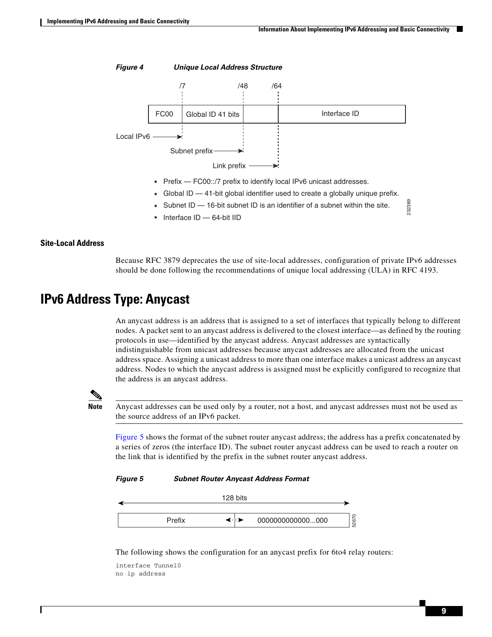232389

<span id="page-8-1"></span>

- Prefix FC00::/7 prefix to identify local IPv6 unicast addresses.
- Global ID 41-bit global identifier used to create a globally unique prefix.
- Subnet ID — 16-bit subnet ID is an identifier of a subnet within the site.
- Interface ID — 64-bit IID

#### **Site-Local Address**

Because RFC 3879 deprecates the use of site-local addresses, configuration of private IPv6 addresses should be done following the recommendations of unique local addressing (ULA) in RFC 4193.

## <span id="page-8-0"></span>**IPv6 Address Type: Anycast**

An anycast address is an address that is assigned to a set of interfaces that typically belong to different nodes. A packet sent to an anycast address is delivered to the closest interface—as defined by the routing protocols in use—identified by the anycast address. Anycast addresses are syntactically indistinguishable from unicast addresses because anycast addresses are allocated from the unicast address space. Assigning a unicast address to more than one interface makes a unicast address an anycast address. Nodes to which the anycast address is assigned must be explicitly configured to recognize that the address is an anycast address.

**Note** Anycast addresses can be used only by a router, not a host, and anycast addresses must not be used as the source address of an IPv6 packet.

[Figure 5](#page-8-2) shows the format of the subnet router anycast address; the address has a prefix concatenated by a series of zeros (the interface ID). The subnet router anycast address can be used to reach a router on the link that is identified by the prefix in the subnet router anycast address.

<span id="page-8-2"></span>*Figure 5 Subnet Router Anycast Address Format*

|        | 128 bits |                  |                 |
|--------|----------|------------------|-----------------|
| Prefix | ≺⊹≽      | 0000000000000000 | $\circ$<br>5267 |

The following shows the configuration for an anycast prefix for 6to4 relay routers:

```
interface Tunnel0
no ip address
```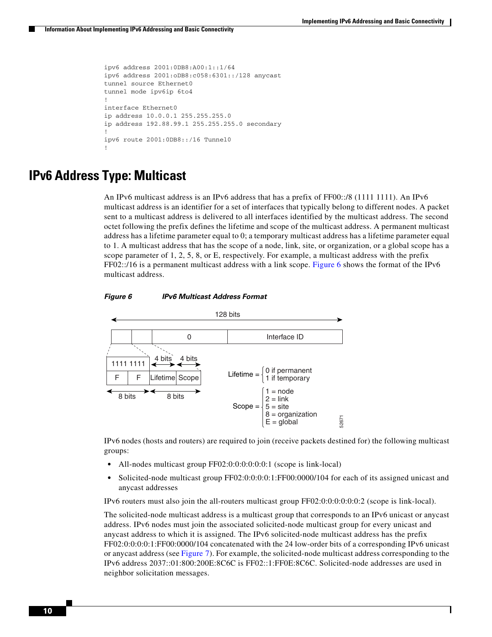```
ipv6 address 2001:0DB8:A00:1::1/64
ipv6 address 2001:oDB8:c058:6301::/128 anycast
tunnel source Ethernet0
tunnel mode ipv6ip 6to4
! 
interface Ethernet0
ip address 10.0.0.1 255.255.255.0
ip address 192.88.99.1 255.255.255.0 secondary 
! 
ipv6 route 2001:0DB8::/16 Tunnel0 
!
```
## <span id="page-9-0"></span>**IPv6 Address Type: Multicast**

An IPv6 multicast address is an IPv6 address that has a prefix of FF00::/8 (1111 1111). An IPv6 multicast address is an identifier for a set of interfaces that typically belong to different nodes. A packet sent to a multicast address is delivered to all interfaces identified by the multicast address. The second octet following the prefix defines the lifetime and scope of the multicast address. A permanent multicast address has a lifetime parameter equal to 0; a temporary multicast address has a lifetime parameter equal to 1. A multicast address that has the scope of a node, link, site, or organization, or a global scope has a scope parameter of 1, 2, 5, 8, or E, respectively. For example, a multicast address with the prefix FF02::/16 is a permanent multicast address with a link scope. [Figure 6](#page-9-1) shows the format of the IPv6 multicast address.

<span id="page-9-1"></span>



IPv6 nodes (hosts and routers) are required to join (receive packets destined for) the following multicast groups:

- All-nodes multicast group FF02:0:0:0:0:0:0:0:1 (scope is link-local)
- Solicited-node multicast group FF02:0:0:0:0:1:FF00:0000/104 for each of its assigned unicast and anycast addresses

IPv6 routers must also join the all-routers multicast group FF02:0:0:0:0:0:0:2 (scope is link-local).

The solicited-node multicast address is a multicast group that corresponds to an IPv6 unicast or anycast address. IPv6 nodes must join the associated solicited-node multicast group for every unicast and anycast address to which it is assigned. The IPv6 solicited-node multicast address has the prefix FF02:0:0:0:0:1:FF00:0000/104 concatenated with the 24 low-order bits of a corresponding IPv6 unicast or anycast address (see [Figure 7\)](#page-10-1). For example, the solicited-node multicast address corresponding to the IPv6 address 2037::01:800:200E:8C6C is FF02::1:FF0E:8C6C. Solicited-node addresses are used in neighbor solicitation messages.

Ι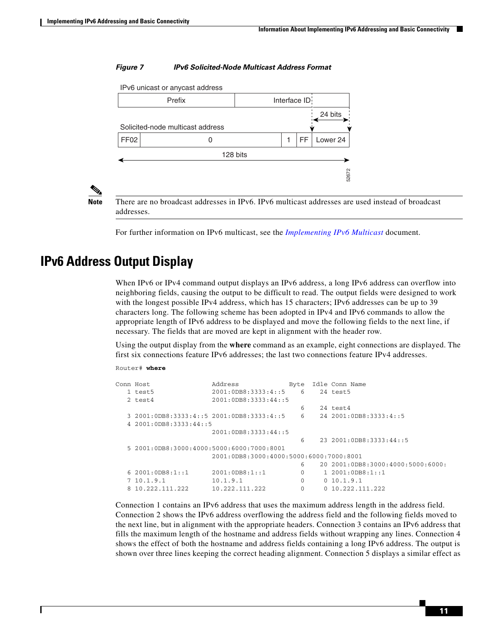#### <span id="page-10-1"></span>*Figure 7 IPv6 Solicited-Node Multicast Address Format*

IPv6 unicast or anycast address



I

**Note** There are no broadcast addresses in IPv6. IPv6 multicast addresses are used instead of broadcast addresses.

# <span id="page-10-0"></span>**IPv6 Address Output Display**

```
Router# where
```

|                                                                                 |                                                        |              | 52672                                                                                                                                                                                                                                                                                                                                                                                                                                                                                                                                                                                                                                            |  |
|---------------------------------------------------------------------------------|--------------------------------------------------------|--------------|--------------------------------------------------------------------------------------------------------------------------------------------------------------------------------------------------------------------------------------------------------------------------------------------------------------------------------------------------------------------------------------------------------------------------------------------------------------------------------------------------------------------------------------------------------------------------------------------------------------------------------------------------|--|
| addresses.                                                                      |                                                        |              | There are no broadcast addresses in IPv6. IPv6 multicast addresses are used instead of broadcast                                                                                                                                                                                                                                                                                                                                                                                                                                                                                                                                                 |  |
|                                                                                 |                                                        |              | For further information on IPv6 multicast, see the <i>Implementing IPv6 Multicast</i> document.                                                                                                                                                                                                                                                                                                                                                                                                                                                                                                                                                  |  |
| <b>Output Display</b>                                                           |                                                        |              |                                                                                                                                                                                                                                                                                                                                                                                                                                                                                                                                                                                                                                                  |  |
| necessary. The fields that are moved are kept in alignment with the header row. |                                                        |              | When IPv6 or IPv4 command output displays an IPv6 address, a long IPv6 address can overflow into<br>neighboring fields, causing the output to be difficult to read. The output fields were designed to work<br>with the longest possible IPv4 address, which has 15 characters; IPv6 addresses can be up to 39<br>characters long. The following scheme has been adopted in IPv4 and IPv6 commands to allow the<br>appropriate length of IPv6 address to be displayed and move the following fields to the next line, if                                                                                                                         |  |
|                                                                                 |                                                        |              | Using the output display from the <b>where</b> command as an example, eight connections are displayed. The<br>first six connections feature IPv6 addresses; the last two connections feature IPv4 addresses.                                                                                                                                                                                                                                                                                                                                                                                                                                     |  |
| Router# where                                                                   |                                                        |              |                                                                                                                                                                                                                                                                                                                                                                                                                                                                                                                                                                                                                                                  |  |
| Conn Host<br>1 test5<br>2 test4                                                 | Address<br>2001:0DB8:3333:4::5<br>2001:0DB8:3333:44::5 | Byte<br>6    | Idle Conn Name<br>24 test5                                                                                                                                                                                                                                                                                                                                                                                                                                                                                                                                                                                                                       |  |
|                                                                                 |                                                        | 6            | 24 test4                                                                                                                                                                                                                                                                                                                                                                                                                                                                                                                                                                                                                                         |  |
| 4 2001:0DB8:3333:44::5                                                          | 3 2001:0DB8:3333:4::5 2001:0DB8:3333:4::5              | 6            | 24 2001:0DB8:3333:4::5                                                                                                                                                                                                                                                                                                                                                                                                                                                                                                                                                                                                                           |  |
|                                                                                 | 2001:0DB8:3333:44::5                                   | 6            | 23 2001:0DB8:3333:44::5                                                                                                                                                                                                                                                                                                                                                                                                                                                                                                                                                                                                                          |  |
|                                                                                 | 5 2001:0DB8:3000:4000:5000:6000:7000:8001              |              |                                                                                                                                                                                                                                                                                                                                                                                                                                                                                                                                                                                                                                                  |  |
|                                                                                 | 2001:0DB8:3000:4000:5000:6000:7000:8001                |              |                                                                                                                                                                                                                                                                                                                                                                                                                                                                                                                                                                                                                                                  |  |
|                                                                                 |                                                        | 6            | 20 2001:0DB8:3000:4000:5000:6000:                                                                                                                                                                                                                                                                                                                                                                                                                                                                                                                                                                                                                |  |
| 6 2001:0DB8:1:1                                                                 | 2001:0DB8:1::1                                         | $\mathbf{0}$ | 1 2001:0DB8:1:1                                                                                                                                                                                                                                                                                                                                                                                                                                                                                                                                                                                                                                  |  |
| 710.1.9.1                                                                       | 10.1.9.1                                               | 0            | 0 10.1.9.1                                                                                                                                                                                                                                                                                                                                                                                                                                                                                                                                                                                                                                       |  |
| 8 10.222.111.222                                                                | 10.222.111.222                                         | $\mathbf{0}$ | 0 10.222.111.222                                                                                                                                                                                                                                                                                                                                                                                                                                                                                                                                                                                                                                 |  |
|                                                                                 |                                                        |              | Connection 1 contains an IPv6 address that uses the maximum address length in the address field.<br>Connection 2 shows the IPv6 address overflowing the address field and the following fields moved to<br>the next line, but in alignment with the appropriate headers. Connection 3 contains an IPv6 address that<br>fills the maximum length of the hostname and address fields without wrapping any lines. Connection 4<br>shows the effect of both the hostname and address fields containing a long IPv6 address. The output is<br>shown over three lines keeping the correct heading alignment. Connection 5 displays a similar effect as |  |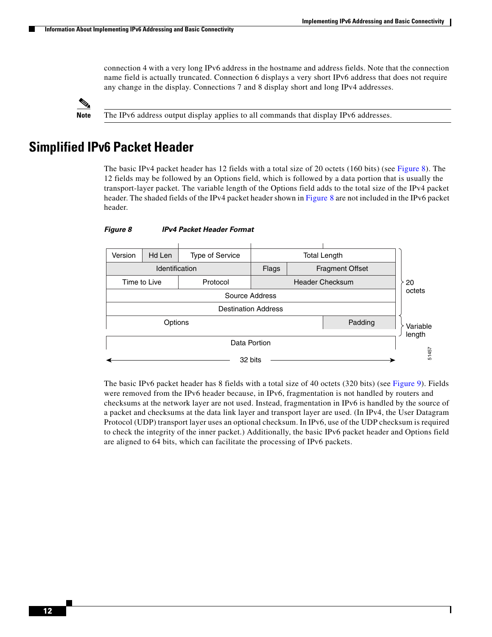Ι

connection 4 with a very long IPv6 address in the hostname and address fields. Note that the connection name field is actually truncated. Connection 6 displays a very short IPv6 address that does not require any change in the display. Connections 7 and 8 display short and long IPv4 addresses.



**Note** The IPv6 address output display applies to all commands that display IPv6 addresses.

## <span id="page-11-0"></span>**Simplified IPv6 Packet Header**

The basic IPv4 packet header has 12 fields with a total size of 20 octets (160 bits) (see [Figure 8\)](#page-11-1). The 12 fields may be followed by an Options field, which is followed by a data portion that is usually the transport-layer packet. The variable length of the Options field adds to the total size of the IPv4 packet header. The shaded fields of the IPv4 packet header shown in [Figure 8](#page-11-1) are not included in the IPv6 packet header.



#### <span id="page-11-1"></span>*Figure 8 IPv4 Packet Header Format*

The basic IPv6 packet header has 8 fields with a total size of 40 octets (320 bits) (see [Figure 9](#page-12-0)). Fields were removed from the IPv6 header because, in IPv6, fragmentation is not handled by routers and checksums at the network layer are not used. Instead, fragmentation in IPv6 is handled by the source of a packet and checksums at the data link layer and transport layer are used. (In IPv4, the User Datagram Protocol (UDP) transport layer uses an optional checksum. In IPv6, use of the UDP checksum is required to check the integrity of the inner packet.) Additionally, the basic IPv6 packet header and Options field are aligned to 64 bits, which can facilitate the processing of IPv6 packets.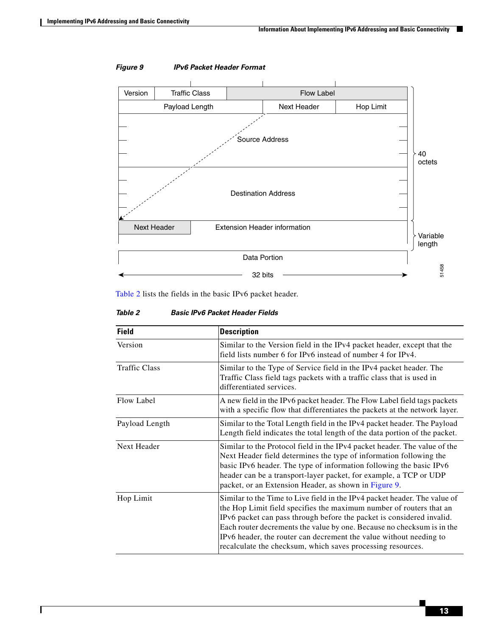$\overline{\phantom{a}}$ 



#### <span id="page-12-0"></span>*Figure 9 IPv6 Packet Header Format*

[Table 2](#page-12-1) lists the fields in the basic IPv6 packet header.

<span id="page-12-1"></span>

| <b>Table 2</b> | <b>Basic IPv6 Packet Header Fields</b> |
|----------------|----------------------------------------|
|                |                                        |

| <b>Field</b>         | <b>Description</b>                                                                                                                                                                                                                                                                                                                                                                                                                       |
|----------------------|------------------------------------------------------------------------------------------------------------------------------------------------------------------------------------------------------------------------------------------------------------------------------------------------------------------------------------------------------------------------------------------------------------------------------------------|
| Version              | Similar to the Version field in the IPv4 packet header, except that the<br>field lists number 6 for IPv6 instead of number 4 for IPv4.                                                                                                                                                                                                                                                                                                   |
| <b>Traffic Class</b> | Similar to the Type of Service field in the IPv4 packet header. The<br>Traffic Class field tags packets with a traffic class that is used in<br>differentiated services.                                                                                                                                                                                                                                                                 |
| Flow Label           | A new field in the IPv6 packet header. The Flow Label field tags packets<br>with a specific flow that differentiates the packets at the network layer.                                                                                                                                                                                                                                                                                   |
| Payload Length       | Similar to the Total Length field in the IPv4 packet header. The Payload<br>Length field indicates the total length of the data portion of the packet.                                                                                                                                                                                                                                                                                   |
| Next Header          | Similar to the Protocol field in the IPv4 packet header. The value of the<br>Next Header field determines the type of information following the<br>basic IPv6 header. The type of information following the basic IPv6<br>header can be a transport-layer packet, for example, a TCP or UDP<br>packet, or an Extension Header, as shown in Figure 9.                                                                                     |
| Hop Limit            | Similar to the Time to Live field in the IPv4 packet header. The value of<br>the Hop Limit field specifies the maximum number of routers that an<br>IPv6 packet can pass through before the packet is considered invalid.<br>Each router decrements the value by one. Because no checksum is in the<br>IPv6 header, the router can decrement the value without needing to<br>recalculate the checksum, which saves processing resources. |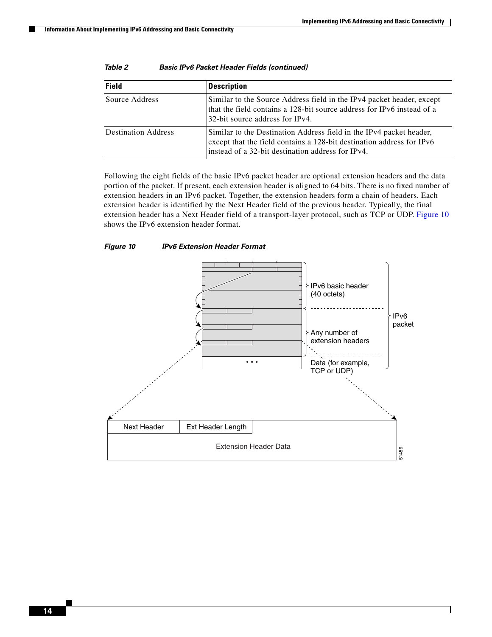ן

| <b>Field</b>               | <b>Description</b>                                                                                                                                                                                |
|----------------------------|---------------------------------------------------------------------------------------------------------------------------------------------------------------------------------------------------|
| Source Address             | Similar to the Source Address field in the IPv4 packet header, except<br>that the field contains a 128-bit source address for IPv6 instead of a<br>32-bit source address for IPv4.                |
| <b>Destination Address</b> | Similar to the Destination Address field in the IPv4 packet header,<br>except that the field contains a 128-bit destination address for IPv6<br>instead of a 32-bit destination address for IPv4. |

| <b>Basic IPv6 Packet Header Fields (continued)</b> |
|----------------------------------------------------|
|                                                    |

Following the eight fields of the basic IPv6 packet header are optional extension headers and the data portion of the packet. If present, each extension header is aligned to 64 bits. There is no fixed number of extension headers in an IPv6 packet. Together, the extension headers form a chain of headers. Each extension header is identified by the Next Header field of the previous header. Typically, the final extension header has a Next Header field of a transport-layer protocol, such as TCP or UDP. [Figure 10](#page-13-0) shows the IPv6 extension header format.

<span id="page-13-0"></span>*Figure 10 IPv6 Extension Header Format*

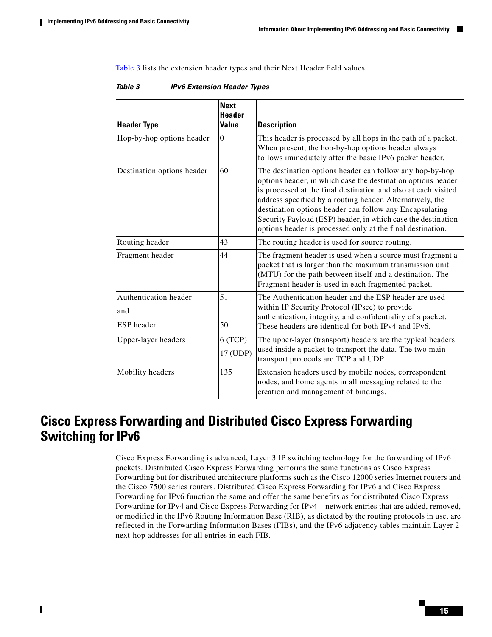$\mathbf I$ 

a ka

[Table 3](#page-14-1) lists the extension header types and their Next Header field values.

| <b>Header Type</b>                         | <b>Next</b><br><b>Header</b><br><b>Value</b> | <b>Description</b>                                                                                                                                                                                                                                                                                                                                                                                                                               |
|--------------------------------------------|----------------------------------------------|--------------------------------------------------------------------------------------------------------------------------------------------------------------------------------------------------------------------------------------------------------------------------------------------------------------------------------------------------------------------------------------------------------------------------------------------------|
| Hop-by-hop options header                  | $\Omega$                                     | This header is processed by all hops in the path of a packet.<br>When present, the hop-by-hop options header always<br>follows immediately after the basic IPv6 packet header.                                                                                                                                                                                                                                                                   |
| Destination options header                 | 60                                           | The destination options header can follow any hop-by-hop<br>options header, in which case the destination options header<br>is processed at the final destination and also at each visited<br>address specified by a routing header. Alternatively, the<br>destination options header can follow any Encapsulating<br>Security Payload (ESP) header, in which case the destination<br>options header is processed only at the final destination. |
| Routing header                             | 43                                           | The routing header is used for source routing.                                                                                                                                                                                                                                                                                                                                                                                                   |
| Fragment header                            | 44                                           | The fragment header is used when a source must fragment a<br>packet that is larger than the maximum transmission unit<br>(MTU) for the path between itself and a destination. The<br>Fragment header is used in each fragmented packet.                                                                                                                                                                                                          |
| Authentication header<br>and<br>ESP header | 51<br>50                                     | The Authentication header and the ESP header are used<br>within IP Security Protocol (IPsec) to provide<br>authentication, integrity, and confidentiality of a packet.<br>These headers are identical for both IPv4 and IPv6.                                                                                                                                                                                                                    |
| Upper-layer headers                        | 6(TCP)<br>17 (UDP)                           | The upper-layer (transport) headers are the typical headers<br>used inside a packet to transport the data. The two main<br>transport protocols are TCP and UDP.                                                                                                                                                                                                                                                                                  |
| Mobility headers                           | 135                                          | Extension headers used by mobile nodes, correspondent<br>nodes, and home agents in all messaging related to the<br>creation and management of bindings.                                                                                                                                                                                                                                                                                          |

<span id="page-14-1"></span>

| Table 3 | <b>IPv6 Extension Header Types</b> |  |  |
|---------|------------------------------------|--|--|
|---------|------------------------------------|--|--|

## <span id="page-14-0"></span>**Cisco Express Forwarding and Distributed Cisco Express Forwarding Switching for IPv6**

Cisco Express Forwarding is advanced, Layer 3 IP switching technology for the forwarding of IPv6 packets. Distributed Cisco Express Forwarding performs the same functions as Cisco Express Forwarding but for distributed architecture platforms such as the Cisco 12000 series Internet routers and the Cisco 7500 series routers. Distributed Cisco Express Forwarding for IPv6 and Cisco Express Forwarding for IPv6 function the same and offer the same benefits as for distributed Cisco Express Forwarding for IPv4 and Cisco Express Forwarding for IPv4—network entries that are added, removed, or modified in the IPv6 Routing Information Base (RIB), as dictated by the routing protocols in use, are reflected in the Forwarding Information Bases (FIBs), and the IPv6 adjacency tables maintain Layer 2 next-hop addresses for all entries in each FIB.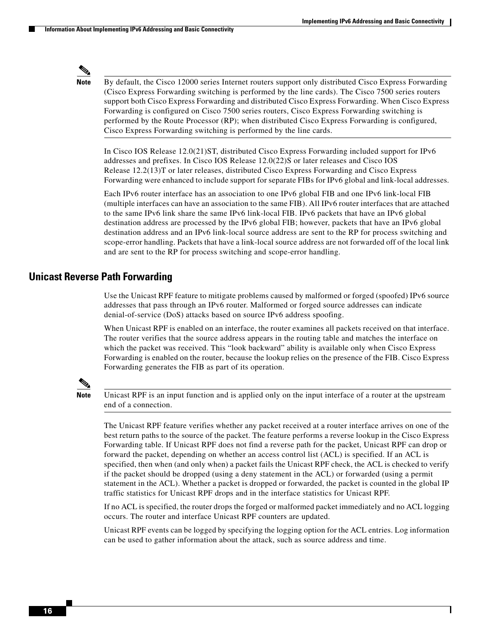

Note By default, the Cisco 12000 series Internet routers support only distributed Cisco Express Forwarding (Cisco Express Forwarding switching is performed by the line cards). The Cisco 7500 series routers support both Cisco Express Forwarding and distributed Cisco Express Forwarding. When Cisco Express Forwarding is configured on Cisco 7500 series routers, Cisco Express Forwarding switching is performed by the Route Processor (RP); when distributed Cisco Express Forwarding is configured, Cisco Express Forwarding switching is performed by the line cards.

In Cisco IOS Release 12.0(21)ST, distributed Cisco Express Forwarding included support for IPv6 addresses and prefixes. In Cisco IOS Release 12.0(22)S or later releases and Cisco IOS Release 12.2(13)T or later releases, distributed Cisco Express Forwarding and Cisco Express Forwarding were enhanced to include support for separate FIBs for IPv6 global and link-local addresses.

Each IPv6 router interface has an association to one IPv6 global FIB and one IPv6 link-local FIB (multiple interfaces can have an association to the same FIB). All IPv6 router interfaces that are attached to the same IPv6 link share the same IPv6 link-local FIB. IPv6 packets that have an IPv6 global destination address are processed by the IPv6 global FIB; however, packets that have an IPv6 global destination address and an IPv6 link-local source address are sent to the RP for process switching and scope-error handling. Packets that have a link-local source address are not forwarded off of the local link and are sent to the RP for process switching and scope-error handling.

### <span id="page-15-0"></span>**Unicast Reverse Path Forwarding**

Use the Unicast RPF feature to mitigate problems caused by malformed or forged (spoofed) IPv6 source addresses that pass through an IPv6 router. Malformed or forged source addresses can indicate denial-of-service (DoS) attacks based on source IPv6 address spoofing.

When Unicast RPF is enabled on an interface, the router examines all packets received on that interface. The router verifies that the source address appears in the routing table and matches the interface on which the packet was received. This "look backward" ability is available only when Cisco Express Forwarding is enabled on the router, because the lookup relies on the presence of the FIB. Cisco Express Forwarding generates the FIB as part of its operation.



**Note** Unicast RPF is an input function and is applied only on the input interface of a router at the upstream end of a connection.

The Unicast RPF feature verifies whether any packet received at a router interface arrives on one of the best return paths to the source of the packet. The feature performs a reverse lookup in the Cisco Express Forwarding table. If Unicast RPF does not find a reverse path for the packet, Unicast RPF can drop or forward the packet, depending on whether an access control list (ACL) is specified. If an ACL is specified, then when (and only when) a packet fails the Unicast RPF check, the ACL is checked to verify if the packet should be dropped (using a deny statement in the ACL) or forwarded (using a permit statement in the ACL). Whether a packet is dropped or forwarded, the packet is counted in the global IP traffic statistics for Unicast RPF drops and in the interface statistics for Unicast RPF.

If no ACL is specified, the router drops the forged or malformed packet immediately and no ACL logging occurs. The router and interface Unicast RPF counters are updated.

Unicast RPF events can be logged by specifying the logging option for the ACL entries. Log information can be used to gather information about the attack, such as source address and time.

Ι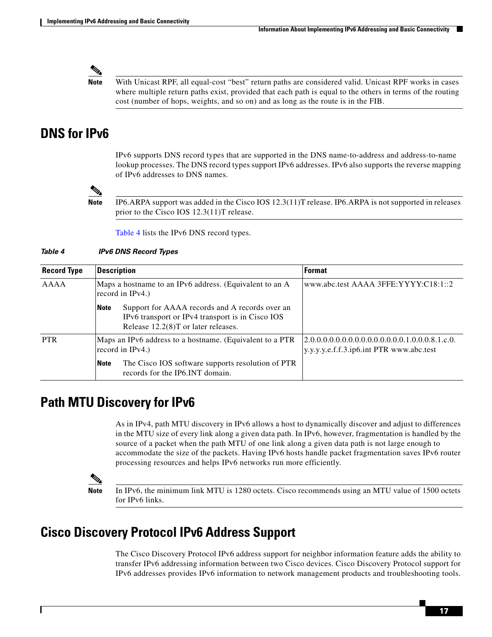**Note** With Unicast RPF, all equal-cost "best" return paths are considered valid. Unicast RPF works in cases where multiple return paths exist, provided that each path is equal to the others in terms of the routing cost (number of hops, weights, and so on) and as long as the route is in the FIB.

## <span id="page-16-0"></span>**DNS for IPv6**

IPv6 supports DNS record types that are supported in the DNS name-to-address and address-to-name lookup processes. The DNS record types support IPv6 addresses. IPv6 also supports the reverse mapping of IPv6 addresses to DNS names.

**Note** IP6.ARPA support was added in the Cisco IOS 12.3(11)T release. IP6.ARPA is not supported in releases prior to the Cisco IOS 12.3(11)T release.

[Table 4](#page-16-3) lists the IPv6 DNS record types.

#### <span id="page-16-3"></span>*Table 4 IPv6 DNS Record Types*

| <b>Record Type</b> | <b>Description</b>                                                                                                                                          | <b>Format</b>                                                                                 |
|--------------------|-------------------------------------------------------------------------------------------------------------------------------------------------------------|-----------------------------------------------------------------------------------------------|
| AAAA               | Maps a hostname to an IPv6 address. (Equivalent to an A<br>record in IPv4.)                                                                                 | www.abc.test AAAA 3FFE:YYYY:C18:1::2                                                          |
|                    | Support for AAAA records and A records over an<br><b>Note</b><br>IPv6 transport or IPv4 transport is in Cisco IOS<br>Release $12.2(8)$ T or later releases. |                                                                                               |
| <b>PTR</b>         | Maps an IPv6 address to a hostname. (Equivalent to a PTR<br>record in $IPv4$ .)                                                                             | $(2.0.0.0.0.0.0.0.0.0.0.0.0.0.0.0.1.0.0.8.1.c.0.$<br>y.y.y.y.e.f.f.3.ip6.int PTR www.abc.test |
|                    | The Cisco IOS software supports resolution of PTR<br><b>Note</b><br>records for the IP6. INT domain.                                                        |                                                                                               |

## <span id="page-16-1"></span>**Path MTU Discovery for IPv6**

As in IPv4, path MTU discovery in IPv6 allows a host to dynamically discover and adjust to differences in the MTU size of every link along a given data path. In IPv6, however, fragmentation is handled by the source of a packet when the path MTU of one link along a given data path is not large enough to accommodate the size of the packets. Having IPv6 hosts handle packet fragmentation saves IPv6 router processing resources and helps IPv6 networks run more efficiently.

**Note** In IPv6, the minimum link MTU is 1280 octets. Cisco recommends using an MTU value of 1500 octets for IPv6 links.

## <span id="page-16-2"></span>**Cisco Discovery Protocol IPv6 Address Support**

The Cisco Discovery Protocol IPv6 address support for neighbor information feature adds the ability to transfer IPv6 addressing information between two Cisco devices. Cisco Discovery Protocol support for IPv6 addresses provides IPv6 information to network management products and troubleshooting tools.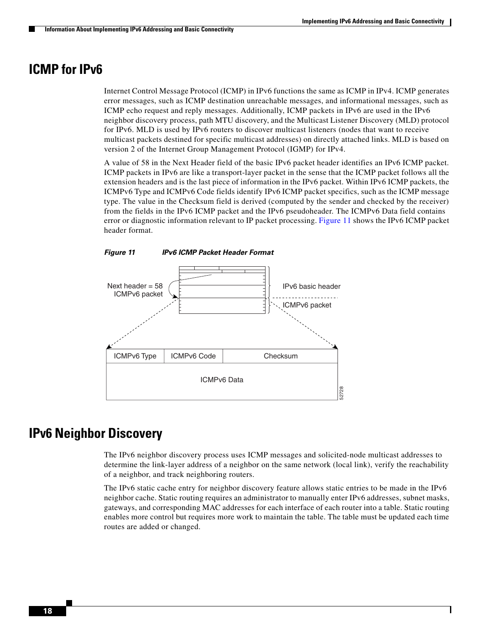$\mathsf{l}$ 

## <span id="page-17-0"></span>**ICMP for IPv6**

Internet Control Message Protocol (ICMP) in IPv6 functions the same as ICMP in IPv4. ICMP generates error messages, such as ICMP destination unreachable messages, and informational messages, such as ICMP echo request and reply messages. Additionally, ICMP packets in IPv6 are used in the IPv6 neighbor discovery process, path MTU discovery, and the Multicast Listener Discovery (MLD) protocol for IPv6. MLD is used by IPv6 routers to discover multicast listeners (nodes that want to receive multicast packets destined for specific multicast addresses) on directly attached links. MLD is based on version 2 of the Internet Group Management Protocol (IGMP) for IPv4.

A value of 58 in the Next Header field of the basic IPv6 packet header identifies an IPv6 ICMP packet. ICMP packets in IPv6 are like a transport-layer packet in the sense that the ICMP packet follows all the extension headers and is the last piece of information in the IPv6 packet. Within IPv6 ICMP packets, the ICMPv6 Type and ICMPv6 Code fields identify IPv6 ICMP packet specifics, such as the ICMP message type. The value in the Checksum field is derived (computed by the sender and checked by the receiver) from the fields in the IPv6 ICMP packet and the IPv6 pseudoheader. The ICMPv6 Data field contains error or diagnostic information relevant to IP packet processing. [Figure 11](#page-17-2) shows the IPv6 ICMP packet header format.

<span id="page-17-2"></span>



## <span id="page-17-1"></span>**IPv6 Neighbor Discovery**

The IPv6 neighbor discovery process uses ICMP messages and solicited-node multicast addresses to determine the link-layer address of a neighbor on the same network (local link), verify the reachability of a neighbor, and track neighboring routers.

The IPv6 static cache entry for neighbor discovery feature allows static entries to be made in the IPv6 neighbor cache. Static routing requires an administrator to manually enter IPv6 addresses, subnet masks, gateways, and corresponding MAC addresses for each interface of each router into a table. Static routing enables more control but requires more work to maintain the table. The table must be updated each time routes are added or changed.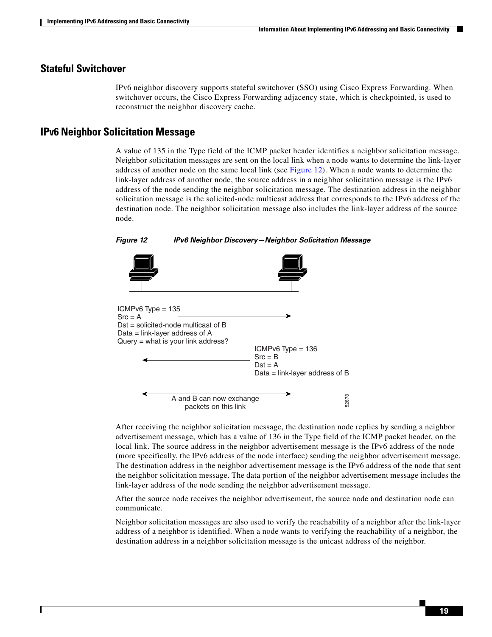### **Stateful Switchover**

IPv6 neighbor discovery supports stateful switchover (SSO) using Cisco Express Forwarding. When switchover occurs, the Cisco Express Forwarding adjacency state, which is checkpointed, is used to reconstruct the neighbor discovery cache.

### <span id="page-18-1"></span>**IPv6 Neighbor Solicitation Message**

A value of 135 in the Type field of the ICMP packet header identifies a neighbor solicitation message. Neighbor solicitation messages are sent on the local link when a node wants to determine the link-layer address of another node on the same local link (see [Figure 12](#page-18-0)). When a node wants to determine the link-layer address of another node, the source address in a neighbor solicitation message is the IPv6 address of the node sending the neighbor solicitation message. The destination address in the neighbor solicitation message is the solicited-node multicast address that corresponds to the IPv6 address of the destination node. The neighbor solicitation message also includes the link-layer address of the source node.



#### <span id="page-18-0"></span>*Figure 12 IPv6 Neighbor Discovery—Neighbor Solicitation Message*



After receiving the neighbor solicitation message, the destination node replies by sending a neighbor advertisement message, which has a value of 136 in the Type field of the ICMP packet header, on the local link. The source address in the neighbor advertisement message is the IPv6 address of the node (more specifically, the IPv6 address of the node interface) sending the neighbor advertisement message. The destination address in the neighbor advertisement message is the IPv6 address of the node that sent the neighbor solicitation message. The data portion of the neighbor advertisement message includes the link-layer address of the node sending the neighbor advertisement message. A and B can now exchange<br>
packets on this link<br>
After receiving the neighbor solicitation message, the destination node replies by sending a<br>
advertisement message, which has a value of 136 in the Type field of the ICMP pa

After the source node receives the neighbor advertisement, the source node and destination node can communicate.

Neighbor solicitation messages are also used to verify the reachability of a neighbor after the link-layer address of a neighbor is identified. When a node wants to verifying the reachability of a neighbor, the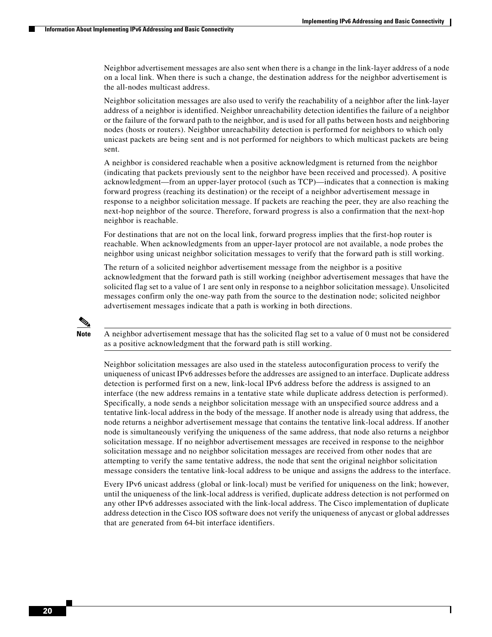Ι

Neighbor advertisement messages are also sent when there is a change in the link-layer address of a node on a local link. When there is such a change, the destination address for the neighbor advertisement is the all-nodes multicast address.

Neighbor solicitation messages are also used to verify the reachability of a neighbor after the link-layer address of a neighbor is identified. Neighbor unreachability detection identifies the failure of a neighbor or the failure of the forward path to the neighbor, and is used for all paths between hosts and neighboring nodes (hosts or routers). Neighbor unreachability detection is performed for neighbors to which only unicast packets are being sent and is not performed for neighbors to which multicast packets are being sent.

A neighbor is considered reachable when a positive acknowledgment is returned from the neighbor (indicating that packets previously sent to the neighbor have been received and processed). A positive acknowledgment—from an upper-layer protocol (such as TCP)—indicates that a connection is making forward progress (reaching its destination) or the receipt of a neighbor advertisement message in response to a neighbor solicitation message. If packets are reaching the peer, they are also reaching the next-hop neighbor of the source. Therefore, forward progress is also a confirmation that the next-hop neighbor is reachable.

For destinations that are not on the local link, forward progress implies that the first-hop router is reachable. When acknowledgments from an upper-layer protocol are not available, a node probes the neighbor using unicast neighbor solicitation messages to verify that the forward path is still working.

The return of a solicited neighbor advertisement message from the neighbor is a positive acknowledgment that the forward path is still working (neighbor advertisement messages that have the solicited flag set to a value of 1 are sent only in response to a neighbor solicitation message). Unsolicited messages confirm only the one-way path from the source to the destination node; solicited neighbor advertisement messages indicate that a path is working in both directions.



**Note** A neighbor advertisement message that has the solicited flag set to a value of 0 must not be considered as a positive acknowledgment that the forward path is still working.

Neighbor solicitation messages are also used in the stateless autoconfiguration process to verify the uniqueness of unicast IPv6 addresses before the addresses are assigned to an interface. Duplicate address detection is performed first on a new, link-local IPv6 address before the address is assigned to an interface (the new address remains in a tentative state while duplicate address detection is performed). Specifically, a node sends a neighbor solicitation message with an unspecified source address and a tentative link-local address in the body of the message. If another node is already using that address, the node returns a neighbor advertisement message that contains the tentative link-local address. If another node is simultaneously verifying the uniqueness of the same address, that node also returns a neighbor solicitation message. If no neighbor advertisement messages are received in response to the neighbor solicitation message and no neighbor solicitation messages are received from other nodes that are attempting to verify the same tentative address, the node that sent the original neighbor solicitation message considers the tentative link-local address to be unique and assigns the address to the interface.

Every IPv6 unicast address (global or link-local) must be verified for uniqueness on the link; however, until the uniqueness of the link-local address is verified, duplicate address detection is not performed on any other IPv6 addresses associated with the link-local address. The Cisco implementation of duplicate address detection in the Cisco IOS software does not verify the uniqueness of anycast or global addresses that are generated from 64-bit interface identifiers.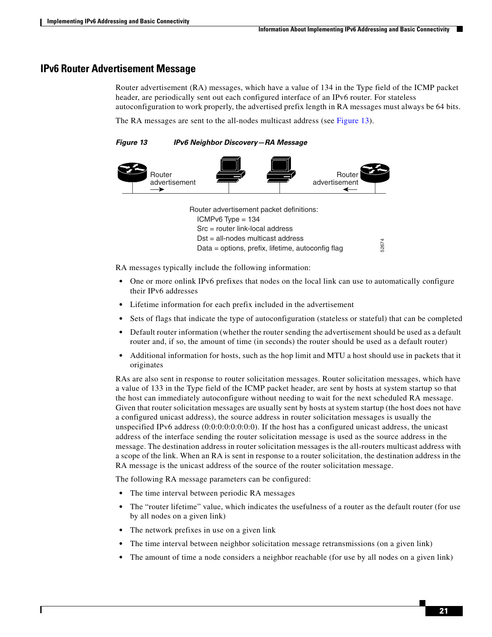### <span id="page-20-1"></span>**IPv6 Router Advertisement Message**

Router advertisement (RA) messages, which have a value of 134 in the Type field of the ICMP packet header, are periodically sent out each configured interface of an IPv6 router. For stateless autoconfiguration to work properly, the advertised prefix length in RA messages must always be 64 bits.

The RA messages are sent to the all-nodes multicast address (see [Figure 13\)](#page-20-0).

<span id="page-20-0"></span>*Figure 13 IPv6 Neighbor Discovery—RA Message*



Router advertisement packet definitions:  $ICMPv6$  Type = 134 Src = router link-local address Dst = all-nodes multicast address Data = options, prefix, lifetime, autoconfig flag

RA messages typically include the following information:

- One or more onlink IPv6 prefixes that nodes on the local link can use to automatically configure their IPv6 addresses
- **•** Lifetime information for each prefix included in the advertisement
- **•** Sets of flags that indicate the type of autoconfiguration (stateless or stateful) that can be completed
- Default router information (whether the router sending the advertisement should be used as a default router and, if so, the amount of time (in seconds) the router should be used as a default router)
- **•** Additional information for hosts, such as the hop limit and MTU a host should use in packets that it originates

RAs are also sent in response to router solicitation messages. Router solicitation messages, which have a value of 133 in the Type field of the ICMP packet header, are sent by hosts at system startup so that the host can immediately autoconfigure without needing to wait for the next scheduled RA message. Given that router solicitation messages are usually sent by hosts at system startup (the host does not have a configured unicast address), the source address in router solicitation messages is usually the unspecified IPv6 address (0:0:0:0:0:0:0:0). If the host has a configured unicast address, the unicast address of the interface sending the router solicitation message is used as the source address in the message. The destination address in router solicitation messages is the all-routers multicast address with a scope of the link. When an RA is sent in response to a router solicitation, the destination address in the RA message is the unicast address of the source of the router solicitation message. **••** The amothemotion of the amothemotical information:<br> **••** The correct onlink IPv6 prefixes that nodes on the local link can use to automatically configure<br> **••** One or more onlink IPv6 prefixes that nodes on the local

The following RA message parameters can be configured:

- **•** The time interval between periodic RA messages
- **•** The "router lifetime" value, which indicates the usefulness of a router as the default router (for use by all nodes on a given link)
- **•** The network prefixes in use on a given link
- The time interval between neighbor solicitation message retransmissions (on a given link)
-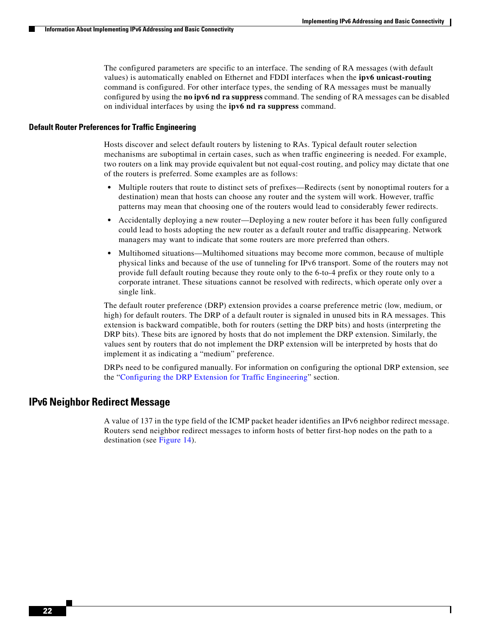Ι

The configured parameters are specific to an interface. The sending of RA messages (with default values) is automatically enabled on Ethernet and FDDI interfaces when the **ipv6 unicast-routing** command is configured. For other interface types, the sending of RA messages must be manually configured by using the **no ipv6 nd ra suppress** command. The sending of RA messages can be disabled on individual interfaces by using the **ipv6 nd ra suppress** command.

#### <span id="page-21-1"></span>**Default Router Preferences for Traffic Engineering**

Hosts discover and select default routers by listening to RAs. Typical default router selection mechanisms are suboptimal in certain cases, such as when traffic engineering is needed. For example, two routers on a link may provide equivalent but not equal-cost routing, and policy may dictate that one of the routers is preferred. Some examples are as follows:

- Multiple routers that route to distinct sets of prefixes—Redirects (sent by nonoptimal routers for a destination) mean that hosts can choose any router and the system will work. However, traffic patterns may mean that choosing one of the routers would lead to considerably fewer redirects.
- Accidentally deploying a new router—Deploying a new router before it has been fully configured could lead to hosts adopting the new router as a default router and traffic disappearing. Network managers may want to indicate that some routers are more preferred than others.
- **•** Multihomed situations—Multihomed situations may become more common, because of multiple physical links and because of the use of tunneling for IPv6 transport. Some of the routers may not provide full default routing because they route only to the 6-to-4 prefix or they route only to a corporate intranet. These situations cannot be resolved with redirects, which operate only over a single link.

The default router preference (DRP) extension provides a coarse preference metric (low, medium, or high) for default routers. The DRP of a default router is signaled in unused bits in RA messages. This extension is backward compatible, both for routers (setting the DRP bits) and hosts (interpreting the DRP bits). These bits are ignored by hosts that do not implement the DRP extension. Similarly, the values sent by routers that do not implement the DRP extension will be interpreted by hosts that do implement it as indicating a "medium" preference.

DRPs need to be configured manually. For information on configuring the optional DRP extension, see the "[Configuring the DRP Extension for Traffic Engineering](#page-34-0)" section.

### <span id="page-21-0"></span>**IPv6 Neighbor Redirect Message**

A value of 137 in the type field of the ICMP packet header identifies an IPv6 neighbor redirect message. Routers send neighbor redirect messages to inform hosts of better first-hop nodes on the path to a destination (see [Figure 14](#page-22-0)).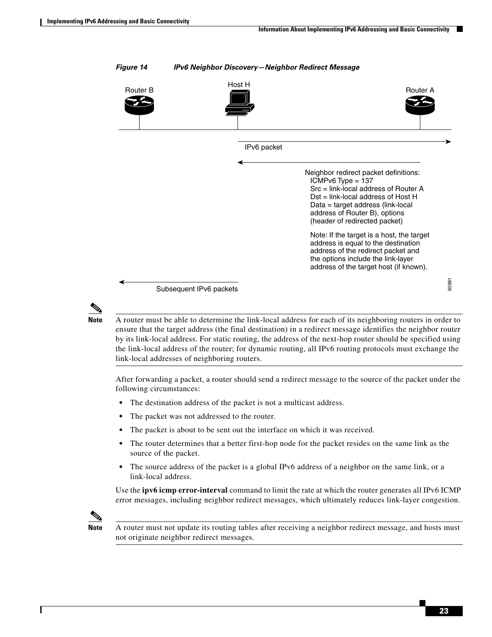

#### <span id="page-22-0"></span>*Figure 14 IPv6 Neighbor Discovery—Neighbor Redirect Message*



**Note** A router must be able to determine the link-local address for each of its neighboring routers in order to ensure that the target address (the final destination) in a redirect message identifies the neighbor router by its link-local address. For static routing, the address of the next-hop router should be specified using the link-local address of the router; for dynamic routing, all IPv6 routing protocols must exchange the link-local addresses of neighboring routers.

After forwarding a packet, a router should send a redirect message to the source of the packet under the following circumstances:

- **•** The destination address of the packet is not a multicast address.
- The packet was not addressed to the router.
- The packet is about to be sent out the interface on which it was received.
- **•** The router determines that a better first-hop node for the packet resides on the same link as the source of the packet.
- **•** The source address of the packet is a global IPv6 address of a neighbor on the same link, or a link-local address.

Use the **ipv6 icmp error-interval** command to limit the rate at which the router generates all IPv6 ICMP error messages, including neighbor redirect messages, which ultimately reduces link-layer congestion.



**Note** A router must not update its routing tables after receiving a neighbor redirect message, and hosts must not originate neighbor redirect messages.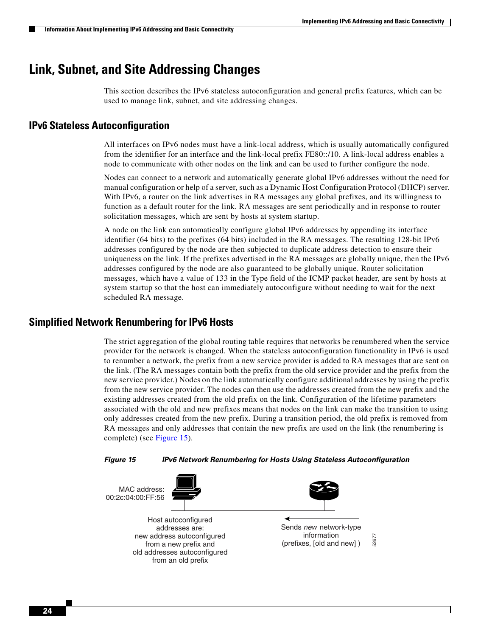$\mathsf{l}$ 

## <span id="page-23-0"></span>**Link, Subnet, and Site Addressing Changes**

This section describes the IPv6 stateless autoconfiguration and general prefix features, which can be used to manage link, subnet, and site addressing changes.

### <span id="page-23-2"></span>**IPv6 Stateless Autoconfiguration**

All interfaces on IPv6 nodes must have a link-local address, which is usually automatically configured from the identifier for an interface and the link-local prefix FE80::/10. A link-local address enables a node to communicate with other nodes on the link and can be used to further configure the node.

Nodes can connect to a network and automatically generate global IPv6 addresses without the need for manual configuration or help of a server, such as a Dynamic Host Configuration Protocol (DHCP) server. With IPv6, a router on the link advertises in RA messages any global prefixes, and its willingness to function as a default router for the link. RA messages are sent periodically and in response to router solicitation messages, which are sent by hosts at system startup.

A node on the link can automatically configure global IPv6 addresses by appending its interface identifier (64 bits) to the prefixes (64 bits) included in the RA messages. The resulting 128-bit IPv6 addresses configured by the node are then subjected to duplicate address detection to ensure their uniqueness on the link. If the prefixes advertised in the RA messages are globally unique, then the IPv6 addresses configured by the node are also guaranteed to be globally unique. Router solicitation messages, which have a value of 133 in the Type field of the ICMP packet header, are sent by hosts at system startup so that the host can immediately autoconfigure without needing to wait for the next scheduled RA message.

### <span id="page-23-3"></span>**Simplified Network Renumbering for IPv6 Hosts**

The strict aggregation of the global routing table requires that networks be renumbered when the service provider for the network is changed. When the stateless autoconfiguration functionality in IPv6 is used to renumber a network, the prefix from a new service provider is added to RA messages that are sent on the link. (The RA messages contain both the prefix from the old service provider and the prefix from the new service provider.) Nodes on the link automatically configure additional addresses by using the prefix from the new service provider. The nodes can then use the addresses created from the new prefix and the existing addresses created from the old prefix on the link. Configuration of the lifetime parameters associated with the old and new prefixes means that nodes on the link can make the transition to using only addresses created from the new prefix. During a transition period, the old prefix is removed from RA messages and only addresses that contain the new prefix are used on the link (the renumbering is complete) (see [Figure 15](#page-23-1)).

<span id="page-23-1"></span>

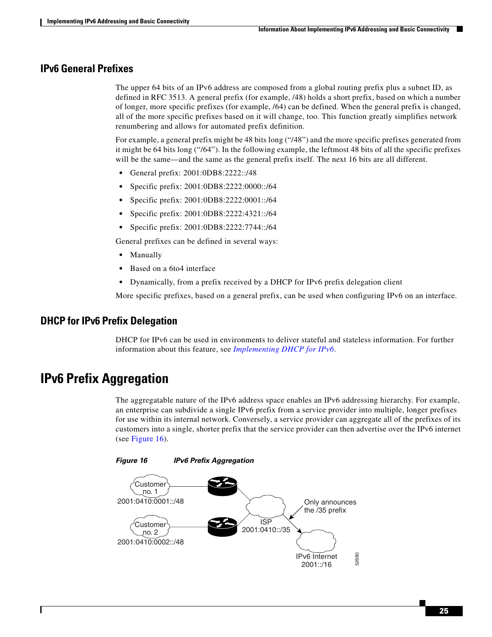a ka

### <span id="page-24-2"></span>**IPv6 General Prefixes**

The upper 64 bits of an IPv6 address are composed from a global routing prefix plus a subnet ID, as defined in RFC 3513. A general prefix (for example, /48) holds a short prefix, based on which a number of longer, more specific prefixes (for example, /64) can be defined. When the general prefix is changed, all of the more specific prefixes based on it will change, too. This function greatly simplifies network renumbering and allows for automated prefix definition.

For example, a general prefix might be 48 bits long ("/48") and the more specific prefixes generated from it might be 64 bits long ("/64"). In the following example, the leftmost 48 bits of all the specific prefixes will be the same—and the same as the general prefix itself. The next 16 bits are all different.

- **•** General prefix: 2001:0DB8:2222::/48
- **•** Specific prefix: 2001:0DB8:2222:0000::/64
- **•** Specific prefix: 2001:0DB8:2222:0001::/64
- **•** Specific prefix: 2001:0DB8:2222:4321::/64
- **•** Specific prefix: 2001:0DB8:2222:7744::/64

General prefixes can be defined in several ways:

- **•** Manually
- **•** Based on a 6to4 interface
- **•** Dynamically, from a prefix received by a DHCP for IPv6 prefix delegation client

More specific prefixes, based on a general prefix, can be used when configuring IPv6 on an interface.

### **DHCP for IPv6 Prefix Delegation**

DHCP for IPv6 can be used in environments to deliver stateful and stateless information. For further information about this feature, see *Implementing DHCP for IPv6*.

## <span id="page-24-0"></span>**IPv6 Prefix Aggregation**

The aggregatable nature of the IPv6 address space enables an IPv6 addressing hierarchy. For example, an enterprise can subdivide a single IPv6 prefix from a service provider into multiple, longer prefixes for use within its internal network. Conversely, a service provider can aggregate all of the prefixes of its customers into a single, shorter prefix that the service provider can then advertise over the IPv6 internet (see [Figure 16](#page-24-1)).

<span id="page-24-1"></span>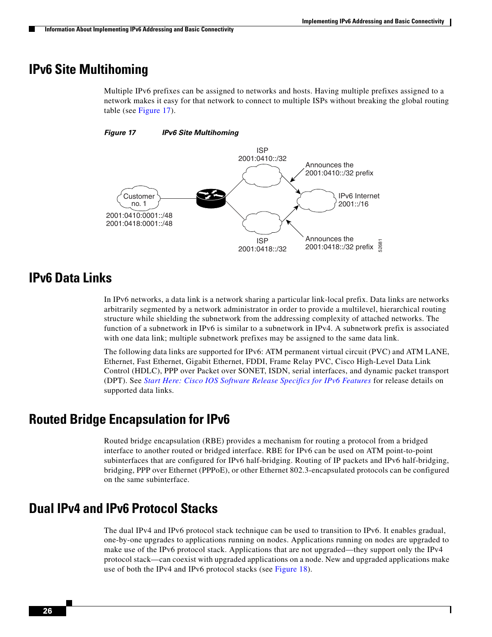## <span id="page-25-0"></span>**IPv6 Site Multihoming**

Multiple IPv6 prefixes can be assigned to networks and hosts. Having multiple prefixes assigned to a network makes it easy for that network to connect to multiple ISPs without breaking the global routing table (see [Figure 17\)](#page-25-4).

#### <span id="page-25-4"></span>*Figure 17 IPv6 Site Multihoming*



## <span id="page-25-1"></span>**IPv6 Data Links**

In IPv6 networks, a data link is a network sharing a particular link-local prefix. Data links are networks arbitrarily segmented by a network administrator in order to provide a multilevel, hierarchical routing structure while shielding the subnetwork from the addressing complexity of attached networks. The function of a subnetwork in IPv6 is similar to a subnetwork in IPv4. A subnetwork prefix is associated with one data link; multiple subnetwork prefixes may be assigned to the same data link.

The following data links are supported for IPv6: ATM permanent virtual circuit (PVC) and ATM LANE, Ethernet, Fast Ethernet, Gigabit Ethernet, FDDI, Frame Relay PVC, Cisco High-Level Data Link Control (HDLC), PPP over Packet over SONET, ISDN, serial interfaces, and dynamic packet transport (DPT). See *Start Here: Cisco IOS Software Release Specifics for IPv6 Features* for release details on supported data links.

## <span id="page-25-2"></span>**Routed Bridge Encapsulation for IPv6**

Routed bridge encapsulation (RBE) provides a mechanism for routing a protocol from a bridged interface to another routed or bridged interface. RBE for IPv6 can be used on ATM point-to-point subinterfaces that are configured for IPv6 half-bridging. Routing of IP packets and IPv6 half-bridging, bridging, PPP over Ethernet (PPPoE), or other Ethernet 802.3-encapsulated protocols can be configured on the same subinterface.

## <span id="page-25-3"></span>**Dual IPv4 and IPv6 Protocol Stacks**

The dual IPv4 and IPv6 protocol stack technique can be used to transition to IPv6. It enables gradual, one-by-one upgrades to applications running on nodes. Applications running on nodes are upgraded to make use of the IPv6 protocol stack. Applications that are not upgraded—they support only the IPv4 protocol stack—can coexist with upgraded applications on a node. New and upgraded applications make use of both the IPv4 and IPv6 protocol stacks (see [Figure 18\)](#page-26-1).

Ι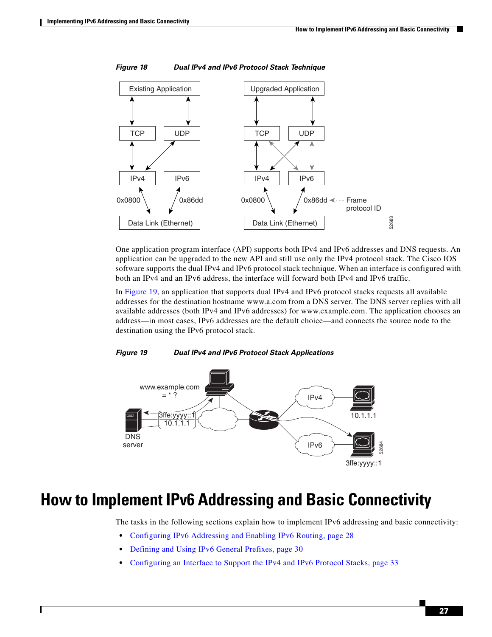**The State** 



<span id="page-26-1"></span>*Figure 18 Dual IPv4 and IPv6 Protocol Stack Technique*

One application program interface (API) supports both IPv4 and IPv6 addresses and DNS requests. An application can be upgraded to the new API and still use only the IPv4 protocol stack. The Cisco IOS software supports the dual IPv4 and IPv6 protocol stack technique. When an interface is configured with both an IPv4 and an IPv6 address, the interface will forward both IPv4 and IPv6 traffic.

In [Figure 19,](#page-26-2) an application that supports dual IPv4 and IPv6 protocol stacks requests all available addresses for the destination hostname www.a.com from a DNS server. The DNS server replies with all available addresses (both IPv4 and IPv6 addresses) for www.example.com. The application chooses an address—in most cases, IPv6 addresses are the default choice—and connects the source node to the destination using the IPv6 protocol stack.

#### <span id="page-26-2"></span>*Figure 19 Dual IPv4 and IPv6 Protocol Stack Applications*



# <span id="page-26-0"></span>**How to Implement IPv6 Addressing and Basic Connectivity**

The tasks in the following sections explain how to implement IPv6 addressing and basic connectivity:

- **•** [Configuring IPv6 Addressing and Enabling IPv6 Routing, page 28](#page-27-0)
- [Defining and Using IPv6 General Prefixes, page 30](#page-29-0)

I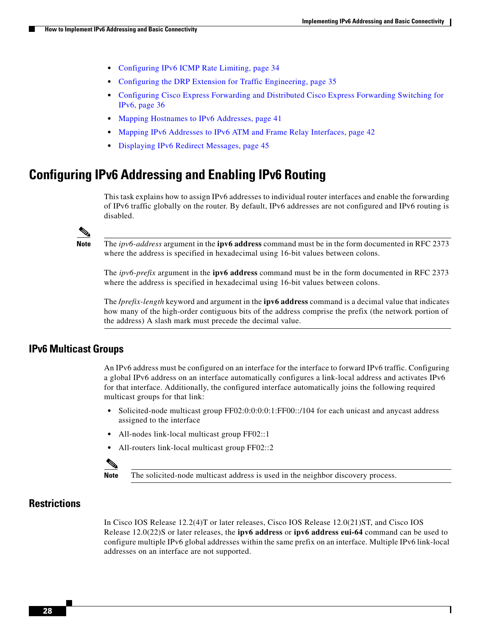- **•** [Configuring IPv6 ICMP Rate Limiting, page 34](#page-33-0)
- **•** [Configuring the DRP Extension for Traffic Engineering, page 35](#page-34-0)
- **•** [Configuring Cisco Express Forwarding and Distributed Cisco Express Forwarding Switching for](#page-35-0)  [IPv6, page 36](#page-35-0)
- **•** [Mapping Hostnames to IPv6 Addresses, page 41](#page-40-0)
- **•** [Mapping IPv6 Addresses to IPv6 ATM and Frame Relay Interfaces, page 42](#page-41-0)
- **•** [Displaying IPv6 Redirect Messages, page 45](#page-44-0)

## <span id="page-27-0"></span>**Configuring IPv6 Addressing and Enabling IPv6 Routing**

This task explains how to assign IPv6 addresses to individual router interfaces and enable the forwarding of IPv6 traffic globally on the router. By default, IPv6 addresses are not configured and IPv6 routing is disabled.

**Note** The *ipv6-address* argument in the **ipv6 address** command must be in the form documented in RFC 2373 where the address is specified in hexadecimal using 16-bit values between colons.

The *ipv6-prefix* argument in the **ipv6 address** command must be in the form documented in RFC 2373 where the address is specified in hexadecimal using 16-bit values between colons.

The **/***prefix-length* keyword and argument in the **ipv6 address** command is a decimal value that indicates how many of the high-order contiguous bits of the address comprise the prefix (the network portion of the address) A slash mark must precede the decimal value.

### <span id="page-27-1"></span>**IPv6 Multicast Groups**

An IPv6 address must be configured on an interface for the interface to forward IPv6 traffic. Configuring a global IPv6 address on an interface automatically configures a link-local address and activates IPv6 for that interface. Additionally, the configured interface automatically joins the following required multicast groups for that link:

- Solicited-node multicast group FF02:0:0:0:0:1:FF00::/104 for each unicast and anycast address assigned to the interface
- **•** All-nodes link-local multicast group FF02::1
- All-routers link-local multicast group FF02::2



**Note** The solicited-node multicast address is used in the neighbor discovery process.

### **Restrictions**

In Cisco IOS Release 12.2(4)T or later releases, Cisco IOS Release 12.0(21)ST, and Cisco IOS Release 12.0(22)S or later releases, the **ipv6 address** or **ipv6 address eui-64** command can be used to configure multiple IPv6 global addresses within the same prefix on an interface. Multiple IPv6 link-local addresses on an interface are not supported.

Ι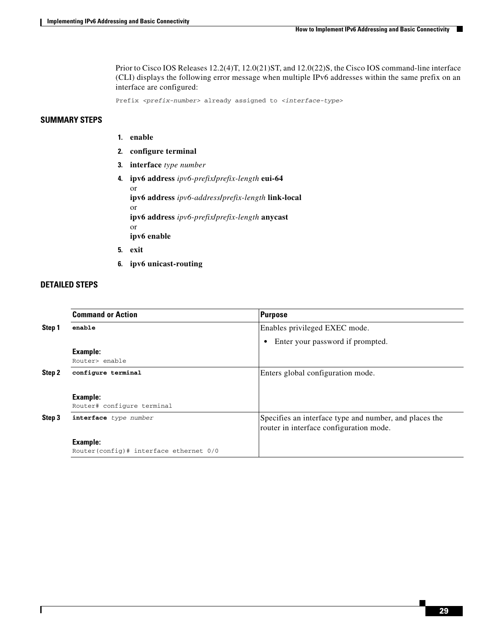Prior to Cisco IOS Releases 12.2(4)T, 12.0(21)ST, and 12.0(22)S, the Cisco IOS command-line interface (CLI) displays the following error message when multiple IPv6 addresses within the same prefix on an interface are configured:

Prefix *<prefix-number>* already assigned to *<interface-type>*

#### **SUMMARY STEPS**

- **1. enable**
- **2. configure terminal**
- **3. interface** *type number*
- **4. ipv6 address** *ipv6-prefix***/***prefix-length* **eui-64** or **ipv6 address** *ipv6-address***/***prefix-length* **link-local** or **ipv6 address** *ipv6-prefix***/***prefix-length* **anycast** or **ipv6 enable**
- **5. exit**
- **6. ipv6 unicast-routing**

#### **DETAILED STEPS**

 $\Gamma$ 

|        | <b>Command or Action</b>                                      | Purpose                                                                                           |
|--------|---------------------------------------------------------------|---------------------------------------------------------------------------------------------------|
| Step 1 | enable                                                        | Enables privileged EXEC mode.                                                                     |
|        |                                                               | Enter your password if prompted.<br>$\bullet$                                                     |
|        | <b>Example:</b><br>Router> enable                             |                                                                                                   |
| Step 2 | configure terminal                                            | Enters global configuration mode.                                                                 |
|        | <b>Example:</b><br>Router# configure terminal                 |                                                                                                   |
| Step 3 | interface type number                                         | Specifies an interface type and number, and places the<br>router in interface configuration mode. |
|        | <b>Example:</b><br>Router (config) # interface ethernet $0/0$ |                                                                                                   |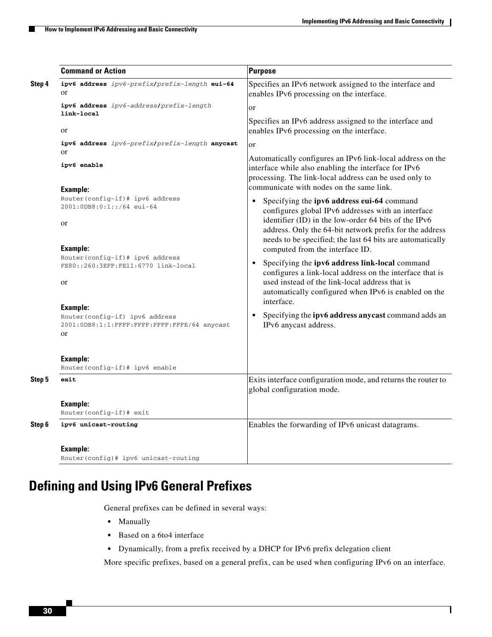|        | <b>Command or Action</b>                                                                                                                                                    | <b>Purpose</b>                                                                                                                                                                                                                                                                                                                                                                     |
|--------|-----------------------------------------------------------------------------------------------------------------------------------------------------------------------------|------------------------------------------------------------------------------------------------------------------------------------------------------------------------------------------------------------------------------------------------------------------------------------------------------------------------------------------------------------------------------------|
| Step 4 | ipv6 address ipv6-prefix/prefix-length eui-64<br>or                                                                                                                         | Specifies an IPv6 network assigned to the interface and<br>enables IPv6 processing on the interface.                                                                                                                                                                                                                                                                               |
|        | ipv6 address ipv6-address/prefix-length<br>link-local                                                                                                                       | or                                                                                                                                                                                                                                                                                                                                                                                 |
|        | <b>or</b>                                                                                                                                                                   | Specifies an IPv6 address assigned to the interface and<br>enables IPv6 processing on the interface.                                                                                                                                                                                                                                                                               |
|        | ipv6 address ipv6-prefix/prefix-length anycast<br>or<br>ipv6 enable                                                                                                         | <sub>or</sub><br>Automatically configures an IPv6 link-local address on the<br>interface while also enabling the interface for IPv6<br>processing. The link-local address can be used only to<br>communicate with nodes on the same link.                                                                                                                                          |
|        | Example:<br>Router(config-if)# ipv6 address<br>2001:0DB8:0:1::/64 eui-64<br><b>or</b><br>Example:<br>Router(config-if)# ipv6 address<br>FE80::260:3EFF:FE11:6770 link-local | Specifying the ipv6 address eui-64 command<br>$\bullet$<br>configures global IPv6 addresses with an interface<br>identifier (ID) in the low-order 64 bits of the IPv6<br>address. Only the 64-bit network prefix for the address<br>needs to be specified; the last 64 bits are automatically<br>computed from the interface ID.<br>Specifying the ipv6 address link-local command |
|        | <sub>or</sub><br><b>Example:</b><br>Router(config-if) ipv6 address<br>2001:0DB8:1:1:FFFF:FFFF:FFFF:FFFE/64 anycast<br>or                                                    | configures a link-local address on the interface that is<br>used instead of the link-local address that is<br>automatically configured when IPv6 is enabled on the<br>interface.<br>Specifying the ipv6 address any cast command adds an<br>$\bullet$<br>IPv6 anycast address.                                                                                                     |
|        | <b>Example:</b><br>Router(config-if)# ipv6 enable                                                                                                                           |                                                                                                                                                                                                                                                                                                                                                                                    |
| Step 5 | exit                                                                                                                                                                        | Exits interface configuration mode, and returns the router to<br>global configuration mode.                                                                                                                                                                                                                                                                                        |
|        | Example:<br>Router(config-if)# exit                                                                                                                                         |                                                                                                                                                                                                                                                                                                                                                                                    |
| Step 6 | ipv6 unicast-routing                                                                                                                                                        | Enables the forwarding of IPv6 unicast datagrams.                                                                                                                                                                                                                                                                                                                                  |
|        | Example:<br>Router (config) # ipv6 unicast-routing                                                                                                                          |                                                                                                                                                                                                                                                                                                                                                                                    |

# <span id="page-29-0"></span>**Defining and Using IPv6 General Prefixes**

General prefixes can be defined in several ways:

- **•** Manually
- **•** Based on a 6to4 interface
- **•** Dynamically, from a prefix received by a DHCP for IPv6 prefix delegation client

More specific prefixes, based on a general prefix, can be used when configuring IPv6 on an interface.

 $\mathsf I$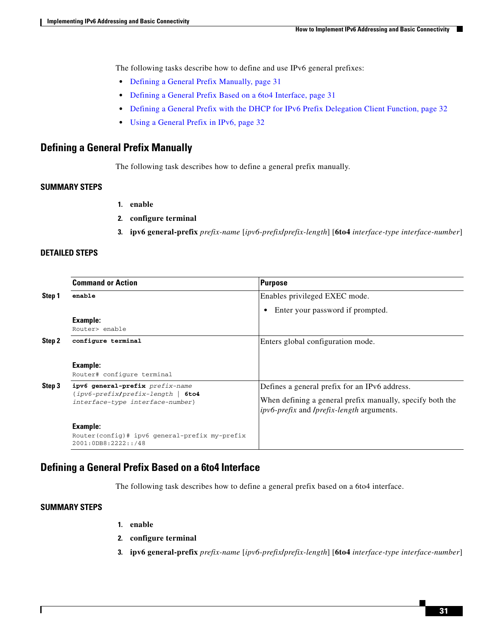The following tasks describe how to define and use IPv6 general prefixes:

- **•** [Defining a General Prefix Manually, page 31](#page-30-0)
- **•** [Defining a General Prefix Based on a 6to4 Interface, page 31](#page-30-1)
- **•** [Defining a General Prefix with the DHCP for IPv6 Prefix Delegation Client Function, page 32](#page-31-0)
- **•** [Using a General Prefix in IPv6, page 32](#page-31-1)

### <span id="page-30-0"></span>**Defining a General Prefix Manually**

The following task describes how to define a general prefix manually.

#### **SUMMARY STEPS**

- **1. enable**
- **2. configure terminal**
- **3. ipv6 general-prefix** *prefix-name* [*ipv6-prefix***/***prefix-length*] [**6to4** *interface-type interface-number*]

#### **DETAILED STEPS**

|        | <b>Command or Action</b>                                                 | Purpose                                                                                                              |
|--------|--------------------------------------------------------------------------|----------------------------------------------------------------------------------------------------------------------|
| Step 1 | enable                                                                   | Enables privileged EXEC mode.                                                                                        |
|        |                                                                          | Enter your password if prompted.<br>$\bullet$                                                                        |
|        | Example:                                                                 |                                                                                                                      |
|        | Router> enable                                                           |                                                                                                                      |
| Step 2 | configure terminal                                                       | Enters global configuration mode.                                                                                    |
|        | Example:<br>Router# configure terminal                                   |                                                                                                                      |
| Step 3 | ipv6 general-prefix prefix-name<br>$\{ipv6-prefix/prefix-length \}$ 6to4 | Defines a general prefix for an IPv6 address.                                                                        |
|        | interface-type interface-number}                                         | When defining a general prefix manually, specify both the<br><i>ipv6-prefix</i> and <i>lprefix-length</i> arguments. |
|        | Example:                                                                 |                                                                                                                      |
|        | Router(config)# ipv6 general-prefix my-prefix<br>2001:0DB8:2222::/48     |                                                                                                                      |

### <span id="page-30-1"></span>**Defining a General Prefix Based on a 6to4 Interface**

The following task describes how to define a general prefix based on a 6to4 interface.

#### **SUMMARY STEPS**

 $\mathbf I$ 

- **1. enable**
- **2. configure terminal**
- **3. ipv6 general-prefix** *prefix-name* [*ipv6-prefix***/***prefix-length*] [**6to4** *interface-type interface-number*]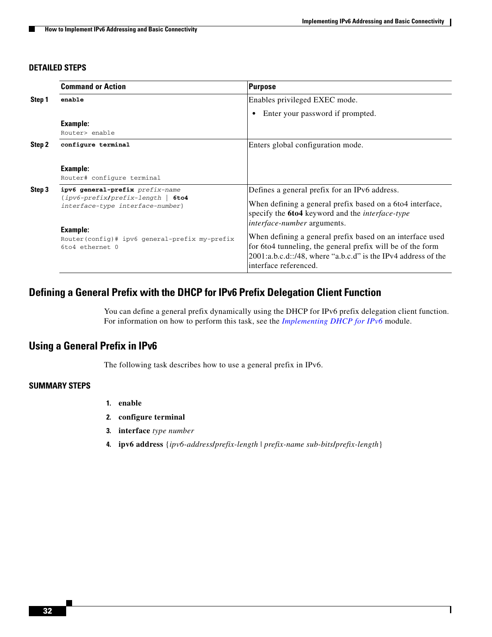ן

#### **DETAILED STEPS**

|        | <b>Command or Action</b>                                                 | Purpose                                                                                                                                                                                                           |
|--------|--------------------------------------------------------------------------|-------------------------------------------------------------------------------------------------------------------------------------------------------------------------------------------------------------------|
| Step 1 | enable                                                                   | Enables privileged EXEC mode.                                                                                                                                                                                     |
|        |                                                                          | Enter your password if prompted.<br>$\bullet$                                                                                                                                                                     |
|        | <b>Example:</b>                                                          |                                                                                                                                                                                                                   |
|        | Router> enable                                                           |                                                                                                                                                                                                                   |
| Step 2 | configure terminal                                                       | Enters global configuration mode.                                                                                                                                                                                 |
|        | <b>Example:</b><br>Router# configure terminal                            |                                                                                                                                                                                                                   |
| Step 3 | ipv6 general-prefix prefix-name<br>$\{ipv6-prefix/prefix-length \}$ 6to4 | Defines a general prefix for an IPv6 address.                                                                                                                                                                     |
|        | interface-type interface-number}                                         | When defining a general prefix based on a 6to4 interface,<br>specify the <b>6to4</b> keyword and the <i>interface-type</i><br><i>interface-number</i> arguments.                                                  |
|        | <b>Example:</b>                                                          |                                                                                                                                                                                                                   |
|        | Router(config)# ipv6 general-prefix my-prefix<br>6to4 ethernet 0         | When defining a general prefix based on an interface used<br>for 6to4 tunneling, the general prefix will be of the form<br>2001:a.b.c.d::/48, where "a.b.c.d" is the IPv4 address of the<br>interface referenced. |

### <span id="page-31-0"></span>**Defining a General Prefix with the DHCP for IPv6 Prefix Delegation Client Function**

You can define a general prefix dynamically using the DHCP for IPv6 prefix delegation client function. For information on how to perform this task, see the *Implementing DHCP for IPv6* module.

### <span id="page-31-1"></span>**Using a General Prefix in IPv6**

The following task describes how to use a general prefix in IPv6.

### **SUMMARY STEPS**

- **1. enable**
- **2. configure terminal**
- **3. interface** *type number*
- **4. ipv6 address** {*ipv6-address***/***prefix-length* | *prefix-name sub-bits***/***prefix-length*}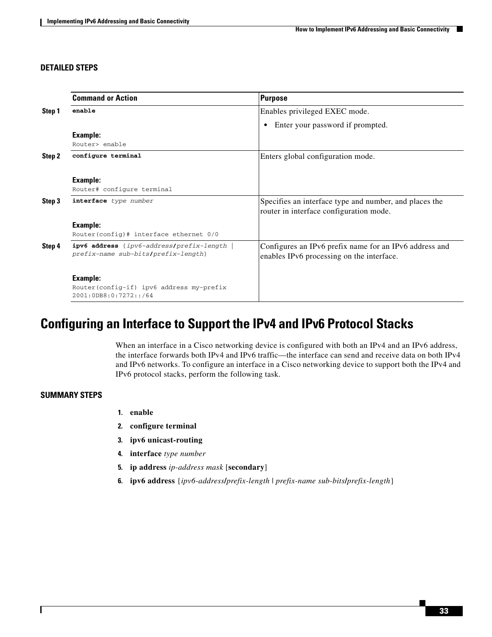#### **DETAILED STEPS**

|        | <b>Command or Action</b>                                                                  | <b>Purpose</b>                                                                                      |
|--------|-------------------------------------------------------------------------------------------|-----------------------------------------------------------------------------------------------------|
| Step 1 | enable                                                                                    | Enables privileged EXEC mode.                                                                       |
|        |                                                                                           | Enter your password if prompted.                                                                    |
|        | Example:                                                                                  |                                                                                                     |
|        | Router> enable                                                                            |                                                                                                     |
| Step 2 | configure terminal                                                                        | Enters global configuration mode.                                                                   |
|        | Example:                                                                                  |                                                                                                     |
|        | Router# configure terminal                                                                |                                                                                                     |
| Step 3 | interface type number                                                                     | Specifies an interface type and number, and places the<br>router in interface configuration mode.   |
|        | Example:                                                                                  |                                                                                                     |
|        | Router (config) # interface ethernet $0/0$                                                |                                                                                                     |
| Step 4 | <b>ipv6 address</b> { ipv6-address/prefix-length  <br>prefix-name sub-bits/prefix-length} | Configures an IPv6 prefix name for an IPv6 address and<br>enables IPv6 processing on the interface. |
|        | Example:                                                                                  |                                                                                                     |
|        | Router(config-if) ipv6 address my-prefix<br>2001:0DB8:0:7272::/64                         |                                                                                                     |

## <span id="page-32-0"></span>**Configuring an Interface to Support the IPv4 and IPv6 Protocol Stacks**

When an interface in a Cisco networking device is configured with both an IPv4 and an IPv6 address, the interface forwards both IPv4 and IPv6 traffic—the interface can send and receive data on both IPv4 and IPv6 networks. To configure an interface in a Cisco networking device to support both the IPv4 and IPv6 protocol stacks, perform the following task.

#### **SUMMARY STEPS**

 $\Gamma$ 

- **1. enable**
- **2. configure terminal**
- **3. ipv6 unicast-routing**
- **4. interface** *type number*
- **5. ip address** *ip-address mask* [**secondary**]
- **6. ipv6 address** {*ipv6-address***/***prefix-length* | *prefix-name sub-bits***/***prefix-length*}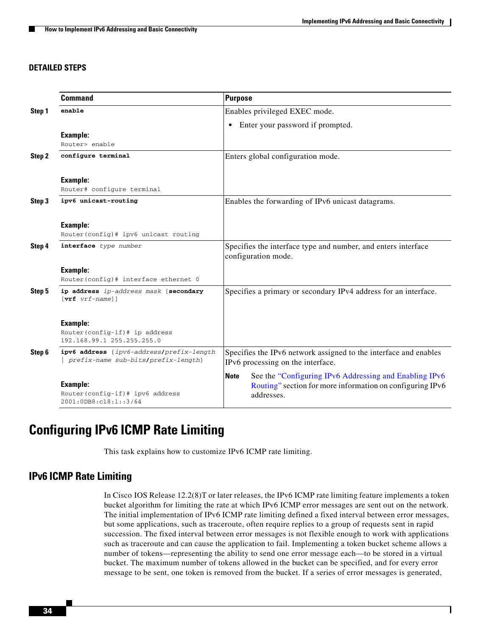#### **DETAILED STEPS**

|        | <b>Command</b>                                                                  | <b>Purpose</b>                                                                                                                                   |
|--------|---------------------------------------------------------------------------------|--------------------------------------------------------------------------------------------------------------------------------------------------|
| Step 1 | enable                                                                          | Enables privileged EXEC mode.                                                                                                                    |
|        |                                                                                 | Enter your password if prompted.<br>٠                                                                                                            |
|        | Example:                                                                        |                                                                                                                                                  |
|        | Router> enable                                                                  |                                                                                                                                                  |
| Step 2 | configure terminal                                                              | Enters global configuration mode.                                                                                                                |
|        | Example:                                                                        |                                                                                                                                                  |
|        | Router# configure terminal                                                      |                                                                                                                                                  |
| Step 3 | ipv6 unicast-routing                                                            | Enables the forwarding of IPv6 unicast datagrams.                                                                                                |
|        | Example:<br>Router(config)# ipv6 unicast routing                                |                                                                                                                                                  |
| Step 4 | interface type number                                                           | Specifies the interface type and number, and enters interface<br>configuration mode.                                                             |
|        | <b>Example:</b><br>Router(config)# interface ethernet 0                         |                                                                                                                                                  |
| Step 5 | ip address ip-address mask [secondary<br>$[\text{vrf}$ $vrf$ -name]]            | Specifies a primary or secondary IPv4 address for an interface.                                                                                  |
|        | Example:<br>Router(config-if)# ip address<br>192.168.99.1 255.255.255.0         |                                                                                                                                                  |
| Step 6 | ipv6 address {ipv6-address/prefix-length<br>prefix-name sub-bits/prefix-length} | Specifies the IPv6 network assigned to the interface and enables<br>IPv6 processing on the interface.                                            |
|        | <b>Example:</b><br>Router(config-if)# ipv6 address<br>2001:0DB8:c18:1::3/64     | See the "Configuring IPv6 Addressing and Enabling IPv6<br><b>Note</b><br>Routing" section for more information on configuring IPv6<br>addresses. |

## <span id="page-33-0"></span>**Configuring IPv6 ICMP Rate Limiting**

This task explains how to customize IPv6 ICMP rate limiting.

### <span id="page-33-1"></span>**IPv6 ICMP Rate Limiting**

In Cisco IOS Release 12.2(8)T or later releases, the IPv6 ICMP rate limiting feature implements a token bucket algorithm for limiting the rate at which IPv6 ICMP error messages are sent out on the network. The initial implementation of IPv6 ICMP rate limiting defined a fixed interval between error messages, but some applications, such as traceroute, often require replies to a group of requests sent in rapid succession. The fixed interval between error messages is not flexible enough to work with applications such as traceroute and can cause the application to fail. Implementing a token bucket scheme allows a number of tokens—representing the ability to send one error message each—to be stored in a virtual bucket. The maximum number of tokens allowed in the bucket can be specified, and for every error message to be sent, one token is removed from the bucket. If a series of error messages is generated,

ן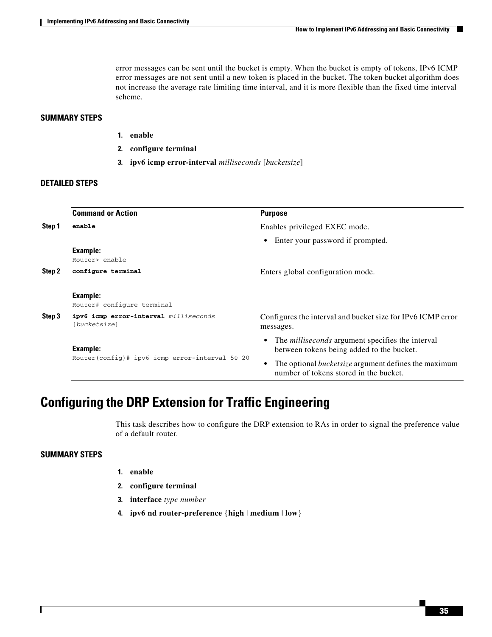error messages can be sent until the bucket is empty. When the bucket is empty of tokens, IPv6 ICMP error messages are not sent until a new token is placed in the bucket. The token bucket algorithm does not increase the average rate limiting time interval, and it is more flexible than the fixed time interval scheme.

#### **SUMMARY STEPS**

- **1. enable**
- **2. configure terminal**
- **3. ipv6 icmp error-interval** *milliseconds* [*bucketsize*]

#### **DETAILED STEPS**

|        | <b>Command or Action</b>                              | Purpose                                                                                               |
|--------|-------------------------------------------------------|-------------------------------------------------------------------------------------------------------|
| Step 1 | enable                                                | Enables privileged EXEC mode.                                                                         |
|        |                                                       | Enter your password if prompted.                                                                      |
|        | Example:                                              |                                                                                                       |
|        | Router> enable                                        |                                                                                                       |
| Step 2 | configure terminal                                    | Enters global configuration mode.                                                                     |
|        | Example:<br>Router# configure terminal                |                                                                                                       |
| Step 3 | ipv6 icmp error-interval milliseconds<br>[bucketsize] | Configures the interval and bucket size for IPv6 ICMP error<br>messages.                              |
|        | Example:                                              | The <i>milliseconds</i> argument specifies the interval<br>between tokens being added to the bucket.  |
|        | Router(config)# ipv6 icmp error-interval 50 20        | The optional <i>bucketsize</i> argument defines the maximum<br>number of tokens stored in the bucket. |

## <span id="page-34-0"></span>**Configuring the DRP Extension for Traffic Engineering**

This task describes how to configure the DRP extension to RAs in order to signal the preference value of a default router.

#### **SUMMARY STEPS**

 $\Gamma$ 

- **1. enable**
- **2. configure terminal**
- **3. interface** *type number*
- **4. ipv6 nd router-preference** {**high** | **medium** | **low**}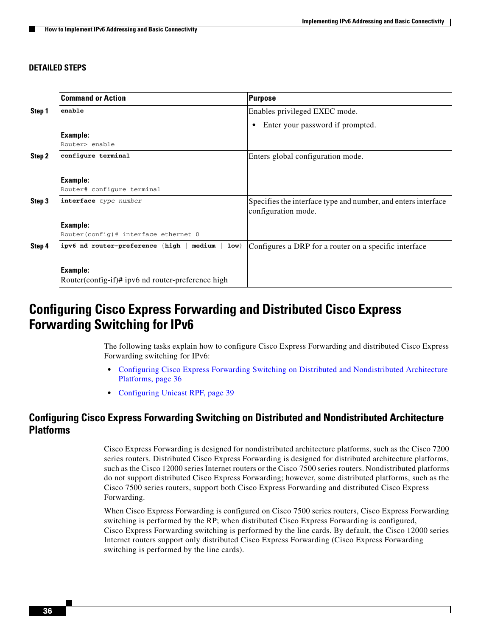#### **DETAILED STEPS**

|        | <b>Command or Action</b>                                 | Purpose                                                       |
|--------|----------------------------------------------------------|---------------------------------------------------------------|
| Step 1 | enable                                                   | Enables privileged EXEC mode.                                 |
|        |                                                          | Enter your password if prompted.<br>$\bullet$                 |
|        | Example:                                                 |                                                               |
|        | Router> enable                                           |                                                               |
| Step 2 | configure terminal                                       | Enters global configuration mode.                             |
|        |                                                          |                                                               |
|        | Example:                                                 |                                                               |
|        | Router# configure terminal                               |                                                               |
| Step 3 | interface type number                                    | Specifies the interface type and number, and enters interface |
|        |                                                          | configuration mode.                                           |
|        | Example:                                                 |                                                               |
|        | Router(config)# interface ethernet 0                     |                                                               |
| Step 4 | medium<br>$1$ ow $\}$<br>ipv6 nd router-preference {high | Configures a DRP for a router on a specific interface         |
|        |                                                          |                                                               |
|        | <b>Example:</b>                                          |                                                               |
|        | Router(config-if)# ipv6 nd router-preference high        |                                                               |

## <span id="page-35-0"></span>**Configuring Cisco Express Forwarding and Distributed Cisco Express Forwarding Switching for IPv6**

The following tasks explain how to configure Cisco Express Forwarding and distributed Cisco Express Forwarding switching for IPv6:

- Configuring Cisco Express Forwarding Switching on Distributed and Nondistributed Architecture [Platforms, page 36](#page-35-1)
- **•** [Configuring Unicast RPF, page 39](#page-38-0)

### <span id="page-35-1"></span>**Configuring Cisco Express Forwarding Switching on Distributed and Nondistributed Architecture Platforms**

Cisco Express Forwarding is designed for nondistributed architecture platforms, such as the Cisco 7200 series routers. Distributed Cisco Express Forwarding is designed for distributed architecture platforms, such as the Cisco 12000 series Internet routers or the Cisco 7500 series routers. Nondistributed platforms do not support distributed Cisco Express Forwarding; however, some distributed platforms, such as the Cisco 7500 series routers, support both Cisco Express Forwarding and distributed Cisco Express Forwarding.

When Cisco Express Forwarding is configured on Cisco 7500 series routers, Cisco Express Forwarding switching is performed by the RP; when distributed Cisco Express Forwarding is configured, Cisco Express Forwarding switching is performed by the line cards. By default, the Cisco 12000 series Internet routers support only distributed Cisco Express Forwarding (Cisco Express Forwarding switching is performed by the line cards).

Ι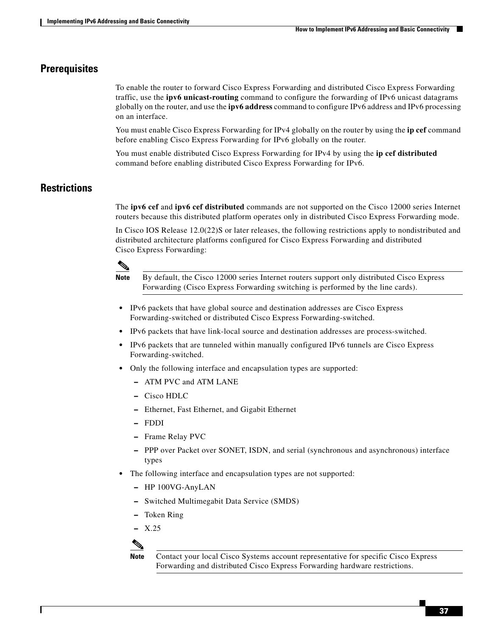### **Prerequisites**

To enable the router to forward Cisco Express Forwarding and distributed Cisco Express Forwarding traffic, use the **ipv6 unicast-routing** command to configure the forwarding of IPv6 unicast datagrams globally on the router, and use the **ipv6 address** command to configure IPv6 address and IPv6 processing on an interface.

You must enable Cisco Express Forwarding for IPv4 globally on the router by using the **ip cef** command before enabling Cisco Express Forwarding for IPv6 globally on the router.

You must enable distributed Cisco Express Forwarding for IPv4 by using the **ip cef distributed** command before enabling distributed Cisco Express Forwarding for IPv6.

### **Restrictions**

The **ipv6 cef** and **ipv6 cef distributed** commands are not supported on the Cisco 12000 series Internet routers because this distributed platform operates only in distributed Cisco Express Forwarding mode.

In Cisco IOS Release 12.0(22)S or later releases, the following restrictions apply to nondistributed and distributed architecture platforms configured for Cisco Express Forwarding and distributed Cisco Express Forwarding:



**Note** By default, the Cisco 12000 series Internet routers support only distributed Cisco Express Forwarding (Cisco Express Forwarding switching is performed by the line cards).

- **•** IPv6 packets that have global source and destination addresses are Cisco Express Forwarding-switched or distributed Cisco Express Forwarding-switched.
- **•** IPv6 packets that have link-local source and destination addresses are process-switched.
- **•** IPv6 packets that are tunneled within manually configured IPv6 tunnels are Cisco Express Forwarding-switched.
- **•** Only the following interface and encapsulation types are supported:
	- **–** ATM PVC and ATM LANE
	- **–** Cisco HDLC
	- **–** Ethernet, Fast Ethernet, and Gigabit Ethernet
	- **–** FDDI
	- **–** Frame Relay PVC
	- **–** PPP over Packet over SONET, ISDN, and serial (synchronous and asynchronous) interface types
- **•** The following interface and encapsulation types are not supported:
	- **–** HP 100VG-AnyLAN
	- **–** Switched Multimegabit Data Service (SMDS)
	- **–** Token Ring
	- **–** X.25

**Note** Contact your local Cisco Systems account representative for specific Cisco Express Forwarding and distributed Cisco Express Forwarding hardware restrictions.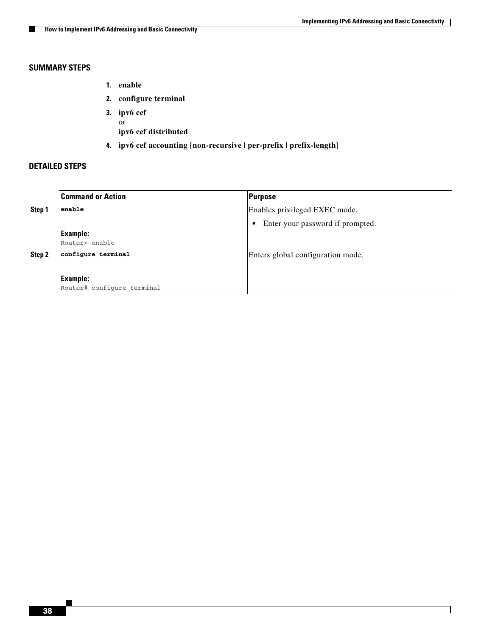$\mathsf I$ 

### **SUMMARY STEPS**

- **1. enable**
- **2. configure terminal**
- **3. ipv6 cef** or **ipv6 cef distributed**
- **4. ipv6 cef accounting** [**non-recursive** | **per-prefix** | **prefix-length**]

#### **DETAILED STEPS**

|        | <b>Command or Action</b>   | <b>Purpose</b>                                |
|--------|----------------------------|-----------------------------------------------|
| Step 1 | enable                     | Enables privileged EXEC mode.                 |
|        |                            | Enter your password if prompted.<br>$\bullet$ |
|        | <b>Example:</b>            |                                               |
|        | Router> enable             |                                               |
| Step 2 | configure terminal         | Enters global configuration mode.             |
|        |                            |                                               |
|        | <b>Example:</b>            |                                               |
|        | Router# configure terminal |                                               |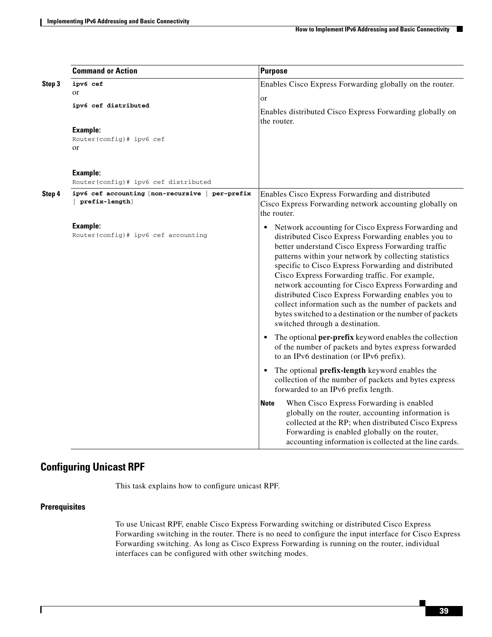|        | <b>Command or Action</b>                                          | <b>Purpose</b>                                                                                                                                                                                                                                                                                                                                                                                                                                                                                                                                                                                            |
|--------|-------------------------------------------------------------------|-----------------------------------------------------------------------------------------------------------------------------------------------------------------------------------------------------------------------------------------------------------------------------------------------------------------------------------------------------------------------------------------------------------------------------------------------------------------------------------------------------------------------------------------------------------------------------------------------------------|
| Step 3 | ipv6 cef<br>or                                                    | Enables Cisco Express Forwarding globally on the router.                                                                                                                                                                                                                                                                                                                                                                                                                                                                                                                                                  |
|        | ipv6 cef distributed                                              | or<br>Enables distributed Cisco Express Forwarding globally on<br>the router.                                                                                                                                                                                                                                                                                                                                                                                                                                                                                                                             |
|        | <b>Example:</b><br>Router(config)# ipv6 cef<br>or                 |                                                                                                                                                                                                                                                                                                                                                                                                                                                                                                                                                                                                           |
|        | <b>Example:</b><br>Router(config)# ipv6 cef distributed           |                                                                                                                                                                                                                                                                                                                                                                                                                                                                                                                                                                                                           |
| Step 4 | ipv6 cef accounting [non-recursive   per-prefix<br>prefix-length] | Enables Cisco Express Forwarding and distributed<br>Cisco Express Forwarding network accounting globally on<br>the router.                                                                                                                                                                                                                                                                                                                                                                                                                                                                                |
|        | Example:<br>Router(config)# ipv6 cef accounting                   | Network accounting for Cisco Express Forwarding and<br>distributed Cisco Express Forwarding enables you to<br>better understand Cisco Express Forwarding traffic<br>patterns within your network by collecting statistics<br>specific to Cisco Express Forwarding and distributed<br>Cisco Express Forwarding traffic. For example,<br>network accounting for Cisco Express Forwarding and<br>distributed Cisco Express Forwarding enables you to<br>collect information such as the number of packets and<br>bytes switched to a destination or the number of packets<br>switched through a destination. |
|        |                                                                   | The optional <b>per-prefix</b> keyword enables the collection<br>$\bullet$<br>of the number of packets and bytes express forwarded<br>to an IPv6 destination (or IPv6 prefix).                                                                                                                                                                                                                                                                                                                                                                                                                            |
|        |                                                                   | The optional prefix-length keyword enables the<br>collection of the number of packets and bytes express<br>forwarded to an IPv6 prefix length.                                                                                                                                                                                                                                                                                                                                                                                                                                                            |
|        |                                                                   | When Cisco Express Forwarding is enabled<br><b>Note</b><br>globally on the router, accounting information is<br>collected at the RP; when distributed Cisco Express<br>Forwarding is enabled globally on the router,<br>accounting information is collected at the line cards.                                                                                                                                                                                                                                                                                                                            |

### <span id="page-38-0"></span>**Configuring Unicast RPF**

This task explains how to configure unicast RPF.

#### **Prerequisites**

 $\overline{\phantom{a}}$ 

To use Unicast RPF, enable Cisco Express Forwarding switching or distributed Cisco Express Forwarding switching in the router. There is no need to configure the input interface for Cisco Express Forwarding switching. As long as Cisco Express Forwarding is running on the router, individual interfaces can be configured with other switching modes.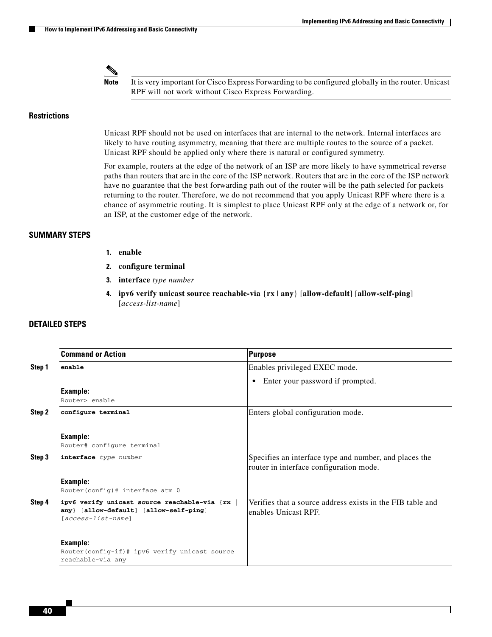ן

**Note** It is very important for Cisco Express Forwarding to be configured globally in the router. Unicast RPF will not work without Cisco Express Forwarding.

#### **Restrictions**

Unicast RPF should not be used on interfaces that are internal to the network. Internal interfaces are likely to have routing asymmetry, meaning that there are multiple routes to the source of a packet. Unicast RPF should be applied only where there is natural or configured symmetry.

For example, routers at the edge of the network of an ISP are more likely to have symmetrical reverse paths than routers that are in the core of the ISP network. Routers that are in the core of the ISP network have no guarantee that the best forwarding path out of the router will be the path selected for packets returning to the router. Therefore, we do not recommend that you apply Unicast RPF where there is a chance of asymmetric routing. It is simplest to place Unicast RPF only at the edge of a network or, for an ISP, at the customer edge of the network.

#### **SUMMARY STEPS**

- **1. enable**
- **2. configure terminal**
- **3. interface** *type number*
- **4. ipv6 verify unicast source reachable-via** {**rx** | **any**} [**allow-default**] [**allow-self-ping**] [*access-list-name*]

#### **DETAILED STEPS**

|        | <b>Command or Action</b>                                                                                       | Purpose                                                                                           |
|--------|----------------------------------------------------------------------------------------------------------------|---------------------------------------------------------------------------------------------------|
| Step 1 | enable                                                                                                         | Enables privileged EXEC mode.                                                                     |
|        |                                                                                                                | Enter your password if prompted.<br>$\bullet$                                                     |
|        | <b>Example:</b>                                                                                                |                                                                                                   |
|        | Router> enable                                                                                                 |                                                                                                   |
| Step 2 | configure terminal                                                                                             | Enters global configuration mode.                                                                 |
|        | <b>Example:</b><br>Router# configure terminal                                                                  |                                                                                                   |
| Step 3 | interface type number                                                                                          | Specifies an interface type and number, and places the<br>router in interface configuration mode. |
|        | <b>Example:</b>                                                                                                |                                                                                                   |
|        | Router (config) # interface atm 0                                                                              |                                                                                                   |
| Step 4 | ipv6 verify unicast source reachable-via {rx<br>any} [allow-default] [allow-self-ping]<br>$[access-list-name]$ | Verifies that a source address exists in the FIB table and<br>enables Unicast RPF.                |
|        | <b>Example:</b>                                                                                                |                                                                                                   |
|        | Router(config-if)# ipv6 verify unicast source<br>reachable-via any                                             |                                                                                                   |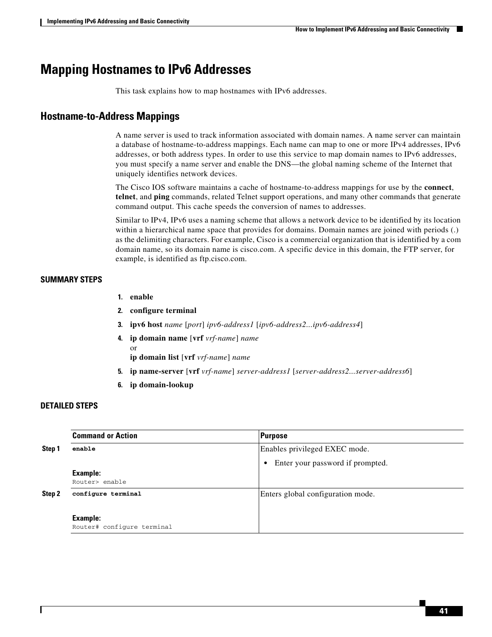## <span id="page-40-0"></span>**Mapping Hostnames to IPv6 Addresses**

This task explains how to map hostnames with IPv6 addresses.

### **Hostname-to-Address Mappings**

A name server is used to track information associated with domain names. A name server can maintain a database of hostname-to-address mappings. Each name can map to one or more IPv4 addresses, IPv6 addresses, or both address types. In order to use this service to map domain names to IPv6 addresses, you must specify a name server and enable the DNS—the global naming scheme of the Internet that uniquely identifies network devices.

The Cisco IOS software maintains a cache of hostname-to-address mappings for use by the **connect**, **telnet**, and **ping** commands, related Telnet support operations, and many other commands that generate command output. This cache speeds the conversion of names to addresses.

Similar to IPv4, IPv6 uses a naming scheme that allows a network device to be identified by its location within a hierarchical name space that provides for domains. Domain names are joined with periods (.) as the delimiting characters. For example, Cisco is a commercial organization that is identified by a com domain name, so its domain name is cisco.com. A specific device in this domain, the FTP server, for example, is identified as ftp.cisco.com.

#### **SUMMARY STEPS**

- **1. enable**
- **2. configure terminal**
- **3. ipv6 host** *name* [*port*] *ipv6-address1* [*ipv6-address2...ipv6-address4*]
- **4. ip domain name** [**vrf** *vrf-name*] *name* or **ip domain list** [**vrf** *vrf-name*] *name*
- **5. ip name-server** [**vrf** *vrf-name*] *server-address1* [*server-address2...server-address6*]
- **6. ip domain-lookup**

#### **DETAILED STEPS**

 $\mathbf I$ 

|        | <b>Command or Action</b>   | Purpose                                       |
|--------|----------------------------|-----------------------------------------------|
| Step 1 | enable                     | Enables privileged EXEC mode.                 |
|        |                            | Enter your password if prompted.<br>$\bullet$ |
|        | <b>Example:</b>            |                                               |
|        | Router> enable             |                                               |
| Step 2 | configure terminal         | Enters global configuration mode.             |
|        |                            |                                               |
|        | <b>Example:</b>            |                                               |
|        | Router# configure terminal |                                               |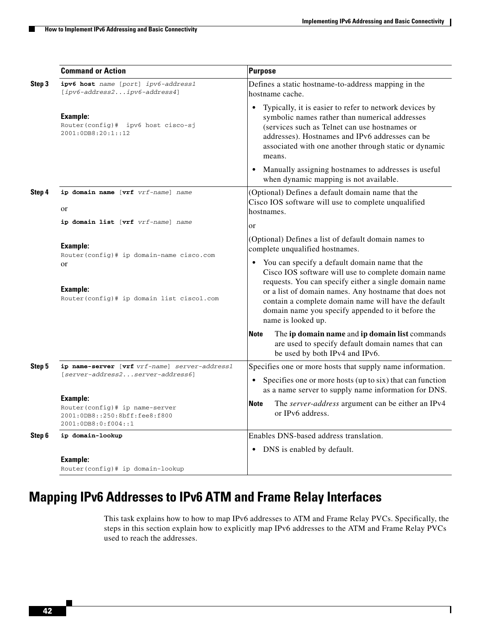|        | <b>Command or Action</b>                                                                           | <b>Purpose</b>                                                                                                                                                                                                                                                                                                                       |
|--------|----------------------------------------------------------------------------------------------------|--------------------------------------------------------------------------------------------------------------------------------------------------------------------------------------------------------------------------------------------------------------------------------------------------------------------------------------|
| Step 3 | ipv6 host name [port] ipv6-address1<br>[ipv6-address2ipv6-address4]                                | Defines a static hostname-to-address mapping in the<br>hostname cache.                                                                                                                                                                                                                                                               |
|        | <b>Example:</b><br>Router(config)# ipv6 host cisco-sj<br>2001:0DB8:20:1::12                        | Typically, it is easier to refer to network devices by<br>$\bullet$<br>symbolic names rather than numerical addresses<br>(services such as Telnet can use hostnames or<br>addresses). Hostnames and IPv6 addresses can be<br>associated with one another through static or dynamic<br>means.                                         |
|        |                                                                                                    | Manually assigning hostnames to addresses is useful<br>when dynamic mapping is not available.                                                                                                                                                                                                                                        |
| Step 4 | ip domain name [vrf vrf-name] name<br>or                                                           | (Optional) Defines a default domain name that the<br>Cisco IOS software will use to complete unqualified<br>hostnames.                                                                                                                                                                                                               |
|        | ip domain list [vrf vrf-name] name                                                                 | <b>or</b>                                                                                                                                                                                                                                                                                                                            |
|        | Example:<br>Router(config)# ip domain-name cisco.com                                               | (Optional) Defines a list of default domain names to<br>complete unqualified hostnames.                                                                                                                                                                                                                                              |
|        | or<br>Example:<br>Router(config)# ip domain list cisco1.com                                        | You can specify a default domain name that the<br>Cisco IOS software will use to complete domain name<br>requests. You can specify either a single domain name<br>or a list of domain names. Any hostname that does not<br>contain a complete domain name will have the default<br>domain name you specify appended to it before the |
|        |                                                                                                    | name is looked up.                                                                                                                                                                                                                                                                                                                   |
|        |                                                                                                    | The ip domain name and ip domain list commands<br><b>Note</b><br>are used to specify default domain names that can<br>be used by both IPv4 and IPv6.                                                                                                                                                                                 |
| Step 5 | ip name-server [vrf vrf-name] server-address1                                                      | Specifies one or more hosts that supply name information.                                                                                                                                                                                                                                                                            |
|        | [server-address2server-address6]                                                                   | Specifies one or more hosts (up to six) that can function<br>$\bullet$<br>as a name server to supply name information for DNS.                                                                                                                                                                                                       |
|        | Example:<br>Router(config)# ip name-server<br>2001:0DB8::250:8bff:fee8:f800<br>2001:0DB8:0:f004::1 | The server-address argument can be either an IPv4<br><b>Note</b><br>or IPv6 address.                                                                                                                                                                                                                                                 |
| Step 6 | ip domain-lookup                                                                                   | Enables DNS-based address translation.                                                                                                                                                                                                                                                                                               |
|        |                                                                                                    | DNS is enabled by default.<br>$\bullet$                                                                                                                                                                                                                                                                                              |
|        | Example:<br>Router (config) # ip domain-lookup                                                     |                                                                                                                                                                                                                                                                                                                                      |

# <span id="page-41-0"></span>**Mapping IPv6 Addresses to IPv6 ATM and Frame Relay Interfaces**

This task explains how to how to map IPv6 addresses to ATM and Frame Relay PVCs. Specifically, the steps in this section explain how to explicitly map IPv6 addresses to the ATM and Frame Relay PVCs used to reach the addresses.

 $\mathsf I$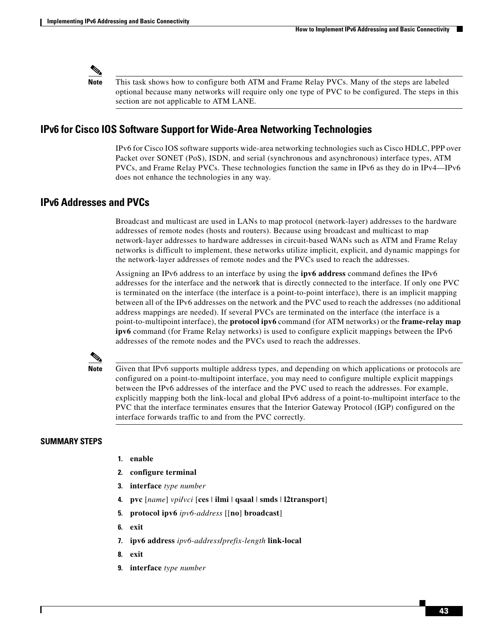

**Note** This task shows how to configure both ATM and Frame Relay PVCs. Many of the steps are labeled optional because many networks will require only one type of PVC to be configured. The steps in this section are not applicable to ATM LANE.

### **IPv6 for Cisco IOS Software Support for Wide-Area Networking Technologies**

IPv6 for Cisco IOS software supports wide-area networking technologies such as Cisco HDLC, PPP over Packet over SONET (PoS), ISDN, and serial (synchronous and asynchronous) interface types, ATM PVCs, and Frame Relay PVCs. These technologies function the same in IPv6 as they do in IPv4—IPv6 does not enhance the technologies in any way.

### **IPv6 Addresses and PVCs**

Broadcast and multicast are used in LANs to map protocol (network-layer) addresses to the hardware addresses of remote nodes (hosts and routers). Because using broadcast and multicast to map network-layer addresses to hardware addresses in circuit-based WANs such as ATM and Frame Relay networks is difficult to implement, these networks utilize implicit, explicit, and dynamic mappings for the network-layer addresses of remote nodes and the PVCs used to reach the addresses.

Assigning an IPv6 address to an interface by using the **ipv6 address** command defines the IPv6 addresses for the interface and the network that is directly connected to the interface. If only one PVC is terminated on the interface (the interface is a point-to-point interface), there is an implicit mapping between all of the IPv6 addresses on the network and the PVC used to reach the addresses (no additional address mappings are needed). If several PVCs are terminated on the interface (the interface is a point-to-multipoint interface), the **protocol ipv6** command (for ATM networks) or the **frame-relay map ipv6** command (for Frame Relay networks) is used to configure explicit mappings between the IPv6 addresses of the remote nodes and the PVCs used to reach the addresses.



**Note** Given that IPv6 supports multiple address types, and depending on which applications or protocols are configured on a point-to-multipoint interface, you may need to configure multiple explicit mappings between the IPv6 addresses of the interface and the PVC used to reach the addresses. For example, explicitly mapping both the link-local and global IPv6 address of a point-to-multipoint interface to the PVC that the interface terminates ensures that the Interior Gateway Protocol (IGP) configured on the interface forwards traffic to and from the PVC correctly.

#### **SUMMARY STEPS**

- **1. enable**
- **2. configure terminal**
- **3. interface** *type number*
- **4. pvc** [*name*] *vpi***/***vci* [**ces** | **ilmi** | **qsaal** | **smds** | **l2transport**]
- **5. protocol ipv6** *ipv6-address* [[**no**] **broadcast**]
- **6. exit**
- **7. ipv6 address** *ipv6-address***/***prefix-length* **link-local**
- **8. exit**
- **9. interface** *type number*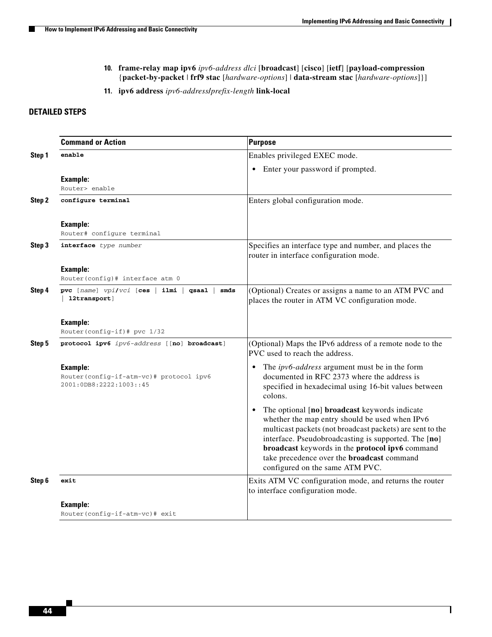$\mathsf I$ 

- **10. frame-relay map ipv6** *ipv6-address dlci* [**broadcast**] [**cisco**] [**ietf**] [**payload-compression**  {**packet-by-packet** | **frf9 stac** [*hardware-options*] | **data-stream stac** [*hardware-options*]}]
- **11. ipv6 address** *ipv6-address***/***prefix-length* **link-local**

#### **DETAILED STEPS**

|        | <b>Command or Action</b>                                                       | <b>Purpose</b>                                                                                                                                                                                                                                                                                                                                                               |
|--------|--------------------------------------------------------------------------------|------------------------------------------------------------------------------------------------------------------------------------------------------------------------------------------------------------------------------------------------------------------------------------------------------------------------------------------------------------------------------|
| Step 1 | enable                                                                         | Enables privileged EXEC mode.                                                                                                                                                                                                                                                                                                                                                |
|        |                                                                                | Enter your password if prompted.<br>$\bullet$                                                                                                                                                                                                                                                                                                                                |
|        | Example:                                                                       |                                                                                                                                                                                                                                                                                                                                                                              |
|        | Router> enable                                                                 |                                                                                                                                                                                                                                                                                                                                                                              |
| Step 2 | configure terminal                                                             | Enters global configuration mode.                                                                                                                                                                                                                                                                                                                                            |
|        | Example:<br>Router# configure terminal                                         |                                                                                                                                                                                                                                                                                                                                                                              |
| Step 3 | interface type number                                                          | Specifies an interface type and number, and places the<br>router in interface configuration mode.                                                                                                                                                                                                                                                                            |
|        | <b>Example:</b><br>Router(config)# interface atm 0                             |                                                                                                                                                                                                                                                                                                                                                                              |
| Step 4 | pvc [name] $vpi/vci$ [ces   ilmi  <br>smds<br>qsaal<br>12transport]            | (Optional) Creates or assigns a name to an ATM PVC and<br>places the router in ATM VC configuration mode.                                                                                                                                                                                                                                                                    |
|        | Example:<br>Router(config-if)# pvc 1/32                                        |                                                                                                                                                                                                                                                                                                                                                                              |
| Step 5 | protocol ipv6 ipv6-address [[no] broadcast]                                    | (Optional) Maps the IPv6 address of a remote node to the<br>PVC used to reach the address.                                                                                                                                                                                                                                                                                   |
|        | Example:<br>Router(config-if-atm-vc)# protocol ipv6<br>2001:0DB8:2222:1003::45 | The <i>ipv6-address</i> argument must be in the form<br>documented in RFC 2373 where the address is<br>specified in hexadecimal using 16-bit values between<br>colons.                                                                                                                                                                                                       |
|        |                                                                                | The optional [no] broadcast keywords indicate<br>$\bullet$<br>whether the map entry should be used when IPv6<br>multicast packets (not broadcast packets) are sent to the<br>interface. Pseudobroadcasting is supported. The [no]<br>broadcast keywords in the protocol ipv6 command<br>take precedence over the <b>broadcast</b> command<br>configured on the same ATM PVC. |
| Step 6 | exit                                                                           | Exits ATM VC configuration mode, and returns the router<br>to interface configuration mode.                                                                                                                                                                                                                                                                                  |
|        | Example:                                                                       |                                                                                                                                                                                                                                                                                                                                                                              |
|        | Router(config-if-atm-vc)# exit                                                 |                                                                                                                                                                                                                                                                                                                                                                              |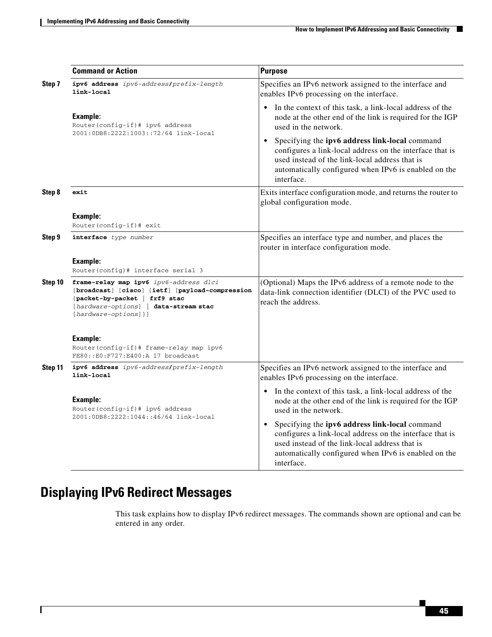|         | <b>Command or Action</b>                                                                                                                                                                      | <b>Purpose</b>                                                                                                                                                                                                                                  |
|---------|-----------------------------------------------------------------------------------------------------------------------------------------------------------------------------------------------|-------------------------------------------------------------------------------------------------------------------------------------------------------------------------------------------------------------------------------------------------|
| Step 7  | ipv6 address ipv6-address/prefix-length<br>link-local                                                                                                                                         | Specifies an IPv6 network assigned to the interface and<br>enables IPv6 processing on the interface.                                                                                                                                            |
|         | <b>Example:</b><br>Router(config-if)# ipv6 address<br>2001:0DB8:2222:1003::72/64 link-local                                                                                                   | In the context of this task, a link-local address of the<br>node at the other end of the link is required for the IGP<br>used in the network.                                                                                                   |
|         |                                                                                                                                                                                               | Specifying the ipv6 address link-local command<br>configures a link-local address on the interface that is<br>used instead of the link-local address that is<br>automatically configured when IPv6 is enabled on the<br>interface.              |
| Step 8  | exit                                                                                                                                                                                          | Exits interface configuration mode, and returns the router to<br>global configuration mode.                                                                                                                                                     |
|         | <b>Example:</b>                                                                                                                                                                               |                                                                                                                                                                                                                                                 |
|         | Router(config-if)# exit                                                                                                                                                                       |                                                                                                                                                                                                                                                 |
| Step 9  | interface type number                                                                                                                                                                         | Specifies an interface type and number, and places the<br>router in interface configuration mode.                                                                                                                                               |
|         | <b>Example:</b><br>Router(config)# interface serial 3                                                                                                                                         |                                                                                                                                                                                                                                                 |
| Step 10 | frame-relay map ipv6 ipv6-address dlci<br>[broadcast] [cisco] [ietf] [payload-compression<br>{packet-by-packet   frf9 stac<br>[hardware-options]   data-stream stac<br>[hardware-options] } ] | (Optional) Maps the IPv6 address of a remote node to the<br>data-link connection identifier (DLCI) of the PVC used to<br>reach the address.                                                                                                     |
|         | Example:<br>Router(config-if)# frame-relay map ipv6<br>FE80:: E0: F727: E400: A 17 broadcast                                                                                                  |                                                                                                                                                                                                                                                 |
| Step 11 | ipv6 address ipv6-address/prefix-length<br>link-local                                                                                                                                         | Specifies an IPv6 network assigned to the interface and<br>enables IPv6 processing on the interface.                                                                                                                                            |
|         | Example:<br>Router(config-if)# ipv6 address                                                                                                                                                   | In the context of this task, a link-local address of the<br>$\bullet$<br>node at the other end of the link is required for the IGP<br>used in the network.                                                                                      |
|         | 2001:0DB8:2222:1044::46/64 link-local                                                                                                                                                         | Specifying the ipv6 address link-local command<br>$\bullet$<br>configures a link-local address on the interface that is<br>used instead of the link-local address that is<br>automatically configured when IPv6 is enabled on the<br>interface. |

# <span id="page-44-0"></span>**Displaying IPv6 Redirect Messages**

 $\mathbf{I}$ 

This task explains how to display IPv6 redirect messages. The commands shown are optional and can be entered in any order.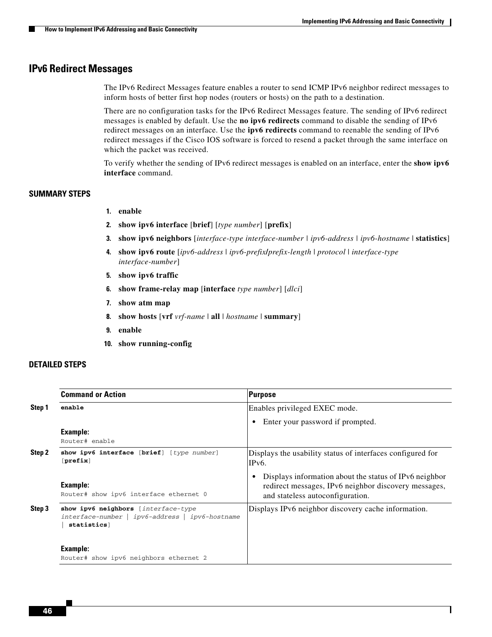ו

#### <span id="page-45-0"></span>**IPv6 Redirect Messages**

The IPv6 Redirect Messages feature enables a router to send ICMP IPv6 neighbor redirect messages to inform hosts of better first hop nodes (routers or hosts) on the path to a destination.

There are no configuration tasks for the IPv6 Redirect Messages feature. The sending of IPv6 redirect messages is enabled by default. Use the **no ipv6 redirects** command to disable the sending of IPv6 redirect messages on an interface. Use the **ipv6 redirects** command to reenable the sending of IPv6 redirect messages if the Cisco IOS software is forced to resend a packet through the same interface on which the packet was received.

To verify whether the sending of IPv6 redirect messages is enabled on an interface, enter the **show ipv6 interface** command.

#### **SUMMARY STEPS**

- **1. enable**
- **2. show ipv6 interface** [**brief**] [*type number*] [**prefix**]
- **3. show ipv6 neighbors** [*interface-type interface-number | ipv6-address | ipv6-hostname* | **statistics**]
- **4. show ipv6 route** [*ipv6-address* | *ipv6-prefix***/***prefix-length* | *protocol* | *interface-type interface-number*]
- **5. show ipv6 traffic**
- **6. show frame-relay map** [**interface** *type number*] [*dlci*]
- **7. show atm map**
- **8. show hosts** [**vrf** *vrf-name* | **all** | *hostname* | **summary**]
- **9. enable**
- **10. show running-config**

#### **DETAILED STEPS**

|        | <b>Command or Action</b>                                                                               | Purpose                                                                                                                                            |
|--------|--------------------------------------------------------------------------------------------------------|----------------------------------------------------------------------------------------------------------------------------------------------------|
| Step 1 | enable                                                                                                 | Enables privileged EXEC mode.                                                                                                                      |
|        |                                                                                                        | Enter your password if prompted.                                                                                                                   |
|        | Example:<br>Router# enable                                                                             |                                                                                                                                                    |
| Step 2 | show ipv6 interface [brief] [type number]<br>[prefix]                                                  | Displays the usability status of interfaces configured for<br>IP <sub>v</sub> <sub>6</sub> .                                                       |
|        | Example:<br>Router# show ipv6 interface ethernet 0                                                     | Displays information about the status of IPv6 neighbor<br>redirect messages, IPv6 neighbor discovery messages,<br>and stateless autoconfiguration. |
| Step 3 | show ipv6 neighbors [interface-type<br>$interface-number   ipv6-address   ipv6-hostname$<br>statistics | Displays IPv6 neighbor discovery cache information.                                                                                                |
|        | Example:<br>Router# show ipv6 neighbors ethernet 2                                                     |                                                                                                                                                    |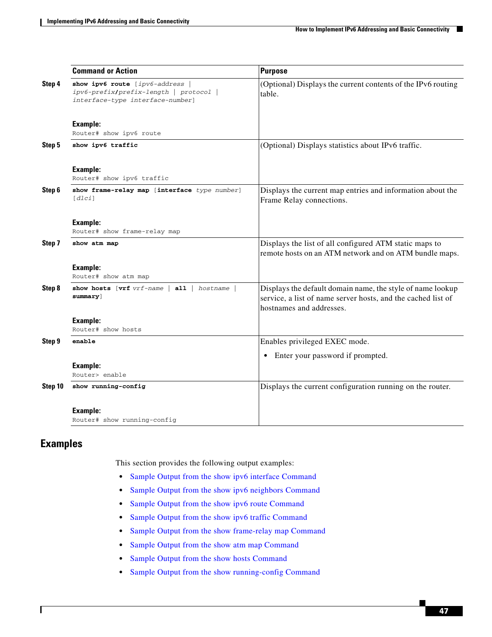|         | <b>Command or Action</b>                                                                                    | <b>Purpose</b>                                                                                                                                         |
|---------|-------------------------------------------------------------------------------------------------------------|--------------------------------------------------------------------------------------------------------------------------------------------------------|
| Step 4  | show ipv6 route [ipv6-address  <br>ipv6-prefix/prefix-length   protocol<br>interface-type interface-number] | (Optional) Displays the current contents of the IPv6 routing<br>table.                                                                                 |
|         | <b>Example:</b><br>Router# show ipv6 route                                                                  |                                                                                                                                                        |
| Step 5  | show ipv6 traffic                                                                                           | (Optional) Displays statistics about IPv6 traffic.                                                                                                     |
|         | <b>Example:</b><br>Router# show ipv6 traffic                                                                |                                                                                                                                                        |
| Step 6  | show frame-relay map [interface type number]<br>[dlci]                                                      | Displays the current map entries and information about the<br>Frame Relay connections.                                                                 |
|         | <b>Example:</b><br>Router# show frame-relay map                                                             |                                                                                                                                                        |
| Step 7  | show atm map                                                                                                | Displays the list of all configured ATM static maps to<br>remote hosts on an ATM network and on ATM bundle maps.                                       |
|         | <b>Example:</b><br>Router# show atm map                                                                     |                                                                                                                                                        |
| Step 8  | show hosts [vrf vrf-name  <br>$all \mid hostname \mid$<br>$summary$ ]                                       | Displays the default domain name, the style of name lookup<br>service, a list of name server hosts, and the cached list of<br>hostnames and addresses. |
|         | <b>Example:</b><br>Router# show hosts                                                                       |                                                                                                                                                        |
| Step 9  | enable                                                                                                      | Enables privileged EXEC mode.                                                                                                                          |
|         |                                                                                                             | Enter your password if prompted.                                                                                                                       |
|         | <b>Example:</b><br>Router> enable                                                                           |                                                                                                                                                        |
| Step 10 | show running-config                                                                                         | Displays the current configuration running on the router.                                                                                              |
|         | <b>Example:</b><br>Router# show running-config                                                              |                                                                                                                                                        |

### **Examples**

 $\overline{\phantom{a}}$ 

This section provides the following output examples:

- **•** [Sample Output from the show ipv6 interface Command](#page-47-0)
- **•** [Sample Output from the show ipv6 neighbors Command](#page-47-1)
- **•** [Sample Output from the show ipv6 route Command](#page-47-2)
- **•** [Sample Output from the show ipv6 traffic Command](#page-47-3)
- **•** [Sample Output from the show frame-relay map Command](#page-48-0)
- **•** [Sample Output from the show atm map Command](#page-48-1)
- **•** [Sample Output from the show hosts Command](#page-48-2)
- **•** [Sample Output from the show running-config Command](#page-49-0)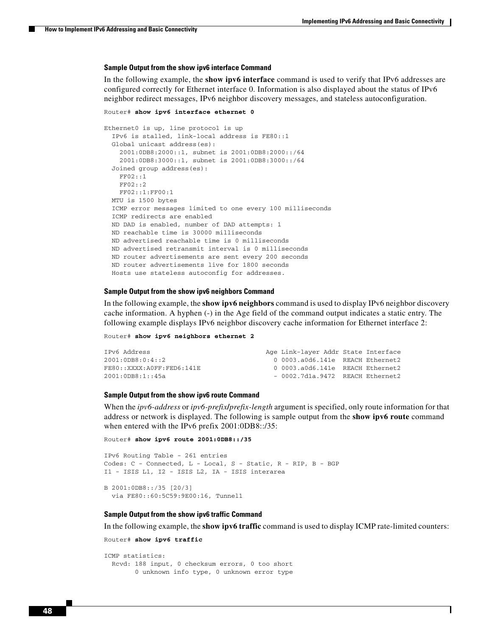#### <span id="page-47-0"></span>**Sample Output from the show ipv6 interface Command**

In the following example, the **show ipv6 interface** command is used to verify that IPv6 addresses are configured correctly for Ethernet interface 0. Information is also displayed about the status of IPv6 neighbor redirect messages, IPv6 neighbor discovery messages, and stateless autoconfiguration.

```
Router# show ipv6 interface ethernet 0
```

```
Ethernet0 is up, line protocol is up
   IPv6 is stalled, link-local address is FE80::1 
   Global unicast address(es):
     2001:0DB8:2000::1, subnet is 2001:0DB8:2000::/64
     2001:0DB8:3000::1, subnet is 2001:0DB8:3000::/64
  Joined group address(es):
    FF02::1
     FF02::2
    FF02::1:FF00:1
  MTU is 1500 bytes
   ICMP error messages limited to one every 100 milliseconds
   ICMP redirects are enabled
   ND DAD is enabled, number of DAD attempts: 1
  ND reachable time is 30000 milliseconds
  ND advertised reachable time is 0 milliseconds
  ND advertised retransmit interval is 0 milliseconds
  ND router advertisements are sent every 200 seconds
  ND router advertisements live for 1800 seconds
  Hosts use stateless autoconfig for addresses.
```
#### <span id="page-47-1"></span>**Sample Output from the show ipv6 neighbors Command**

In the following example, the **show ipv6 neighbors** command is used to display IPv6 neighbor discovery cache information. A hyphen (-) in the Age field of the command output indicates a static entry. The following example displays IPv6 neighbor discovery cache information for Ethernet interface 2:

Router# **show ipv6 neighbors ethernet 2**

| IPv6 Address              | Age Link-layer Addr State Interface    |  |
|---------------------------|----------------------------------------|--|
| 2001:0DB8:0:4::2          | $0.0003$ .a $0d6.141e$ REACH Ethernet2 |  |
| FE80::XXXX:AOFF:FED6:141E | $0.0003$ .a $0d6.141e$ REACH Ethernet2 |  |
| 2001:0DB8:1::45a          | $-0002.7d1a.9472$ REACH Ethernet2      |  |

#### <span id="page-47-2"></span>**Sample Output from the show ipv6 route Command**

When the *ipv6-address* or *ipv6-prefix***/***prefix-length* argument is specified, only route information for that address or network is displayed. The following is sample output from the **show ipv6 route** command when entered with the IPv6 prefix 2001:0DB8::/35:

```
Router# show ipv6 route 2001:0DB8::/35
```

```
IPv6 Routing Table - 261 entries
Codes: C - Connected, L - Local, S - Static, R - RIP, B - BGP
I1 - ISIS L1, I2 - ISIS L2, IA - ISIS interarea
B 2001:0DB8::/35 [20/3]
   via FE80::60:5C59:9E00:16, Tunnel1
```
#### <span id="page-47-3"></span>**Sample Output from the show ipv6 traffic Command**

In the following example, the **show ipv6 traffic** command is used to display ICMP rate-limited counters:

I

```
Router# show ipv6 traffic
```

```
ICMP statistics:
  Rcvd: 188 input, 0 checksum errors, 0 too short
         0 unknown info type, 0 unknown error type
```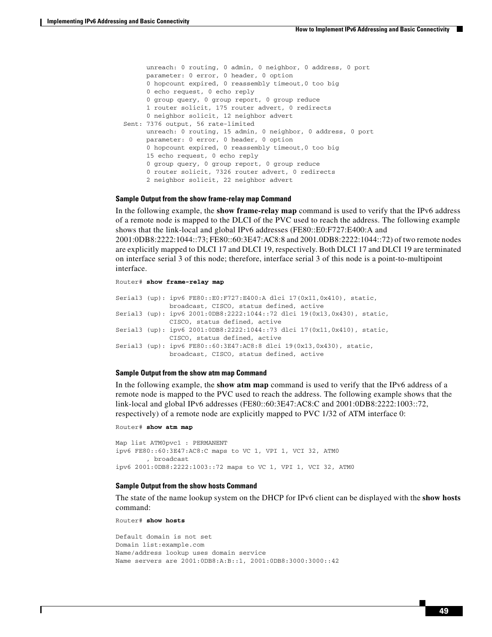unreach: 0 routing, 0 admin, 0 neighbor, 0 address, 0 port parameter: 0 error, 0 header, 0 option 0 hopcount expired, 0 reassembly timeout,0 too big 0 echo request, 0 echo reply 0 group query, 0 group report, 0 group reduce 1 router solicit, 175 router advert, 0 redirects 0 neighbor solicit, 12 neighbor advert Sent: 7376 output, 56 rate-limited unreach: 0 routing, 15 admin, 0 neighbor, 0 address, 0 port parameter: 0 error, 0 header, 0 option 0 hopcount expired, 0 reassembly timeout,0 too big 15 echo request, 0 echo reply 0 group query, 0 group report, 0 group reduce 0 router solicit, 7326 router advert, 0 redirects 2 neighbor solicit, 22 neighbor advert

#### <span id="page-48-0"></span>**Sample Output from the show frame-relay map Command**

In the following example, the **show frame-relay map** command is used to verify that the IPv6 address of a remote node is mapped to the DLCI of the PVC used to reach the address. The following example shows that the link-local and global IPv6 addresses (FE80::E0:F727:E400:A and 2001:0DB8:2222:1044::73; FE80::60:3E47:AC8:8 and 2001.0DB8:2222:1044::72) of two remote nodes are explicitly mapped to DLCI 17 and DLCI 19, respectively. Both DLCI 17 and DLCI 19 are terminated on interface serial 3 of this node; therefore, interface serial 3 of this node is a point-to-multipoint interface.

```
Router# show frame-relay map
```
Serial3 (up): ipv6 FE80::E0:F727:E400:A dlci 17(0x11,0x410), static, broadcast, CISCO, status defined, active Serial3 (up): ipv6 2001:0DB8:2222:1044::72 dlci 19(0x13,0x430), static, CISCO, status defined, active Serial3 (up): ipv6 2001:0DB8:2222:1044::73 dlci 17(0x11,0x410), static, CISCO, status defined, active Serial3 (up): ipv6 FE80::60:3E47:AC8:8 dlci 19(0x13,0x430), static, broadcast, CISCO, status defined, active

#### <span id="page-48-1"></span>**Sample Output from the show atm map Command**

In the following example, the **show atm map** command is used to verify that the IPv6 address of a remote node is mapped to the PVC used to reach the address. The following example shows that the link-local and global IPv6 addresses (FE80::60:3E47:AC8:C and 2001:0DB8:2222:1003::72, respectively) of a remote node are explicitly mapped to PVC 1/32 of ATM interface 0:

```
Router# show atm map
```
Map list ATM0pvc1 : PERMANENT ipv6 FE80::60:3E47:AC8:C maps to VC 1, VPI 1, VCI 32, ATM0 , broadcast ipv6 2001:0DB8:2222:1003::72 maps to VC 1, VPI 1, VCI 32, ATM0

#### <span id="page-48-2"></span>**Sample Output from the show hosts Command**

The state of the name lookup system on the DHCP for IPv6 client can be displayed with the **show hosts** command:

Router# **show hosts**

I

```
Default domain is not set
Domain list:example.com
Name/address lookup uses domain service
Name servers are 2001:0DB8:A:B::1, 2001:0DB8:3000:3000::42
```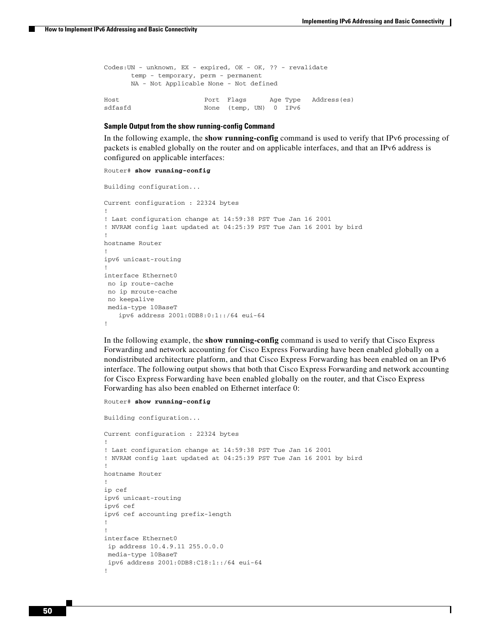Ι

| Codes:UN - unknown, EX - expired, OK - OK, ?? - revalidate |                        |  |                                 |
|------------------------------------------------------------|------------------------|--|---------------------------------|
| temp - temporary, perm - permanent                         |                        |  |                                 |
| NA - Not Applicable None - Not defined                     |                        |  |                                 |
|                                                            |                        |  |                                 |
| Host                                                       |                        |  | Port Flags Age Type Address(es) |
| sdfasfd                                                    | None (temp, UN) 0 IPv6 |  |                                 |

#### <span id="page-49-0"></span>**Sample Output from the show running-config Command**

In the following example, the **show running-config** command is used to verify that IPv6 processing of packets is enabled globally on the router and on applicable interfaces, and that an IPv6 address is configured on applicable interfaces:

#### Router# **show running-config**

```
Building configuration...
Current configuration : 22324 bytes
!
! Last configuration change at 14:59:38 PST Tue Jan 16 2001
! NVRAM config last updated at 04:25:39 PST Tue Jan 16 2001 by bird
!
hostname Router
!
ipv6 unicast-routing
!
interface Ethernet0
 no ip route-cache
 no ip mroute-cache
 no keepalive
 media-type 10BaseT
   ipv6 address 2001:0DB8:0:1::/64 eui-64
!
```
In the following example, the **show running-config** command is used to verify that Cisco Express Forwarding and network accounting for Cisco Express Forwarding have been enabled globally on a nondistributed architecture platform, and that Cisco Express Forwarding has been enabled on an IPv6 interface. The following output shows that both that Cisco Express Forwarding and network accounting for Cisco Express Forwarding have been enabled globally on the router, and that Cisco Express Forwarding has also been enabled on Ethernet interface 0:

```
Router# show running-config
```
Building configuration... Current configuration : 22324 bytes ! ! Last configuration change at 14:59:38 PST Tue Jan 16 2001 ! NVRAM config last updated at 04:25:39 PST Tue Jan 16 2001 by bird ! hostname Router ! ip cef ipv6 unicast-routing ipv6 cef ipv6 cef accounting prefix-length ! ! interface Ethernet0 ip address 10.4.9.11 255.0.0.0 media-type 10BaseT ipv6 address 2001:0DB8:C18:1::/64 eui-64 !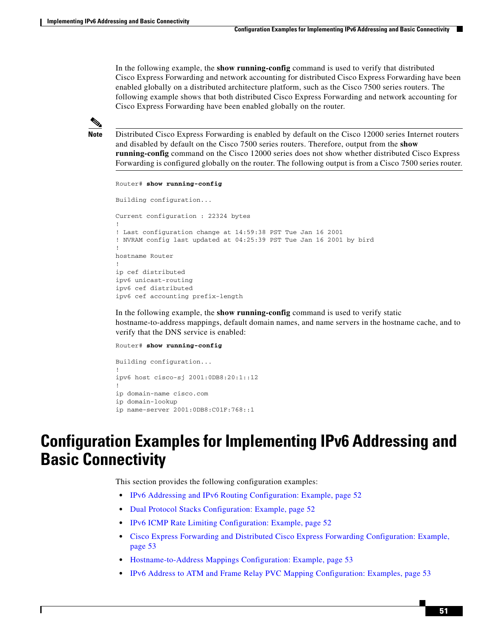In the following example, the **show running-config** command is used to verify that distributed Cisco Express Forwarding and network accounting for distributed Cisco Express Forwarding have been enabled globally on a distributed architecture platform, such as the Cisco 7500 series routers. The following example shows that both distributed Cisco Express Forwarding and network accounting for Cisco Express Forwarding have been enabled globally on the router.



**Note** Distributed Cisco Express Forwarding is enabled by default on the Cisco 12000 series Internet routers and disabled by default on the Cisco 7500 series routers. Therefore, output from the **show running-config** command on the Cisco 12000 series does not show whether distributed Cisco Express Forwarding is configured globally on the router. The following output is from a Cisco 7500 series router.

```
Router# show running-config
Building configuration...
Current configuration : 22324 bytes
!
! Last configuration change at 14:59:38 PST Tue Jan 16 2001
! NVRAM config last updated at 04:25:39 PST Tue Jan 16 2001 by bird
!
hostname Router
!
ip cef distributed
ipv6 unicast-routing
ipv6 cef distributed
ipv6 cef accounting prefix-length
```
In the following example, the **show running-config** command is used to verify static hostname-to-address mappings, default domain names, and name servers in the hostname cache, and to verify that the DNS service is enabled:

Router# **show running-config**

```
Building configuration...
!
ipv6 host cisco-sj 2001:0DB8:20:1::12
!
ip domain-name cisco.com
ip domain-lookup
ip name-server 2001:0DB8:C01F:768::1
```
# <span id="page-50-0"></span>**Configuration Examples for Implementing IPv6 Addressing and Basic Connectivity**

This section provides the following configuration examples:

- **•** [IPv6 Addressing and IPv6 Routing Configuration: Example, page 52](#page-51-0)
- **•** [Dual Protocol Stacks Configuration: Example, page 52](#page-51-1)
- **•** [IPv6 ICMP Rate Limiting Configuration: Example, page 52](#page-51-2)
- **•** [Cisco Express Forwarding and Distributed Cisco Express Forwarding Configuration: Example,](#page-52-0)  [page 53](#page-52-0)
- **•** [Hostname-to-Address Mappings Configuration: Example, page 53](#page-52-1)
- **•** [IPv6 Address to ATM and Frame Relay PVC Mapping Configuration: Examples, page 53](#page-52-2)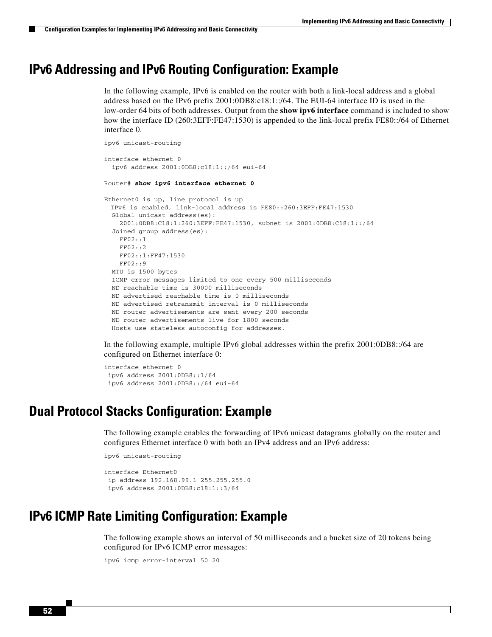I

## <span id="page-51-0"></span>**IPv6 Addressing and IPv6 Routing Configuration: Example**

In the following example, IPv6 is enabled on the router with both a link-local address and a global address based on the IPv6 prefix 2001:0DB8:c18:1::/64. The EUI-64 interface ID is used in the low-order 64 bits of both addresses. Output from the **show ipv6 interface** command is included to show how the interface ID (260:3EFF:FE47:1530) is appended to the link-local prefix FE80::/64 of Ethernet interface 0.

```
ipv6 unicast-routing
interface ethernet 0
  ipv6 address 2001:0DB8:c18:1::/64 eui-64
Router# show ipv6 interface ethernet 0
Ethernet0 is up, line protocol is up
 IPv6 is enabled, link-local address is FE80::260:3EFF:FE47:1530
  Global unicast address(es):
     2001:0DB8:C18:1:260:3EFF:FE47:1530, subnet is 2001:0DB8:C18:1::/64
  Joined group address(es):
    FF02::1
     FF02::2
    FF02::1:FF47:1530
     FF02::9
  MTU is 1500 bytes
   ICMP error messages limited to one every 500 milliseconds
  ND reachable time is 30000 milliseconds
  ND advertised reachable time is 0 milliseconds
  ND advertised retransmit interval is 0 milliseconds
  ND router advertisements are sent every 200 seconds
  ND router advertisements live for 1800 seconds
  Hosts use stateless autoconfig for addresses.
```
In the following example, multiple IPv6 global addresses within the prefix 2001:0DB8::/64 are configured on Ethernet interface 0:

```
interface ethernet 0
ipv6 address 2001:0DB8::1/64
 ipv6 address 2001:0DB8::/64 eui-64
```
## <span id="page-51-1"></span>**Dual Protocol Stacks Configuration: Example**

The following example enables the forwarding of IPv6 unicast datagrams globally on the router and configures Ethernet interface 0 with both an IPv4 address and an IPv6 address:

ipv6 unicast-routing

```
interface Ethernet0
 ip address 192.168.99.1 255.255.255.0
 ipv6 address 2001:0DB8:c18:1::3/64
```
## <span id="page-51-2"></span>**IPv6 ICMP Rate Limiting Configuration: Example**

The following example shows an interval of 50 milliseconds and a bucket size of 20 tokens being configured for IPv6 ICMP error messages:

```
ipv6 icmp error-interval 50 20
```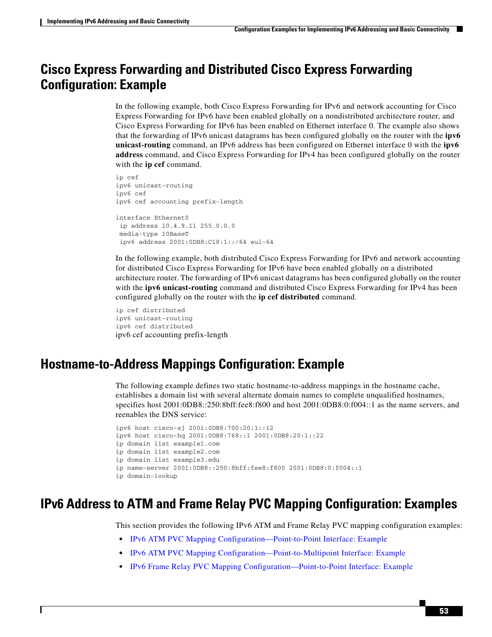## <span id="page-52-0"></span>**Cisco Express Forwarding and Distributed Cisco Express Forwarding Configuration: Example**

In the following example, both Cisco Express Forwarding for IPv6 and network accounting for Cisco Express Forwarding for IPv6 have been enabled globally on a nondistributed architecture router, and Cisco Express Forwarding for IPv6 has been enabled on Ethernet interface 0. The example also shows that the forwarding of IPv6 unicast datagrams has been configured globally on the router with the **ipv6 unicast-routing** command, an IPv6 address has been configured on Ethernet interface 0 with the **ipv6 address** command, and Cisco Express Forwarding for IPv4 has been configured globally on the router with the **ip cef** command.

```
ip cef
ipv6 unicast-routing
ipv6 cef
ipv6 cef accounting prefix-length
interface Ethernet0
 ip address 10.4.9.11 255.0.0.0
 media-type 10BaseT
 ipv6 address 2001:0DB8:C18:1::/64 eui-64
```
In the following example, both distributed Cisco Express Forwarding for IPv6 and network accounting for distributed Cisco Express Forwarding for IPv6 have been enabled globally on a distributed architecture router. The forwarding of IPv6 unicast datagrams has been configured globally on the router with the **ipv6 unicast-routing** command and distributed Cisco Express Forwarding for IPv4 has been configured globally on the router with the **ip cef distributed** command.

```
ip cef distributed
ipv6 unicast-routing
ipv6 cef distributed
ipv6 cef accounting prefix-length
```
I

## <span id="page-52-1"></span>**Hostname-to-Address Mappings Configuration: Example**

The following example defines two static hostname-to-address mappings in the hostname cache, establishes a domain list with several alternate domain names to complete unqualified hostnames, specifies host 2001:0DB8::250:8bff:fee8:f800 and host 2001:0DB8:0:f004::1 as the name servers, and reenables the DNS service:

```
ipv6 host cisco-sj 2001:0DB8:700:20:1::12
ipv6 host cisco-hq 2001:0DB8:768::1 2001:0DB8:20:1::22
ip domain list example1.com
ip domain list example2.com
ip domain list example3.edu
ip name-server 2001:0DB8::250:8bff:fee8:f800 2001:0DB8:0:f004::1
ip domain-lookup
```
## <span id="page-52-2"></span>**IPv6 Address to ATM and Frame Relay PVC Mapping Configuration: Examples**

This section provides the following IPv6 ATM and Frame Relay PVC mapping configuration examples:

- **•** [IPv6 ATM PVC Mapping Configuration—Point-to-Point Interface: Example](#page-53-0)
- **•** [IPv6 ATM PVC Mapping Configuration—Point-to-Multipoint Interface: Example](#page-53-1)
- **•** [IPv6 Frame Relay PVC Mapping Configuration—Point-to-Point Interface: Example](#page-54-0)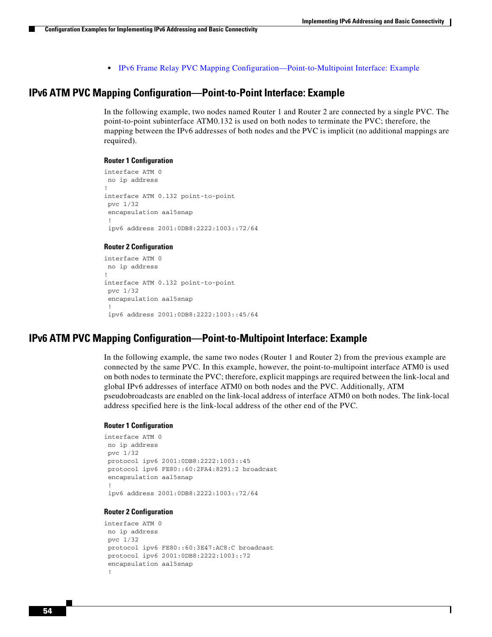$\mathsf{l}$ 

**•** [IPv6 Frame Relay PVC Mapping Configuration—Point-to-Multipoint Interface: Example](#page-55-1)

### <span id="page-53-0"></span>**IPv6 ATM PVC Mapping Configuration—Point-to-Point Interface: Example**

In the following example, two nodes named Router 1 and Router 2 are connected by a single PVC. The point-to-point subinterface ATM0.132 is used on both nodes to terminate the PVC; therefore, the mapping between the IPv6 addresses of both nodes and the PVC is implicit (no additional mappings are required).

#### **Router 1 Configuration**

```
interface ATM 0 
 no ip address 
! 
interface ATM 0.132 point-to-point 
  pvc 1/32
 encapsulation aal5snap 
 ! 
  ipv6 address 2001:0DB8:2222:1003::72/64
```
#### **Router 2 Configuration**

```
interface ATM 0 
 no ip address 
! 
interface ATM 0.132 point-to-point 
 pvc 1/32
encapsulation aal5snap 
  ! 
  ipv6 address 2001:0DB8:2222:1003::45/64
```
#### <span id="page-53-1"></span>**IPv6 ATM PVC Mapping Configuration—Point-to-Multipoint Interface: Example**

In the following example, the same two nodes (Router 1 and Router 2) from the previous example are connected by the same PVC. In this example, however, the point-to-multipoint interface ATM0 is used on both nodes to terminate the PVC; therefore, explicit mappings are required between the link-local and global IPv6 addresses of interface ATM0 on both nodes and the PVC. Additionally, ATM pseudobroadcasts are enabled on the link-local address of interface ATM0 on both nodes. The link-local address specified here is the link-local address of the other end of the PVC.

#### **Router 1 Configuration**

```
interface ATM 0 
 no ip address 
 pvc 1/32
protocol ipv6 2001:0DB8:2222:1003::45 
protocol ipv6 FE80::60:2FA4:8291:2 broadcast 
encapsulation aal5snap 
 ! 
 ipv6 address 2001:0DB8:2222:1003::72/64
```
#### **Router 2 Configuration**

```
interface ATM 0 
 no ip address 
 pvc 1/32
protocol ipv6 FE80::60:3E47:AC8:C broadcast 
protocol ipv6 2001:0DB8:2222:1003::72 
 encapsulation aal5snap 
  !
```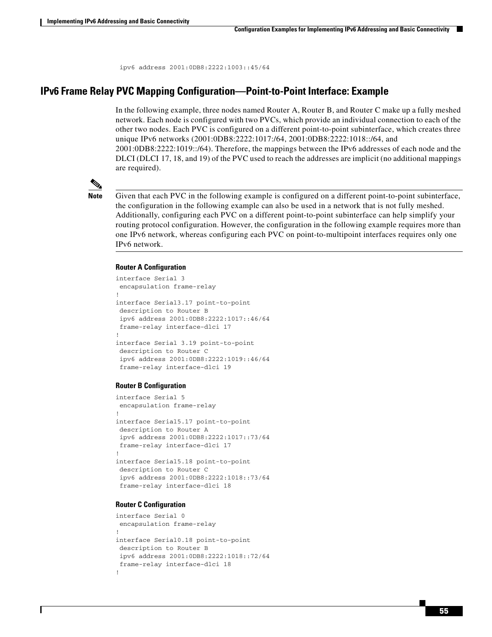ipv6 address 2001:0DB8:2222:1003::45/64

### <span id="page-54-0"></span>**IPv6 Frame Relay PVC Mapping Configuration—Point-to-Point Interface: Example**

In the following example, three nodes named Router A, Router B, and Router C make up a fully meshed network. Each node is configured with two PVCs, which provide an individual connection to each of the other two nodes. Each PVC is configured on a different point-to-point subinterface, which creates three unique IPv6 networks (2001:0DB8:2222:1017:/64, 2001:0DB8:2222:1018::/64, and 2001:0DB8:2222:1019::/64). Therefore, the mappings between the IPv6 addresses of each node and the DLCI (DLCI 17, 18, and 19) of the PVC used to reach the addresses are implicit (no additional mappings are required).



**Note** Given that each PVC in the following example is configured on a different point-to-point subinterface, the configuration in the following example can also be used in a network that is not fully meshed. Additionally, configuring each PVC on a different point-to-point subinterface can help simplify your routing protocol configuration. However, the configuration in the following example requires more than one IPv6 network, whereas configuring each PVC on point-to-multipoint interfaces requires only one IPv6 network.

#### **Router A Configuration**

```
interface Serial 3 
  encapsulation frame-relay 
! 
interface Serial3.17 point-to-point 
  description to Router B 
  ipv6 address 2001:0DB8:2222:1017::46/64 
  frame-relay interface-dlci 17 
! 
interface Serial 3.19 point-to-point 
 description to Router C 
  ipv6 address 2001:0DB8:2222:1019::46/64 
  frame-relay interface-dlci 19
```
#### **Router B Configuration**

```
interface Serial 5 
  encapsulation frame-relay 
! 
interface Serial5.17 point-to-point 
 description to Router A 
  ipv6 address 2001:0DB8:2222:1017::73/64 
  frame-relay interface-dlci 17 
! 
interface Serial5.18 point-to-point 
 description to Router C 
  ipv6 address 2001:0DB8:2222:1018::73/64 
  frame-relay interface-dlci 18
```
#### **Router C Configuration**

```
interface Serial 0 
  encapsulation frame-relay 
! 
interface Serial0.18 point-to-point 
 description to Router B 
  ipv6 address 2001:0DB8:2222:1018::72/64 
  frame-relay interface-dlci 18 
!
```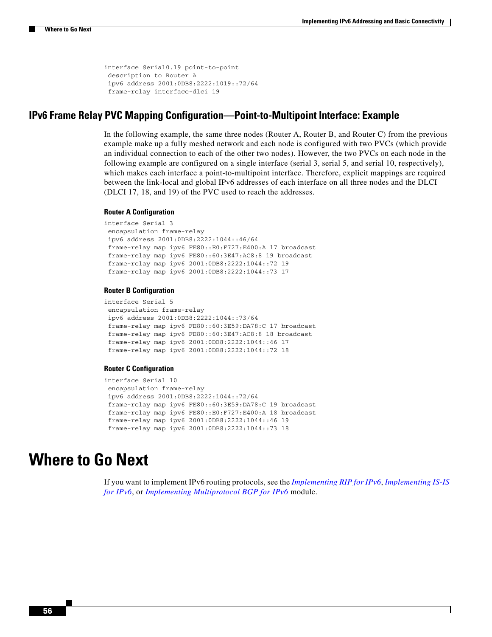I

```
interface Serial0.19 point-to-point 
 description to Router A 
  ipv6 address 2001:0DB8:2222:1019::72/64 
  frame-relay interface-dlci 19
```
### <span id="page-55-1"></span>**IPv6 Frame Relay PVC Mapping Configuration—Point-to-Multipoint Interface: Example**

In the following example, the same three nodes (Router A, Router B, and Router C) from the previous example make up a fully meshed network and each node is configured with two PVCs (which provide an individual connection to each of the other two nodes). However, the two PVCs on each node in the following example are configured on a single interface (serial 3, serial 5, and serial 10, respectively), which makes each interface a point-to-multipoint interface. Therefore, explicit mappings are required between the link-local and global IPv6 addresses of each interface on all three nodes and the DLCI (DLCI 17, 18, and 19) of the PVC used to reach the addresses.

#### **Router A Configuration**

```
interface Serial 3 
 encapsulation frame-relay 
 ipv6 address 2001:0DB8:2222:1044::46/64 
 frame-relay map ipv6 FE80::E0:F727:E400:A 17 broadcast 
  frame-relay map ipv6 FE80::60:3E47:AC8:8 19 broadcast 
  frame-relay map ipv6 2001:0DB8:2222:1044::72 19 
  frame-relay map ipv6 2001:0DB8:2222:1044::73 17
```
#### **Router B Configuration**

```
interface Serial 5 
 encapsulation frame-relay 
  ipv6 address 2001:0DB8:2222:1044::73/64 
 frame-relay map ipv6 FE80::60:3E59:DA78:C 17 broadcast 
 frame-relay map ipv6 FE80::60:3E47:AC8:8 18 broadcast 
  frame-relay map ipv6 2001:0DB8:2222:1044::46 17 
  frame-relay map ipv6 2001:0DB8:2222:1044::72 18
```
#### **Router C Configuration**

```
interface Serial 10 
 encapsulation frame-relay 
 ipv6 address 2001:0DB8:2222:1044::72/64 
 frame-relay map ipv6 FE80::60:3E59:DA78:C 19 broadcast 
  frame-relay map ipv6 FE80::E0:F727:E400:A 18 broadcast 
  frame-relay map ipv6 2001:0DB8:2222:1044::46 19 
  frame-relay map ipv6 2001:0DB8:2222:1044::73 18
```
## <span id="page-55-0"></span>**Where to Go Next**

If you want to implement IPv6 routing protocols, see the *[Implementing RIP for IPv6](http://www.cisco.com/en/US/docs/ios/ipv6/configuration/guide/ip6-rip.html)*, *Implementing IS-IS for IPv6*, or *Implementing Multiprotocol BGP for IPv6* module.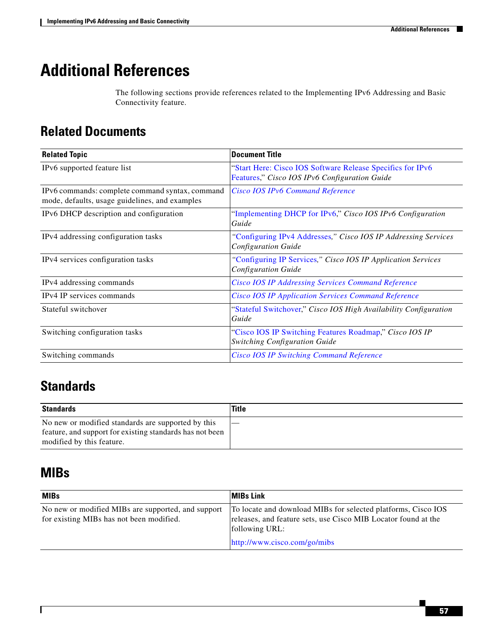# <span id="page-56-0"></span>**Additional References**

The following sections provide references related to the Implementing IPv6 Addressing and Basic Connectivity feature.

# **Related Documents**

| <b>Related Topic</b>                                                                              | <b>Document Title</b>                                                                                       |  |
|---------------------------------------------------------------------------------------------------|-------------------------------------------------------------------------------------------------------------|--|
| IPv6 supported feature list                                                                       | "Start Here: Cisco IOS Software Release Specifics for IPv6<br>Features," Cisco IOS IPv6 Configuration Guide |  |
| IPv6 commands: complete command syntax, command<br>mode, defaults, usage guidelines, and examples | Cisco IOS IPv6 Command Reference                                                                            |  |
| IPv6 DHCP description and configuration                                                           | "Implementing DHCP for IPv6," Cisco IOS IPv6 Configuration<br>Guide                                         |  |
| IPv4 addressing configuration tasks                                                               | "Configuring IPv4 Addresses," Cisco IOS IP Addressing Services<br><b>Configuration Guide</b>                |  |
| IPv4 services configuration tasks                                                                 | "Configuring IP Services," Cisco IOS IP Application Services<br><b>Configuration Guide</b>                  |  |
| IPv4 addressing commands                                                                          | <b>Cisco IOS IP Addressing Services Command Reference</b>                                                   |  |
| IP <sub>v</sub> 4 IP services commands                                                            | <b>Cisco IOS IP Application Services Command Reference</b>                                                  |  |
| Stateful switchover                                                                               | "Stateful Switchover," Cisco IOS High Availability Configuration<br>Guide                                   |  |
| Switching configuration tasks                                                                     | "Cisco IOS IP Switching Features Roadmap," Cisco IOS IP<br><b>Switching Configuration Guide</b>             |  |
| Switching commands                                                                                | <b>Cisco IOS IP Switching Command Reference</b>                                                             |  |

# **Standards**

| Standards                                                | <b>Title</b> |
|----------------------------------------------------------|--------------|
| No new or modified standards are supported by this       |              |
| feature, and support for existing standards has not been |              |
| modified by this feature.                                |              |

# **MIBs**

 $\overline{\phantom{a}}$ 

| <b>MIBs</b>                                                                                    | <b>MIBs Link</b>                                                                                                                                                                  |
|------------------------------------------------------------------------------------------------|-----------------------------------------------------------------------------------------------------------------------------------------------------------------------------------|
| No new or modified MIBs are supported, and support<br>for existing MIBs has not been modified. | To locate and download MIBs for selected platforms, Cisco IOS<br>releases, and feature sets, use Cisco MIB Locator found at the<br>following URL:<br>http://www.cisco.com/go/mibs |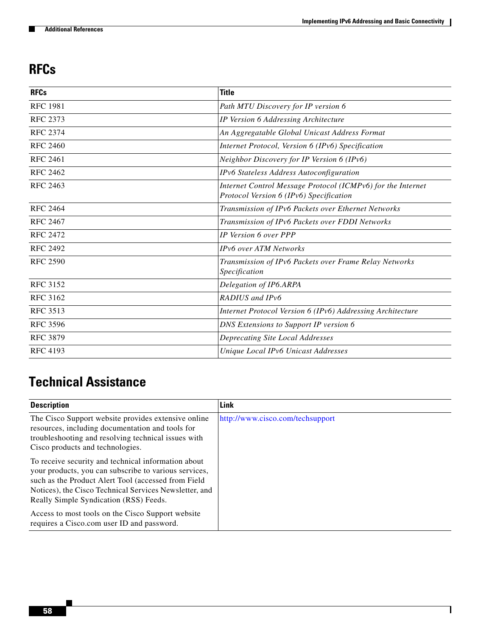$\mathsf I$ 

# **RFCs**

| <b>RFCs</b>     | <b>Title</b>                                                                                           |
|-----------------|--------------------------------------------------------------------------------------------------------|
| <b>RFC 1981</b> | Path MTU Discovery for IP version 6                                                                    |
| <b>RFC 2373</b> | IP Version 6 Addressing Architecture                                                                   |
| <b>RFC 2374</b> | An Aggregatable Global Unicast Address Format                                                          |
| <b>RFC 2460</b> | Internet Protocol, Version 6 (IPv6) Specification                                                      |
| <b>RFC 2461</b> | Neighbor Discovery for IP Version 6 (IPv6)                                                             |
| <b>RFC 2462</b> | IPv6 Stateless Address Autoconfiguration                                                               |
| <b>RFC 2463</b> | Internet Control Message Protocol (ICMPv6) for the Internet<br>Protocol Version 6 (IPv6) Specification |
| <b>RFC 2464</b> | Transmission of IPv6 Packets over Ethernet Networks                                                    |
| <b>RFC 2467</b> | Transmission of IPv6 Packets over FDDI Networks                                                        |
| <b>RFC 2472</b> | IP Version 6 over PPP                                                                                  |
| <b>RFC 2492</b> | IPv6 over ATM Networks                                                                                 |
| <b>RFC 2590</b> | Transmission of IPv6 Packets over Frame Relay Networks<br>Specification                                |
| <b>RFC 3152</b> | Delegation of IP6.ARPA                                                                                 |
| <b>RFC 3162</b> | RADIUS and IPv6                                                                                        |
| <b>RFC 3513</b> | Internet Protocol Version 6 (IPv6) Addressing Architecture                                             |
| <b>RFC 3596</b> | DNS Extensions to Support IP version 6                                                                 |
| <b>RFC 3879</b> | Deprecating Site Local Addresses                                                                       |
| <b>RFC 4193</b> | Unique Local IPv6 Unicast Addresses                                                                    |

# **Technical Assistance**

| <b>Description</b>                                                                                                                                                                                                                                                      | Link                             |
|-------------------------------------------------------------------------------------------------------------------------------------------------------------------------------------------------------------------------------------------------------------------------|----------------------------------|
| The Cisco Support website provides extensive online<br>resources, including documentation and tools for<br>troubleshooting and resolving technical issues with<br>Cisco products and technologies.                                                                      | http://www.cisco.com/techsupport |
| To receive security and technical information about<br>your products, you can subscribe to various services,<br>such as the Product Alert Tool (accessed from Field<br>Notices), the Cisco Technical Services Newsletter, and<br>Really Simple Syndication (RSS) Feeds. |                                  |
| Access to most tools on the Cisco Support website<br>requires a Cisco.com user ID and password.                                                                                                                                                                         |                                  |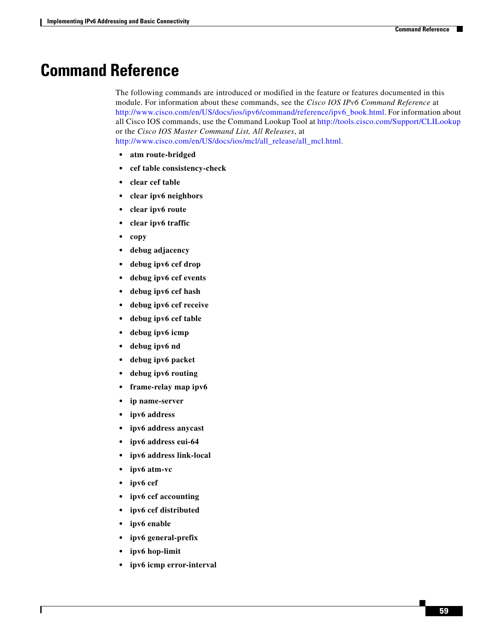# <span id="page-58-0"></span>**Command Reference**

The following commands are introduced or modified in the feature or features documented in this module. For information about these commands, see the *Cisco IOS IPv6 Command Reference* at http://www.cisco.com/en/US/docs/ios/ipv6/command/reference/ipv6\_book.html. For information about all Cisco IOS commands, use the Command Lookup Tool at http://tools.cisco.com/Support/CLILookup or the *Cisco IOS Master Command List, All Releases*, a[t](http://www.cisco.com/en/US/docs/ios/mcl/all_release/all_mcl.html) [http://www.cisco.com/en/US/docs/ios/mcl/all\\_release/all\\_mcl.html.](http://www.cisco.com/en/US/docs/ios/mcl/all_release/all_mcl.html)

**• atm route-bridged**

- **• cef table consistency-check**
- **• clear cef table**
- **• clear ipv6 neighbors**
- **• clear ipv6 route**
- **• clear ipv6 traffic**
- **• copy**
- **• debug adjacency**
- **• debug ipv6 cef drop**
- **• debug ipv6 cef events**
- **• debug ipv6 cef hash**
- **• debug ipv6 cef receive**
- **• debug ipv6 cef table**
- **• debug ipv6 icmp**
- **• debug ipv6 nd**
- **• debug ipv6 packet**
- **• debug ipv6 routing**
- **• frame-relay map ipv6**
- **• ip name-server**
- **• ipv6 address**
- **• ipv6 address anycast**
- **• ipv6 address eui-64**
- **• ipv6 address link-local**
- **• ipv6 atm-vc**
- **• ipv6 cef**
- **• ipv6 cef accounting**
- **• ipv6 cef distributed**
- **• ipv6 enable**

 $\Gamma$ 

- **• ipv6 general-prefix**
- **• ipv6 hop-limit**
- **• ipv6 icmp error-interval**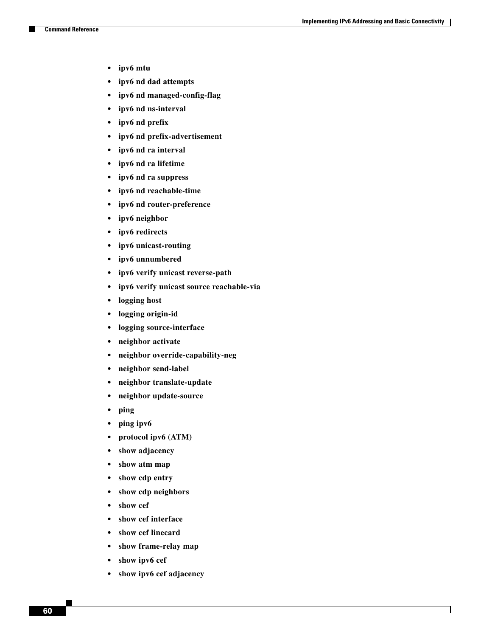$\mathbf I$ 

- **• ipv6 mtu**
- **• ipv6 nd dad attempts**
- **• ipv6 nd managed-config-flag**
- **• ipv6 nd ns-interval**
- **• ipv6 nd prefix**
- **• ipv6 nd prefix-advertisement**
- **• ipv6 nd ra interval**
- **• ipv6 nd ra lifetime**
- **• ipv6 nd ra suppress**
- **• ipv6 nd reachable-time**
- **• ipv6 nd router-preference**
- **• ipv6 neighbor**
- **• ipv6 redirects**
- **• ipv6 unicast-routing**
- **• ipv6 unnumbered**
- **• ipv6 verify unicast reverse-path**
- **• ipv6 verify unicast source reachable-via**
- **• logging host**
- **• logging origin-id**
- **• logging source-interface**
- **• neighbor activate**
- **• neighbor override-capability-neg**
- **• neighbor send-label**
- **• neighbor translate-update**
- **• neighbor update-source**
- **• ping**
- **• ping ipv6**
- **• protocol ipv6 (ATM)**
- **• show adjacency**
- **• show atm map**
- **• show cdp entry**
- **• show cdp neighbors**
- **• show cef**
- **• show cef interface**
- **• show cef linecard**
- **• show frame-relay map**
- **• show ipv6 cef**
- **• show ipv6 cef adjacency**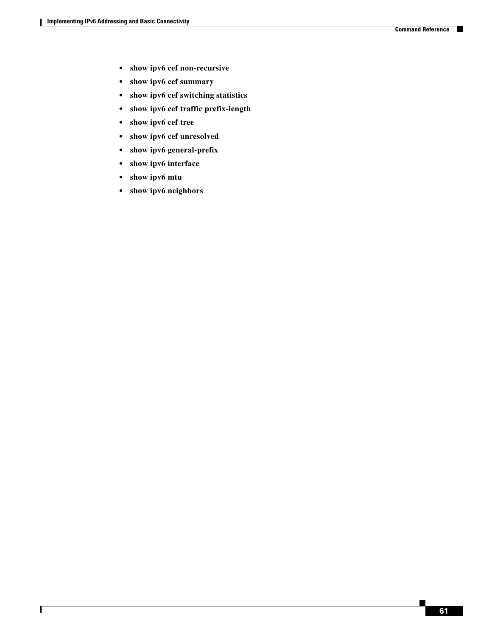a ka

 $\mathbf{I}$ 

- **• show ipv6 cef non-recursive**
- **• show ipv6 cef summary**
- **• show ipv6 cef switching statistics**
- **• show ipv6 cef traffic prefix-length**
- **• show ipv6 cef tree**
- **• show ipv6 cef unresolved**
- **• show ipv6 general-prefix**
- **• show ipv6 interface**
- **• show ipv6 mtu**
- **• show ipv6 neighbors**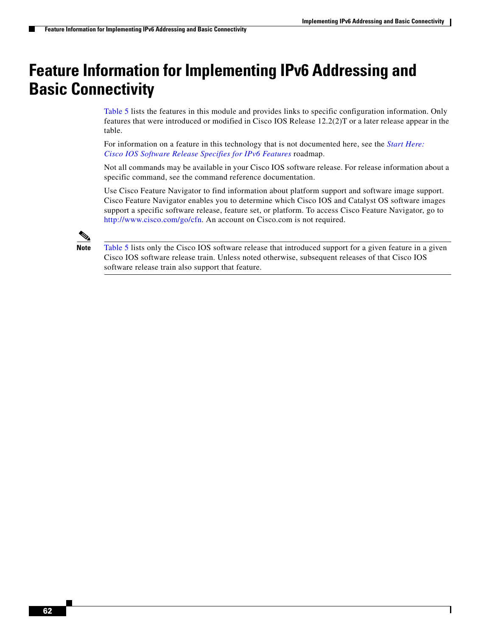Ι

# <span id="page-61-0"></span>**Feature Information for Implementing IPv6 Addressing and Basic Connectivity**

[Table 5](#page-62-0) lists the features in this module and provides links to specific configuration information. Only features that were introduced or modified in Cisco IOS Release 12.2(2)T or a later release appear in the table.

[For information on a feature in this technology that is not documented here, see the](http://www.cisco.com/en/US/docs/ios/ipv6/configuration/guide/ip6-roadmap.html) *Start Here: Cisco IOS Software Release Specifies for IPv6 Features* roadmap.

Not all commands may be available in your Cisco IOS software release. For release information about a specific command, see the command reference documentation.

Use Cisco Feature Navigator to find information about platform support and software image support. Cisco Feature Navigator enables you to determine which Cisco IOS and Catalyst OS software images support a specific software release, feature set, or platform. To access Cisco Feature Navigator, go to [http://www.cisco.com/go/cfn.](http://www.cisco.com/go/cfn) An account on Cisco.com is not required.

**Note** [Table 5](#page-62-0) lists only the Cisco IOS software release that introduced support for a given feature in a given Cisco IOS software release train. Unless noted otherwise, subsequent releases of that Cisco IOS software release train also support that feature.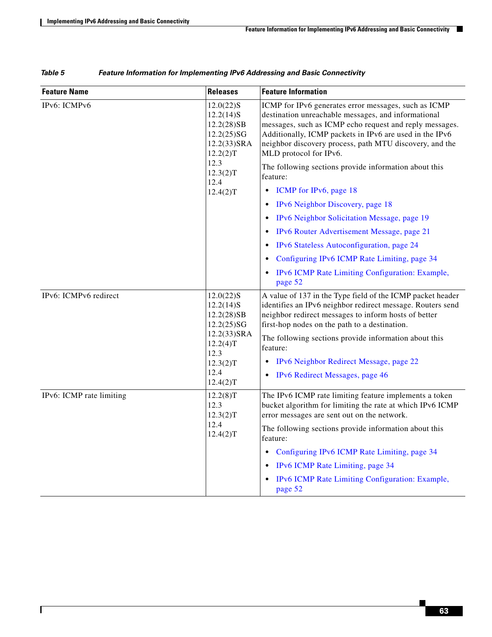$\mathbf{I}$ 

<span id="page-62-0"></span>

| <b>Feature Name</b>      | <b>Releases</b>                                                                     | <b>Feature Information</b>                                                                                                                                                                                                                                                                                             |  |
|--------------------------|-------------------------------------------------------------------------------------|------------------------------------------------------------------------------------------------------------------------------------------------------------------------------------------------------------------------------------------------------------------------------------------------------------------------|--|
| IPv6: ICMPv6             | $12.0(22)$ S<br>$12.2(14)$ S<br>12.2(28)SB<br>12.2(25)SG<br>12.2(33)SRA<br>12.2(2)T | ICMP for IPv6 generates error messages, such as ICMP<br>destination unreachable messages, and informational<br>messages, such as ICMP echo request and reply messages.<br>Additionally, ICMP packets in IPv6 are used in the IPv6<br>neighbor discovery process, path MTU discovery, and the<br>MLD protocol for IPv6. |  |
|                          | 12.3<br>12.3(2)T<br>12.4                                                            | The following sections provide information about this<br>feature:                                                                                                                                                                                                                                                      |  |
|                          | 12.4(2)T                                                                            | ICMP for IPv6, page 18                                                                                                                                                                                                                                                                                                 |  |
|                          |                                                                                     | IPv6 Neighbor Discovery, page 18                                                                                                                                                                                                                                                                                       |  |
|                          |                                                                                     | IPv6 Neighbor Solicitation Message, page 19                                                                                                                                                                                                                                                                            |  |
|                          |                                                                                     | IPv6 Router Advertisement Message, page 21                                                                                                                                                                                                                                                                             |  |
|                          |                                                                                     | IPv6 Stateless Autoconfiguration, page 24                                                                                                                                                                                                                                                                              |  |
|                          |                                                                                     | Configuring IPv6 ICMP Rate Limiting, page 34                                                                                                                                                                                                                                                                           |  |
|                          |                                                                                     | IPv6 ICMP Rate Limiting Configuration: Example,<br>page 52                                                                                                                                                                                                                                                             |  |
| IPv6: ICMPv6 redirect    | $12.0(22)$ S<br>$12.2(14)$ S<br>12.2(28)SB<br>12.2(25)SG                            | A value of 137 in the Type field of the ICMP packet header<br>identifies an IPv6 neighbor redirect message. Routers send<br>neighbor redirect messages to inform hosts of better<br>first-hop nodes on the path to a destination.                                                                                      |  |
|                          | 12.2(33)SRA<br>12.2(4)T<br>12.3                                                     | The following sections provide information about this<br>feature:                                                                                                                                                                                                                                                      |  |
|                          | 12.3(2)T                                                                            | IPv6 Neighbor Redirect Message, page 22                                                                                                                                                                                                                                                                                |  |
|                          | 12.4<br>12.4(2)T                                                                    | IPv6 Redirect Messages, page 46                                                                                                                                                                                                                                                                                        |  |
| IPv6: ICMP rate limiting | 12.2(8)T<br>12.3<br>12.3(2)T                                                        | The IPv6 ICMP rate limiting feature implements a token<br>bucket algorithm for limiting the rate at which IPv6 ICMP<br>error messages are sent out on the network.                                                                                                                                                     |  |
|                          | 12.4<br>12.4(2)T                                                                    | The following sections provide information about this<br>feature:                                                                                                                                                                                                                                                      |  |
|                          |                                                                                     | Configuring IPv6 ICMP Rate Limiting, page 34                                                                                                                                                                                                                                                                           |  |
|                          |                                                                                     | IPv6 ICMP Rate Limiting, page 34                                                                                                                                                                                                                                                                                       |  |
|                          |                                                                                     | IPv6 ICMP Rate Limiting Configuration: Example,<br>page 52                                                                                                                                                                                                                                                             |  |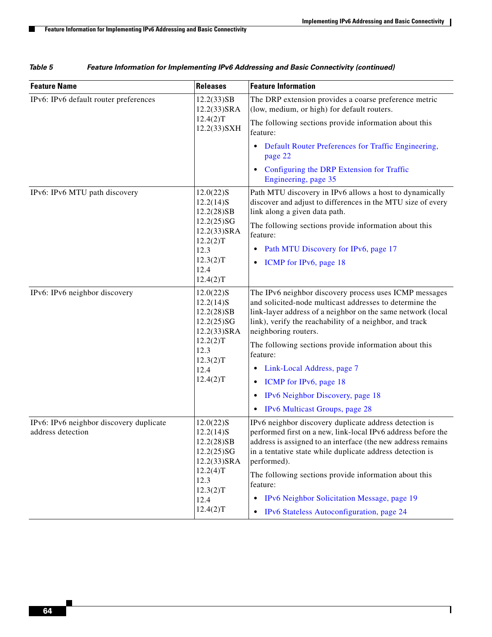$\mathsf I$ 

| <b>Feature Name</b>                                          | <b>Releases</b>                                                                                                             | <b>Feature Information</b>                                                                                                                                                                                                                                                                                                                                                                                                                                                                         |
|--------------------------------------------------------------|-----------------------------------------------------------------------------------------------------------------------------|----------------------------------------------------------------------------------------------------------------------------------------------------------------------------------------------------------------------------------------------------------------------------------------------------------------------------------------------------------------------------------------------------------------------------------------------------------------------------------------------------|
| IPv6: IPv6 default router preferences                        | 12.2(33)SB<br>$12.2(33)$ SRA<br>12.4(2)T<br>12.2(33) SXH                                                                    | The DRP extension provides a coarse preference metric<br>(low, medium, or high) for default routers.<br>The following sections provide information about this<br>feature:                                                                                                                                                                                                                                                                                                                          |
|                                                              |                                                                                                                             | Default Router Preferences for Traffic Engineering,<br>٠<br>page 22                                                                                                                                                                                                                                                                                                                                                                                                                                |
|                                                              |                                                                                                                             | Configuring the DRP Extension for Traffic<br>٠<br>Engineering, page 35                                                                                                                                                                                                                                                                                                                                                                                                                             |
| IPv6: IPv6 MTU path discovery                                | $12.0(22)$ S<br>$12.2(14)$ S<br>12.2(28)SB<br>12.2(25)SG<br>12.2(33)SRA<br>12.2(2)T<br>12.3<br>12.3(2)T<br>12.4<br>12.4(2)T | Path MTU discovery in IPv6 allows a host to dynamically<br>discover and adjust to differences in the MTU size of every<br>link along a given data path.<br>The following sections provide information about this<br>feature:<br>Path MTU Discovery for IPv6, page 17<br>$\bullet$<br>ICMP for IPv6, page 18<br>٠                                                                                                                                                                                   |
| IPv6: IPv6 neighbor discovery                                | $12.0(22)$ S<br>$12.2(14)$ S<br>12.2(28)SB<br>12.2(25)SG<br>12.2(33)SRA<br>12.2(2)T<br>12.3<br>12.3(2)T<br>12.4<br>12.4(2)T | The IPv6 neighbor discovery process uses ICMP messages<br>and solicited-node multicast addresses to determine the<br>link-layer address of a neighbor on the same network (local<br>link), verify the reachability of a neighbor, and track<br>neighboring routers.<br>The following sections provide information about this<br>feature:<br>Link-Local Address, page 7<br>٠<br>ICMP for IPv6, page 18<br>$\bullet$<br>IPv6 Neighbor Discovery, page 18<br>٠<br>IPv6 Multicast Groups, page 28<br>٠ |
| IPv6: IPv6 neighbor discovery duplicate<br>address detection | $12.0(22)$ S<br>$12.2(14)$ S<br>12.2(28)SB<br>12.2(25)SG<br>12.2(33)SRA<br>12.2(4)T<br>12.3<br>12.3(2)T<br>12.4<br>12.4(2)T | IPv6 neighbor discovery duplicate address detection is<br>performed first on a new, link-local IPv6 address before the<br>address is assigned to an interface (the new address remains<br>in a tentative state while duplicate address detection is<br>performed).<br>The following sections provide information about this<br>feature:<br>IPv6 Neighbor Solicitation Message, page 19<br>٠<br>IPv6 Stateless Autoconfiguration, page 24<br>$\bullet$                                              |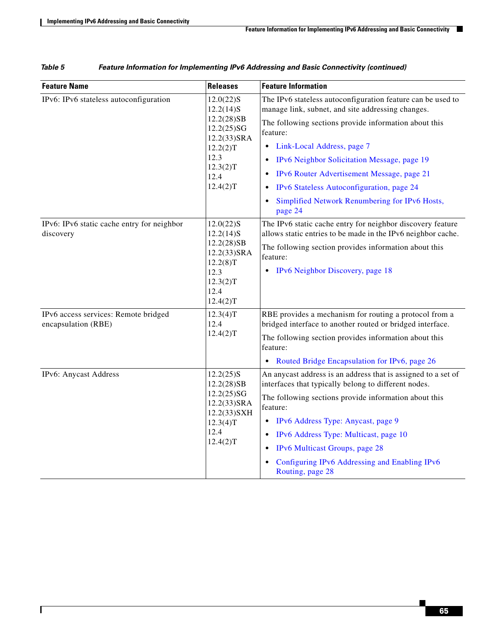$\mathbf{I}$ 

| <b>Feature Name</b>                                         | <b>Releases</b>                                                                                                             | <b>Feature Information</b>                                                                                                                                                                                                                                                                                                                                                                                                                   |
|-------------------------------------------------------------|-----------------------------------------------------------------------------------------------------------------------------|----------------------------------------------------------------------------------------------------------------------------------------------------------------------------------------------------------------------------------------------------------------------------------------------------------------------------------------------------------------------------------------------------------------------------------------------|
| IPv6: IPv6 stateless autoconfiguration                      | $12.0(22)$ S<br>$12.2(14)$ S<br>12.2(28)SB<br>12.2(25)SG<br>12.2(33)SRA<br>12.2(2)T<br>12.3<br>12.3(2)T<br>12.4<br>12.4(2)T | The IPv6 stateless autoconfiguration feature can be used to<br>manage link, subnet, and site addressing changes.<br>The following sections provide information about this<br>feature:<br>Link-Local Address, page 7<br>$\bullet$<br>IPv6 Neighbor Solicitation Message, page 19<br>IPv6 Router Advertisement Message, page 21<br>IPv6 Stateless Autoconfiguration, page 24<br>٠<br>Simplified Network Renumbering for IPv6 Hosts,<br>page 24 |
| IPv6: IPv6 static cache entry for neighbor<br>discovery     | $12.0(22)$ S<br>$12.2(14)$ S<br>12.2(28)SB<br>12.2(33)SRA<br>12.2(8)T<br>12.3<br>12.3(2)T<br>12.4<br>12.4(2)T               | The IPv6 static cache entry for neighbor discovery feature<br>allows static entries to be made in the IPv6 neighbor cache.<br>The following section provides information about this<br>feature:<br>IPv6 Neighbor Discovery, page 18<br>$\bullet$                                                                                                                                                                                             |
| IPv6 access services: Remote bridged<br>encapsulation (RBE) | 12.3(4)T<br>12.4<br>12.4(2)T                                                                                                | RBE provides a mechanism for routing a protocol from a<br>bridged interface to another routed or bridged interface.<br>The following section provides information about this<br>feature:<br>Routed Bridge Encapsulation for IPv6, page 26<br>$\bullet$                                                                                                                                                                                       |
| IPv6: Anycast Address                                       | $12.2(25)$ S<br>12.2(28)SB<br>12.2(25)SG<br>12.2(33)SRA<br>12.2(33)SXH<br>12.3(4)T<br>12.4<br>12.4(2)T                      | An anycast address is an address that is assigned to a set of<br>interfaces that typically belong to different nodes.<br>The following sections provide information about this<br>feature:<br>IPv6 Address Type: Anycast, page 9<br>٠<br>IPv6 Address Type: Multicast, page 10<br><b>IPv6</b> Multicast Groups, page 28<br>$\bullet$<br>Configuring IPv6 Addressing and Enabling IPv6<br>Routing, page 28                                    |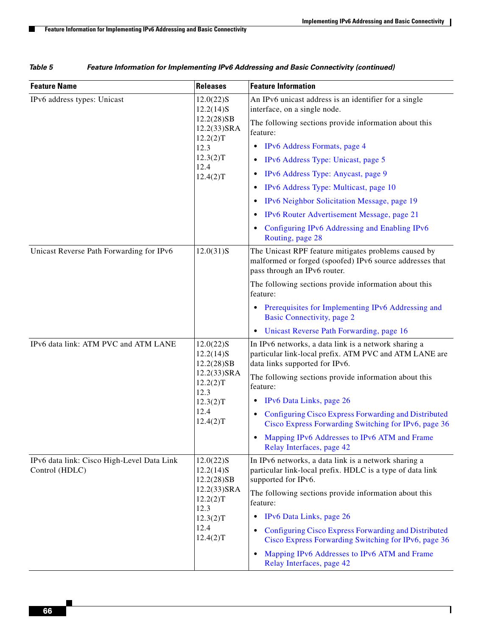$\mathsf I$ 

**The Second** 

| <b>Feature Name</b>                                          | <b>Releases</b>                                                                                                  | <b>Feature Information</b>                                                                                                                                                                                                                                                                                                                                                                                                                                                                                         |
|--------------------------------------------------------------|------------------------------------------------------------------------------------------------------------------|--------------------------------------------------------------------------------------------------------------------------------------------------------------------------------------------------------------------------------------------------------------------------------------------------------------------------------------------------------------------------------------------------------------------------------------------------------------------------------------------------------------------|
| IPv6 address types: Unicast                                  | $12.0(22)$ S<br>$12.2(14)$ S<br>12.2(28)SB<br>$12.2(33)$ SRA<br>12.2(2)T<br>12.3<br>12.3(2)T<br>12.4<br>12.4(2)T | An IPv6 unicast address is an identifier for a single<br>interface, on a single node.<br>The following sections provide information about this<br>feature:<br>IPv6 Address Formats, page 4<br>$\bullet$<br>IPv6 Address Type: Unicast, page 5<br>٠<br>IPv6 Address Type: Anycast, page 9<br>٠<br>IPv6 Address Type: Multicast, page 10<br>IPv6 Neighbor Solicitation Message, page 19<br>٠<br>IPv6 Router Advertisement Message, page 21<br>٠<br>Configuring IPv6 Addressing and Enabling IPv6<br>Routing, page 28 |
| Unicast Reverse Path Forwarding for IPv6                     | $12.0(31)$ S                                                                                                     | The Unicast RPF feature mitigates problems caused by<br>malformed or forged (spoofed) IPv6 source addresses that<br>pass through an IPv6 router.<br>The following sections provide information about this<br>feature:<br>Prerequisites for Implementing IPv6 Addressing and<br>٠<br><b>Basic Connectivity, page 2</b><br>Unicast Reverse Path Forwarding, page 16<br>٠                                                                                                                                             |
| IPv6 data link: ATM PVC and ATM LANE                         | $12.0(22)$ S<br>$12.2(14)$ S<br>12.2(28)SB<br>12.2(33)SRA<br>12.2(2)T<br>12.3<br>12.3(2)T<br>12.4<br>12.4(2)T    | In IPv6 networks, a data link is a network sharing a<br>particular link-local prefix. ATM PVC and ATM LANE are<br>data links supported for IPv6.<br>The following sections provide information about this<br>feature:<br>IPv6 Data Links, page 26<br>٠<br>Configuring Cisco Express Forwarding and Distributed<br>Cisco Express Forwarding Switching for IPv6, page 36<br>Mapping IPv6 Addresses to IPv6 ATM and Frame<br>Relay Interfaces, page 42                                                                |
| IPv6 data link: Cisco High-Level Data Link<br>Control (HDLC) | $12.0(22)$ S<br>$12.2(14)$ S<br>12.2(28)SB<br>12.2(33)SRA<br>12.2(2)T<br>12.3<br>12.3(2)T<br>12.4<br>12.4(2)T    | In IPv6 networks, a data link is a network sharing a<br>particular link-local prefix. HDLC is a type of data link<br>supported for IPv6.<br>The following sections provide information about this<br>feature:<br>IPv6 Data Links, page 26<br>$\bullet$<br>Configuring Cisco Express Forwarding and Distributed<br>Cisco Express Forwarding Switching for IPv6, page 36<br>Mapping IPv6 Addresses to IPv6 ATM and Frame<br>٠<br>Relay Interfaces, page 42                                                           |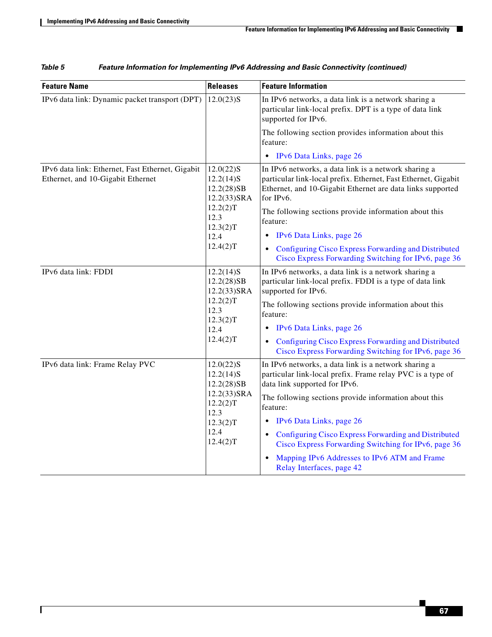$\mathbf{I}$ 

| <b>Feature Name</b>                                                                   | <b>Releases</b>                                                                                               | <b>Feature Information</b>                                                                                                                                                                                                                                                                                                                                                                                                                                     |
|---------------------------------------------------------------------------------------|---------------------------------------------------------------------------------------------------------------|----------------------------------------------------------------------------------------------------------------------------------------------------------------------------------------------------------------------------------------------------------------------------------------------------------------------------------------------------------------------------------------------------------------------------------------------------------------|
| IPv6 data link: Dynamic packet transport (DPT)                                        | $12.0(23)$ S                                                                                                  | In IPv6 networks, a data link is a network sharing a<br>particular link-local prefix. DPT is a type of data link<br>supported for IPv6.                                                                                                                                                                                                                                                                                                                        |
|                                                                                       |                                                                                                               | The following section provides information about this<br>feature:                                                                                                                                                                                                                                                                                                                                                                                              |
|                                                                                       |                                                                                                               | • IPv6 Data Links, page 26                                                                                                                                                                                                                                                                                                                                                                                                                                     |
| IPv6 data link: Ethernet, Fast Ethernet, Gigabit<br>Ethernet, and 10-Gigabit Ethernet | $12.0(22)$ S<br>$12.2(14)$ S<br>12.2(28)SB<br>12.2(33)SRA<br>12.2(2)T<br>12.3<br>12.3(2)T<br>12.4<br>12.4(2)T | In IPv6 networks, a data link is a network sharing a<br>particular link-local prefix. Ethernet, Fast Ethernet, Gigabit<br>Ethernet, and 10-Gigabit Ethernet are data links supported<br>for IPv6.<br>The following sections provide information about this<br>feature:                                                                                                                                                                                         |
|                                                                                       |                                                                                                               | IPv6 Data Links, page 26<br>$\bullet$                                                                                                                                                                                                                                                                                                                                                                                                                          |
|                                                                                       |                                                                                                               | Configuring Cisco Express Forwarding and Distributed<br>Cisco Express Forwarding Switching for IPv6, page 36                                                                                                                                                                                                                                                                                                                                                   |
| IPv6 data link: FDDI                                                                  | $12.2(14)$ S<br>12.2(28)SB<br>12.2(33)SRA<br>12.2(2)T<br>12.3<br>12.3(2)T<br>12.4<br>12.4(2)T                 | In IPv6 networks, a data link is a network sharing a<br>particular link-local prefix. FDDI is a type of data link<br>supported for IPv6.<br>The following sections provide information about this<br>feature:<br>IPv6 Data Links, page 26<br>٠<br>Configuring Cisco Express Forwarding and Distributed<br>$\bullet$<br>Cisco Express Forwarding Switching for IPv6, page 36                                                                                    |
| IPv6 data link: Frame Relay PVC                                                       | $12.0(22)$ S<br>$12.2(14)$ S<br>12.2(28)SB<br>12.2(33)SRA<br>12.2(2)T<br>12.3<br>12.3(2)T<br>12.4<br>12.4(2)T | In IPv6 networks, a data link is a network sharing a<br>particular link-local prefix. Frame relay PVC is a type of<br>data link supported for IPv6.<br>The following sections provide information about this<br>feature:<br>IPv6 Data Links, page 26<br>$\bullet$<br>Configuring Cisco Express Forwarding and Distributed<br>Cisco Express Forwarding Switching for IPv6, page 36<br>Mapping IPv6 Addresses to IPv6 ATM and Frame<br>Relay Interfaces, page 42 |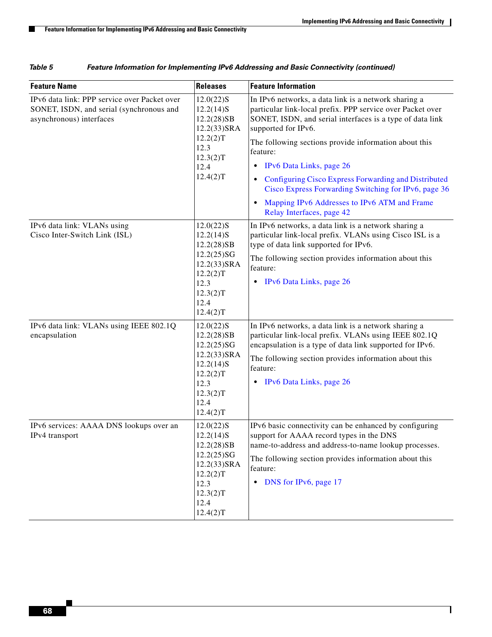$\mathsf I$ 

**The Second** 

| <b>Feature Name</b>                                                                                                  | <b>Releases</b>                                                                                                                | <b>Feature Information</b>                                                                                                                                                                                                                                                      |
|----------------------------------------------------------------------------------------------------------------------|--------------------------------------------------------------------------------------------------------------------------------|---------------------------------------------------------------------------------------------------------------------------------------------------------------------------------------------------------------------------------------------------------------------------------|
| IPv6 data link: PPP service over Packet over<br>SONET, ISDN, and serial (synchronous and<br>asynchronous) interfaces | $12.0(22)$ S<br>$12.2(14)$ S<br>12.2(28)SB<br>12.2(33)SRA<br>12.2(2)T<br>12.3<br>12.3(2)T<br>12.4<br>12.4(2)T                  | In IPv6 networks, a data link is a network sharing a<br>particular link-local prefix. PPP service over Packet over<br>SONET, ISDN, and serial interfaces is a type of data link<br>supported for IPv6.<br>The following sections provide information about this                 |
|                                                                                                                      |                                                                                                                                | feature:<br>IPv6 Data Links, page 26<br>٠                                                                                                                                                                                                                                       |
|                                                                                                                      |                                                                                                                                | Configuring Cisco Express Forwarding and Distributed<br>$\bullet$<br>Cisco Express Forwarding Switching for IPv6, page 36                                                                                                                                                       |
|                                                                                                                      |                                                                                                                                | Mapping IPv6 Addresses to IPv6 ATM and Frame<br>$\bullet$<br>Relay Interfaces, page 42                                                                                                                                                                                          |
| IPv6 data link: VLANs using<br>Cisco Inter-Switch Link (ISL)                                                         | $12.0(22)$ S<br>$12.2(14)$ S<br>12.2(28)SB<br>12.2(25)SG<br>$12.2(33)$ SRA<br>12.2(2)T<br>12.3<br>12.3(2)T<br>12.4<br>12.4(2)T | In IPv6 networks, a data link is a network sharing a<br>particular link-local prefix. VLANs using Cisco ISL is a<br>type of data link supported for IPv6.<br>The following section provides information about this<br>feature:                                                  |
|                                                                                                                      |                                                                                                                                | IPv6 Data Links, page 26<br>٠                                                                                                                                                                                                                                                   |
| IPv6 data link: VLANs using IEEE 802.1Q<br>encapsulation                                                             | $12.0(22)$ S<br>12.2(28)SB<br>12.2(25)SG<br>12.2(33)SRA<br>$12.2(14)$ S<br>12.2(2)T<br>12.3<br>12.3(2)T<br>12.4<br>12.4(2)T    | In IPv6 networks, a data link is a network sharing a<br>particular link-local prefix. VLANs using IEEE 802.1Q<br>encapsulation is a type of data link supported for IPv6.<br>The following section provides information about this<br>feature:<br>IPv6 Data Links, page 26<br>٠ |
| IPv6 services: AAAA DNS lookups over an<br>IPv4 transport                                                            | $12.0(22)$ S<br>$12.2(14)$ S<br>12.2(28)SB<br>12.2(25)SG<br>$12.2(33)$ SRA<br>12.2(2)T<br>12.3<br>12.3(2)T<br>12.4<br>12.4(2)T | IPv6 basic connectivity can be enhanced by configuring<br>support for AAAA record types in the DNS<br>name-to-address and address-to-name lookup processes.<br>The following section provides information about this<br>feature:<br>DNS for IPv6, page 17<br>$\bullet$          |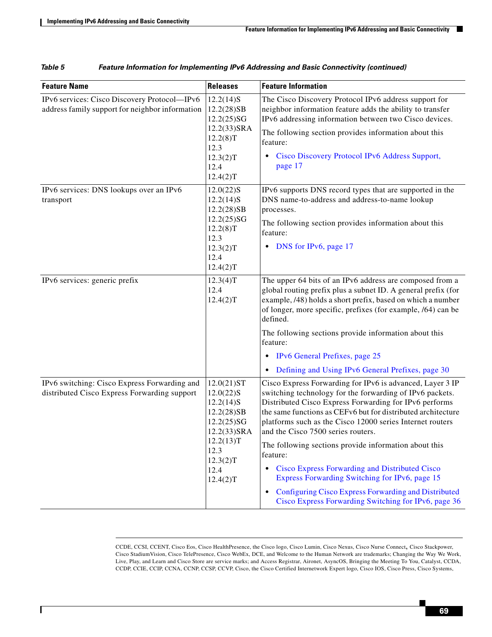$\overline{\phantom{a}}$ 

| <b>Feature Name</b>                                                                             | <b>Releases</b>                                                                                                                            | <b>Feature Information</b>                                                                                                                                                                                                                                                                                                                                                                                                                                                                                                                                                                                                                  |
|-------------------------------------------------------------------------------------------------|--------------------------------------------------------------------------------------------------------------------------------------------|---------------------------------------------------------------------------------------------------------------------------------------------------------------------------------------------------------------------------------------------------------------------------------------------------------------------------------------------------------------------------------------------------------------------------------------------------------------------------------------------------------------------------------------------------------------------------------------------------------------------------------------------|
| IPv6 services: Cisco Discovery Protocol-IPv6<br>address family support for neighbor information | $12.2(14)$ S<br>12.2(28)SB<br>12.2(25)SG<br>12.2(33)SRA<br>12.2(8)T<br>12.3<br>12.3(2)T<br>12.4<br>12.4(2)T                                | The Cisco Discovery Protocol IPv6 address support for<br>neighbor information feature adds the ability to transfer<br>IPv6 addressing information between two Cisco devices.<br>The following section provides information about this<br>feature:<br>Cisco Discovery Protocol IPv6 Address Support,<br>page 17                                                                                                                                                                                                                                                                                                                              |
| IPv6 services: DNS lookups over an IPv6<br>transport                                            | $12.0(22)$ S<br>12.2(14)S<br>12.2(28)SB<br>12.2(25)SG<br>12.2(8)T<br>12.3<br>12.3(2)T<br>12.4<br>12.4(2)T                                  | IPv6 supports DNS record types that are supported in the<br>DNS name-to-address and address-to-name lookup<br>processes.<br>The following section provides information about this<br>feature:<br>DNS for IPv6, page 17<br>$\bullet$                                                                                                                                                                                                                                                                                                                                                                                                         |
| IPv6 services: generic prefix                                                                   | 12.3(4)T<br>12.4<br>12.4(2)T                                                                                                               | The upper 64 bits of an IPv6 address are composed from a<br>global routing prefix plus a subnet ID. A general prefix (for<br>example, /48) holds a short prefix, based on which a number<br>of longer, more specific, prefixes (for example, /64) can be<br>defined.<br>The following sections provide information about this<br>feature:<br>IPv6 General Prefixes, page 25<br>Defining and Using IPv6 General Prefixes, page 30                                                                                                                                                                                                            |
| IPv6 switching: Cisco Express Forwarding and<br>distributed Cisco Express Forwarding support    | 12.0(21)ST<br>$12.0(22)$ S<br>$12.2(14)$ S<br>12.2(28)SB<br>12.2(25)SG<br>12.2(33)SRA<br>12.2(13)T<br>12.3<br>12.3(2)T<br>12.4<br>12.4(2)T | Cisco Express Forwarding for IPv6 is advanced, Layer 3 IP<br>switching technology for the forwarding of IPv6 packets.<br>Distributed Cisco Express Forwarding for IPv6 performs<br>the same functions as CEFv6 but for distributed architecture<br>platforms such as the Cisco 12000 series Internet routers<br>and the Cisco 7500 series routers.<br>The following sections provide information about this<br>feature:<br>Cisco Express Forwarding and Distributed Cisco<br>Express Forwarding Switching for IPv6, page 15<br>Configuring Cisco Express Forwarding and Distributed<br>Cisco Express Forwarding Switching for IPv6, page 36 |

CCDE, CCSI, CCENT, Cisco Eos, Cisco HealthPresence, the Cisco logo, Cisco Lumin, Cisco Nexus, Cisco Nurse Connect, Cisco Stackpower, Cisco StadiumVision, Cisco TelePresence, Cisco WebEx, DCE, and Welcome to the Human Network are trademarks; Changing the Way We Work, Live, Play, and Learn and Cisco Store are service marks; and Access Registrar, Aironet, AsyncOS, Bringing the Meeting To You, Catalyst, CCDA, CCDP, CCIE, CCIP, CCNA, CCNP, CCSP, CCVP, Cisco, the Cisco Certified Internetwork Expert logo, Cisco IOS, Cisco Press, Cisco Systems,